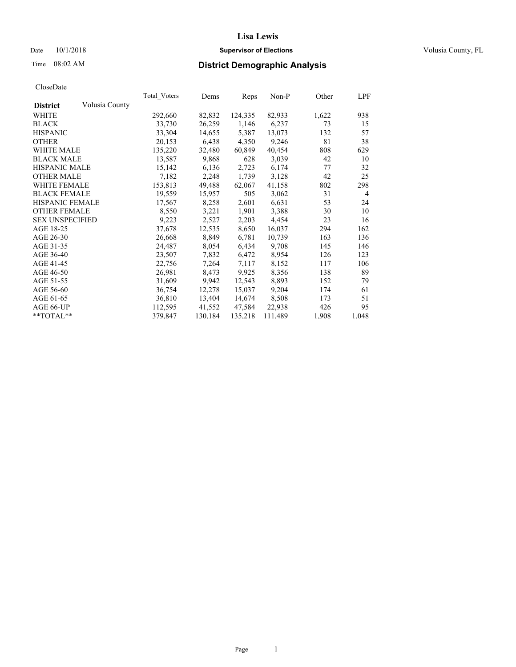#### Date  $10/1/2018$  **Supervisor of Elections** Volusia County, FL

# Time 08:02 AM **District Demographic Analysis**

|                        |                | Total Voters | Dems    | Reps    | Non-P   | Other | LPF            |
|------------------------|----------------|--------------|---------|---------|---------|-------|----------------|
| <b>District</b>        | Volusia County |              |         |         |         |       |                |
| WHITE                  |                | 292,660      | 82,832  | 124,335 | 82,933  | 1,622 | 938            |
| <b>BLACK</b>           |                | 33,730       | 26,259  | 1,146   | 6,237   | 73    | 15             |
| <b>HISPANIC</b>        |                | 33,304       | 14,655  | 5,387   | 13,073  | 132   | 57             |
| <b>OTHER</b>           |                | 20,153       | 6,438   | 4,350   | 9,246   | 81    | 38             |
| WHITE MALE             |                | 135,220      | 32,480  | 60,849  | 40,454  | 808   | 629            |
| <b>BLACK MALE</b>      |                | 13,587       | 9,868   | 628     | 3,039   | 42    | 10             |
| <b>HISPANIC MALE</b>   |                | 15,142       | 6,136   | 2,723   | 6,174   | 77    | 32             |
| <b>OTHER MALE</b>      |                | 7,182        | 2,248   | 1,739   | 3,128   | 42    | 25             |
| WHITE FEMALE           |                | 153,813      | 49,488  | 62,067  | 41,158  | 802   | 298            |
| <b>BLACK FEMALE</b>    |                | 19,559       | 15,957  | 505     | 3,062   | 31    | $\overline{4}$ |
| <b>HISPANIC FEMALE</b> |                | 17,567       | 8,258   | 2,601   | 6,631   | 53    | 24             |
| <b>OTHER FEMALE</b>    |                | 8,550        | 3,221   | 1,901   | 3,388   | 30    | 10             |
| <b>SEX UNSPECIFIED</b> |                | 9,223        | 2,527   | 2,203   | 4,454   | 23    | 16             |
| AGE 18-25              |                | 37,678       | 12,535  | 8,650   | 16,037  | 294   | 162            |
| AGE 26-30              |                | 26,668       | 8,849   | 6,781   | 10,739  | 163   | 136            |
| AGE 31-35              |                | 24,487       | 8,054   | 6,434   | 9,708   | 145   | 146            |
| AGE 36-40              |                | 23,507       | 7,832   | 6,472   | 8,954   | 126   | 123            |
| AGE 41-45              |                | 22,756       | 7,264   | 7,117   | 8,152   | 117   | 106            |
| AGE 46-50              |                | 26,981       | 8,473   | 9,925   | 8,356   | 138   | 89             |
| AGE 51-55              |                | 31,609       | 9,942   | 12,543  | 8,893   | 152   | 79             |
| AGE 56-60              |                | 36,754       | 12,278  | 15,037  | 9,204   | 174   | 61             |
| AGE 61-65              |                | 36,810       | 13,404  | 14,674  | 8,508   | 173   | 51             |
| AGE 66-UP              |                | 112,595      | 41,552  | 47,584  | 22,938  | 426   | 95             |
| **TOTAL**              |                | 379,847      | 130,184 | 135,218 | 111,489 | 1,908 | 1,048          |
|                        |                |              |         |         |         |       |                |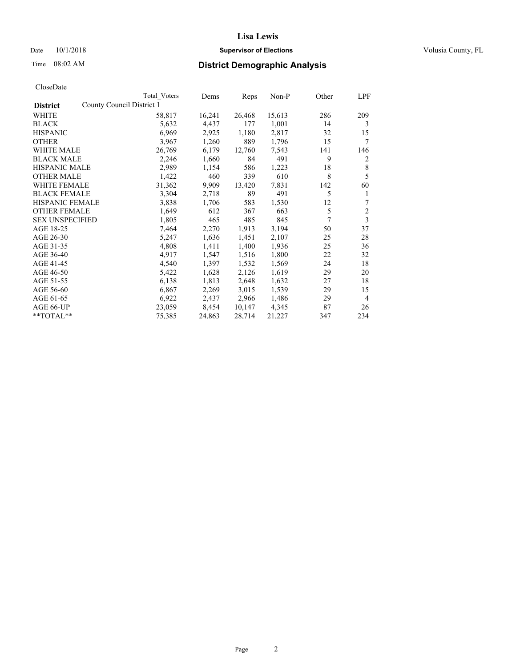## Date  $10/1/2018$  **Supervisor of Elections** Volusia County, FL

| County Council District 1<br><b>District</b><br>WHITE<br>58,817<br>16,241<br>26,468<br>15,613<br>286<br><b>BLACK</b><br>4,437<br>177<br>1,001<br>14<br>5,632<br>6,969<br>2,925<br>2,817<br><b>HISPANIC</b><br>1,180<br>32<br>889<br>3,967<br>1,260<br>1,796<br>15<br><b>OTHER</b><br><b>WHITE MALE</b><br>26,769<br>12,760<br>7,543<br>141<br>6,179<br>491<br>9<br><b>BLACK MALE</b><br>2,246<br>1,660<br>84 | 209<br>3<br>15<br>7<br>146<br>2<br>8<br>5 |
|--------------------------------------------------------------------------------------------------------------------------------------------------------------------------------------------------------------------------------------------------------------------------------------------------------------------------------------------------------------------------------------------------------------|-------------------------------------------|
|                                                                                                                                                                                                                                                                                                                                                                                                              |                                           |
|                                                                                                                                                                                                                                                                                                                                                                                                              |                                           |
|                                                                                                                                                                                                                                                                                                                                                                                                              |                                           |
|                                                                                                                                                                                                                                                                                                                                                                                                              |                                           |
|                                                                                                                                                                                                                                                                                                                                                                                                              |                                           |
|                                                                                                                                                                                                                                                                                                                                                                                                              |                                           |
|                                                                                                                                                                                                                                                                                                                                                                                                              |                                           |
| <b>HISPANIC MALE</b><br>18<br>2,989<br>1,154<br>586<br>1,223                                                                                                                                                                                                                                                                                                                                                 |                                           |
| 8<br><b>OTHER MALE</b><br>1,422<br>460<br>339<br>610                                                                                                                                                                                                                                                                                                                                                         |                                           |
| <b>WHITE FEMALE</b><br>31,362<br>9,909<br>13,420<br>7,831<br>142                                                                                                                                                                                                                                                                                                                                             | 60                                        |
| 5<br>3,304<br>2,718<br>89<br><b>BLACK FEMALE</b><br>491                                                                                                                                                                                                                                                                                                                                                      | 1                                         |
| <b>HISPANIC FEMALE</b><br>3,838<br>1,530<br>12<br>1,706<br>583                                                                                                                                                                                                                                                                                                                                               | 7                                         |
| 5<br><b>OTHER FEMALE</b><br>1,649<br>612<br>367<br>663                                                                                                                                                                                                                                                                                                                                                       | 2                                         |
| 7<br><b>SEX UNSPECIFIED</b><br>1,805<br>465<br>485<br>845                                                                                                                                                                                                                                                                                                                                                    | $\overline{\mathbf{3}}$                   |
| AGE 18-25<br>7,464<br>2,270<br>1,913<br>3,194<br>50                                                                                                                                                                                                                                                                                                                                                          | 37                                        |
| AGE 26-30<br>5,247<br>1,636<br>1,451<br>2,107<br>25                                                                                                                                                                                                                                                                                                                                                          | 28                                        |
| AGE 31-35<br>4,808<br>1,411<br>1,400<br>1,936<br>25                                                                                                                                                                                                                                                                                                                                                          | 36                                        |
| AGE 36-40<br>4,917<br>1,516<br>1,800<br>22<br>1,547                                                                                                                                                                                                                                                                                                                                                          | 32                                        |
| AGE 41-45<br>4,540<br>1,397<br>1,532<br>1,569<br>24                                                                                                                                                                                                                                                                                                                                                          | 18                                        |
| AGE 46-50<br>5,422<br>1,628<br>2,126<br>29<br>1,619                                                                                                                                                                                                                                                                                                                                                          | 20                                        |
| 6,138<br>2,648<br>AGE 51-55<br>1,813<br>1,632<br>27                                                                                                                                                                                                                                                                                                                                                          | 18                                        |
| AGE 56-60<br>2,269<br>3,015<br>1,539<br>29<br>6,867                                                                                                                                                                                                                                                                                                                                                          | 15                                        |
| 6,922<br>2,437<br>2,966<br>1,486<br>29<br>AGE 61-65                                                                                                                                                                                                                                                                                                                                                          | $\overline{4}$                            |
| 23,059<br>AGE 66-UP<br>8,454<br>10,147<br>4,345<br>87                                                                                                                                                                                                                                                                                                                                                        | 26                                        |
| **TOTAL**<br>75,385<br>24,863<br>28,714<br>21,227<br>347                                                                                                                                                                                                                                                                                                                                                     | 234                                       |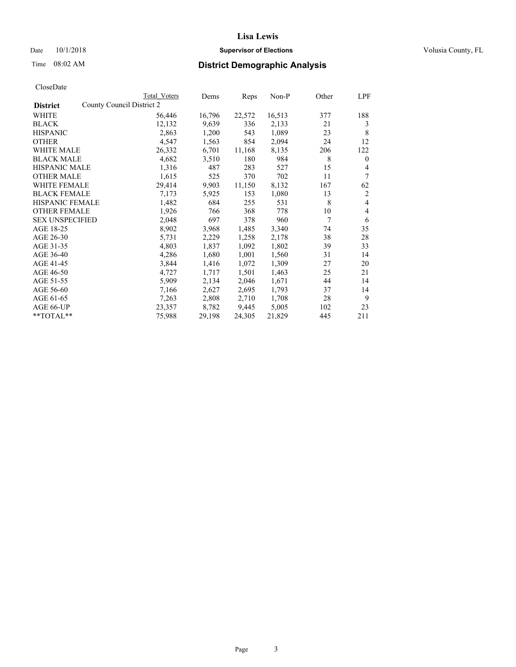## Date  $10/1/2018$  **Supervisor of Elections** Volusia County, FL

| Total Voters | Dems                                                                   | Reps   | $Non-P$ | Other | LPF            |
|--------------|------------------------------------------------------------------------|--------|---------|-------|----------------|
|              |                                                                        |        |         |       |                |
| 56,446       | 16,796                                                                 | 22,572 | 16,513  | 377   | 188            |
| 12,132       | 9,639                                                                  | 336    | 2,133   | 21    | 3              |
| 2,863        | 1,200                                                                  | 543    | 1,089   | 23    | 8              |
| 4,547        | 1,563                                                                  | 854    | 2,094   | 24    | 12             |
| 26,332       | 6,701                                                                  | 11,168 | 8,135   | 206   | 122            |
| 4,682        | 3,510                                                                  | 180    | 984     | 8     | $\mathbf{0}$   |
| 1,316        | 487                                                                    | 283    | 527     | 15    | 4              |
| 1,615        | 525                                                                    | 370    | 702     | 11    | 7              |
| 29,414       | 9,903                                                                  | 11,150 | 8,132   | 167   | 62             |
| 7,173        | 5,925                                                                  | 153    | 1,080   | 13    | $\overline{2}$ |
| 1,482        | 684                                                                    | 255    | 531     | 8     | 4              |
| 1,926        | 766                                                                    | 368    | 778     | 10    | 4              |
| 2,048        | 697                                                                    | 378    | 960     | 7     | 6              |
| 8,902        | 3,968                                                                  | 1,485  | 3,340   | 74    | 35             |
| 5,731        | 2,229                                                                  | 1,258  | 2,178   | 38    | 28             |
| 4,803        | 1,837                                                                  | 1,092  | 1,802   | 39    | 33             |
| 4,286        | 1,680                                                                  | 1,001  | 1,560   | 31    | 14             |
| 3,844        | 1,416                                                                  | 1,072  | 1,309   | 27    | 20             |
| 4,727        | 1,717                                                                  | 1,501  | 1,463   | 25    | 21             |
| 5,909        | 2,134                                                                  | 2,046  | 1,671   | 44    | 14             |
| 7,166        | 2,627                                                                  | 2,695  | 1,793   | 37    | 14             |
| 7,263        | 2,808                                                                  | 2,710  | 1,708   | 28    | 9              |
| 23,357       | 8,782                                                                  | 9,445  | 5,005   | 102   | 23             |
| 75,988       | 29,198                                                                 | 24,305 | 21,829  | 445   | 211            |
|              | County Council District 2<br>HISPANIC FEMALE<br><b>SEX UNSPECIFIED</b> |        |         |       |                |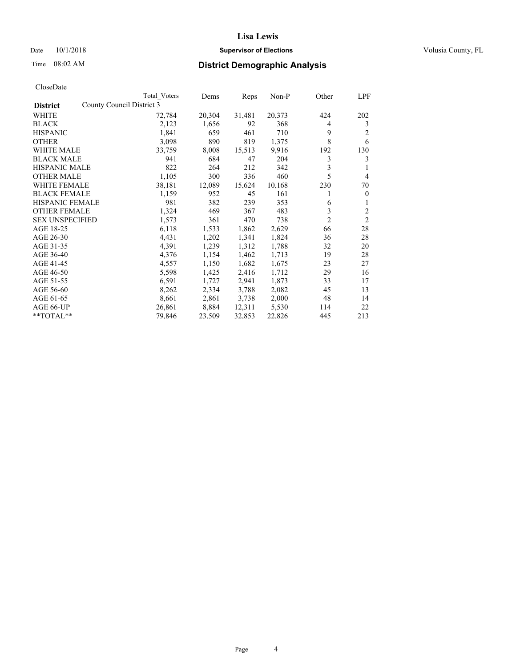#### Date  $10/1/2018$  **Supervisor of Elections Supervisor of Elections** Volusia County, FL

| CloseDate |
|-----------|
|-----------|

|                                              | Total Voters | Dems   | Reps   | Non-P  | Other          | LPF            |
|----------------------------------------------|--------------|--------|--------|--------|----------------|----------------|
| County Council District 3<br><b>District</b> |              |        |        |        |                |                |
| WHITE                                        | 72,784       | 20,304 | 31,481 | 20,373 | 424            | 202            |
| <b>BLACK</b>                                 | 2,123        | 1,656  | 92     | 368    | 4              | 3              |
| <b>HISPANIC</b>                              | 1,841        | 659    | 461    | 710    | 9              | 2              |
| <b>OTHER</b>                                 | 3,098        | 890    | 819    | 1,375  | 8              | 6              |
| WHITE MALE                                   | 33,759       | 8,008  | 15,513 | 9,916  | 192            | 130            |
| <b>BLACK MALE</b>                            | 941          | 684    | 47     | 204    | 3              | 3              |
| <b>HISPANIC MALE</b>                         | 822          | 264    | 212    | 342    | 3              |                |
| <b>OTHER MALE</b>                            | 1,105        | 300    | 336    | 460    | 5              | $\overline{4}$ |
| WHITE FEMALE                                 | 38,181       | 12,089 | 15,624 | 10,168 | 230            | 70             |
| <b>BLACK FEMALE</b>                          | 1,159        | 952    | 45     | 161    | 1              | $\theta$       |
| <b>HISPANIC FEMALE</b>                       | 981          | 382    | 239    | 353    | 6              | 1              |
| <b>OTHER FEMALE</b>                          | 1,324        | 469    | 367    | 483    | 3              | 2              |
| <b>SEX UNSPECIFIED</b>                       | 1,573        | 361    | 470    | 738    | $\overline{2}$ | $\overline{2}$ |
| AGE 18-25                                    | 6,118        | 1,533  | 1,862  | 2,629  | 66             | 28             |
| AGE 26-30                                    | 4,431        | 1,202  | 1,341  | 1,824  | 36             | 28             |
| AGE 31-35                                    | 4,391        | 1,239  | 1,312  | 1,788  | 32             | 20             |
| AGE 36-40                                    | 4,376        | 1,154  | 1,462  | 1,713  | 19             | 28             |
| AGE 41-45                                    | 4,557        | 1,150  | 1,682  | 1,675  | 23             | 27             |
| AGE 46-50                                    | 5,598        | 1,425  | 2,416  | 1,712  | 29             | 16             |
| AGE 51-55                                    | 6,591        | 1,727  | 2,941  | 1,873  | 33             | 17             |
| AGE 56-60                                    | 8,262        | 2,334  | 3,788  | 2,082  | 45             | 13             |
| AGE 61-65                                    | 8,661        | 2,861  | 3,738  | 2,000  | 48             | 14             |
| AGE 66-UP                                    | 26,861       | 8,884  | 12,311 | 5,530  | 114            | 22             |
| $*$ TOTAL $*$                                | 79,846       | 23,509 | 32,853 | 22,826 | 445            | 213            |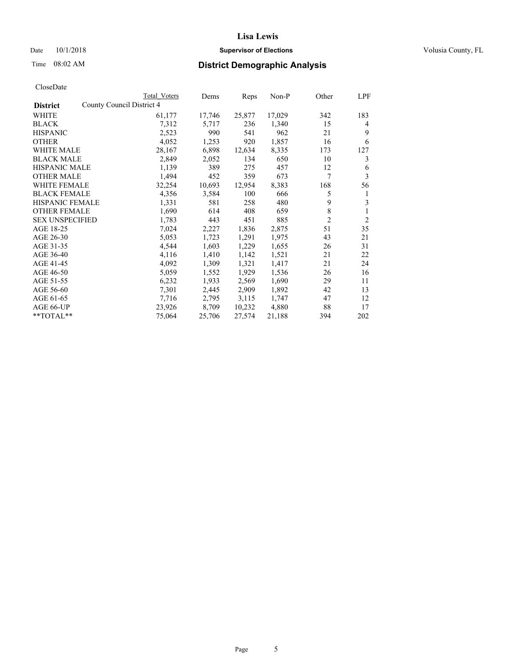#### Date  $10/1/2018$  **Supervisor of Elections Supervisor of Elections** Volusia County, FL

|                                              | Total Voters | Dems   | Reps   | $Non-P$ | Other          | LPF            |
|----------------------------------------------|--------------|--------|--------|---------|----------------|----------------|
| County Council District 4<br><b>District</b> |              |        |        |         |                |                |
| WHITE                                        | 61,177       | 17,746 | 25,877 | 17,029  | 342            | 183            |
| <b>BLACK</b>                                 | 7,312        | 5,717  | 236    | 1,340   | 15             | 4              |
| <b>HISPANIC</b>                              | 2,523        | 990    | 541    | 962     | 21             | 9              |
| <b>OTHER</b>                                 | 4,052        | 1,253  | 920    | 1,857   | 16             | 6              |
| WHITE MALE                                   | 28,167       | 6,898  | 12,634 | 8,335   | 173            | 127            |
| <b>BLACK MALE</b>                            | 2,849        | 2,052  | 134    | 650     | 10             | 3              |
| <b>HISPANIC MALE</b>                         | 1,139        | 389    | 275    | 457     | 12             | 6              |
| <b>OTHER MALE</b>                            | 1,494        | 452    | 359    | 673     | 7              | 3              |
| <b>WHITE FEMALE</b>                          | 32,254       | 10,693 | 12,954 | 8,383   | 168            | 56             |
| <b>BLACK FEMALE</b>                          | 4,356        | 3,584  | 100    | 666     | 5              | 1              |
| HISPANIC FEMALE                              | 1,331        | 581    | 258    | 480     | 9              | 3              |
| <b>OTHER FEMALE</b>                          | 1,690        | 614    | 408    | 659     | 8              | 1              |
| <b>SEX UNSPECIFIED</b>                       | 1,783        | 443    | 451    | 885     | $\overline{2}$ | $\overline{2}$ |
| AGE 18-25                                    | 7,024        | 2,227  | 1,836  | 2,875   | 51             | 35             |
| AGE 26-30                                    | 5,053        | 1,723  | 1,291  | 1,975   | 43             | 21             |
| AGE 31-35                                    | 4,544        | 1,603  | 1,229  | 1,655   | 26             | 31             |
| AGE 36-40                                    | 4,116        | 1,410  | 1,142  | 1,521   | 21             | 22             |
| AGE 41-45                                    | 4,092        | 1,309  | 1,321  | 1,417   | 21             | 24             |
| AGE 46-50                                    | 5,059        | 1,552  | 1,929  | 1,536   | 26             | 16             |
| AGE 51-55                                    | 6,232        | 1,933  | 2,569  | 1,690   | 29             | 11             |
| AGE 56-60                                    | 7,301        | 2,445  | 2,909  | 1,892   | 42             | 13             |
| AGE 61-65                                    | 7,716        | 2,795  | 3,115  | 1,747   | 47             | 12             |
| AGE 66-UP                                    | 23,926       | 8,709  | 10,232 | 4,880   | 88             | 17             |
| **TOTAL**                                    | 75,064       | 25,706 | 27,574 | 21,188  | 394            | 202            |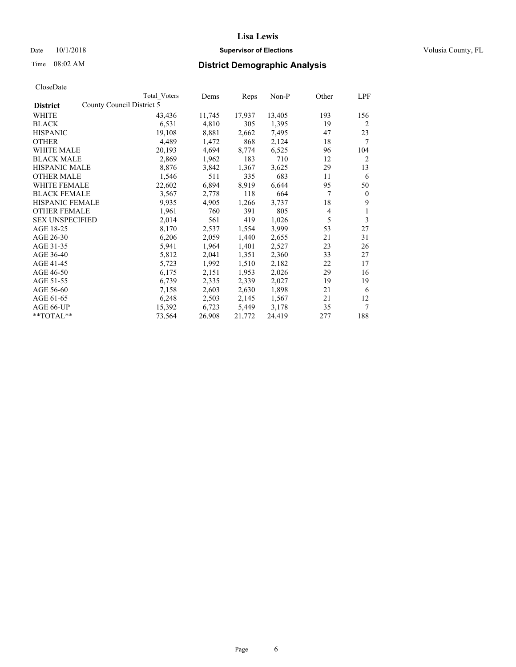## Date  $10/1/2018$  **Supervisor of Elections** Volusia County, FL

|                        | Total Voters              | Dems   | Reps   | Non-P  | Other | LPF          |
|------------------------|---------------------------|--------|--------|--------|-------|--------------|
| <b>District</b>        | County Council District 5 |        |        |        |       |              |
| WHITE                  | 43,436                    | 11,745 | 17,937 | 13,405 | 193   | 156          |
| BLACK                  | 6,531                     | 4,810  | 305    | 1,395  | 19    | 2            |
| <b>HISPANIC</b>        | 19,108                    | 8,881  | 2,662  | 7,495  | 47    | 23           |
| OTHER                  | 4,489                     | 1,472  | 868    | 2,124  | 18    | 7            |
| <b>WHITE MALE</b>      | 20,193                    | 4,694  | 8,774  | 6,525  | 96    | 104          |
| <b>BLACK MALE</b>      | 2,869                     | 1,962  | 183    | 710    | 12    | 2            |
| <b>HISPANIC MALE</b>   | 8,876                     | 3,842  | 1,367  | 3,625  | 29    | 13           |
| OTHER MALE             | 1,546                     | 511    | 335    | 683    | 11    | 6            |
| <b>WHITE FEMALE</b>    | 22,602                    | 6,894  | 8,919  | 6,644  | 95    | 50           |
| <b>BLACK FEMALE</b>    | 3,567                     | 2,778  | 118    | 664    | 7     | $\mathbf{0}$ |
| <b>HISPANIC FEMALE</b> | 9,935                     | 4,905  | 1,266  | 3,737  | 18    | 9            |
| <b>OTHER FEMALE</b>    | 1,961                     | 760    | 391    | 805    | 4     | 1            |
| <b>SEX UNSPECIFIED</b> | 2,014                     | 561    | 419    | 1,026  | 5     | 3            |
| AGE 18-25              | 8,170                     | 2,537  | 1,554  | 3,999  | 53    | 27           |
| AGE 26-30              | 6,206                     | 2,059  | 1,440  | 2,655  | 21    | 31           |
| AGE 31-35              | 5,941                     | 1,964  | 1,401  | 2,527  | 23    | 26           |
| AGE 36-40              | 5,812                     | 2,041  | 1,351  | 2,360  | 33    | 27           |
| AGE 41-45              | 5,723                     | 1,992  | 1,510  | 2,182  | 22    | 17           |
| AGE 46-50              | 6,175                     | 2,151  | 1,953  | 2,026  | 29    | 16           |
| AGE 51-55              | 6,739                     | 2,335  | 2,339  | 2,027  | 19    | 19           |
| AGE 56-60              | 7,158                     | 2,603  | 2,630  | 1,898  | 21    | 6            |
| AGE 61-65              | 6,248                     | 2,503  | 2,145  | 1,567  | 21    | 12           |
| AGE 66-UP              | 15,392                    | 6,723  | 5,449  | 3,178  | 35    | 7            |
| **TOTAL**              | 73,564                    | 26,908 | 21,772 | 24,419 | 277   | 188          |
|                        |                           |        |        |        |       |              |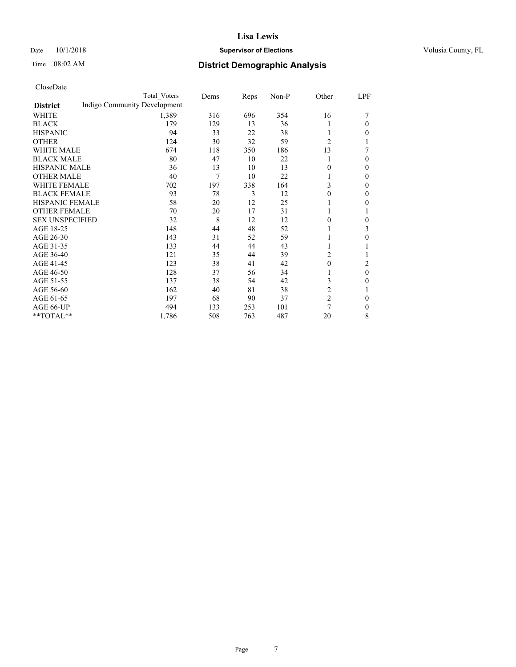#### Date  $10/1/2018$  **Supervisor of Elections Supervisor of Elections** Volusia County, FL

# Time 08:02 AM **District Demographic Analysis**

|                        | Total Voters                 | Dems | Reps | Non-P | Other          | LPF          |
|------------------------|------------------------------|------|------|-------|----------------|--------------|
| <b>District</b>        | Indigo Community Development |      |      |       |                |              |
| WHITE                  | 1,389                        | 316  | 696  | 354   | 16             |              |
| <b>BLACK</b>           | 179                          | 129  | 13   | 36    |                | 0            |
| <b>HISPANIC</b>        | 94                           | 33   | 22   | 38    |                | 0            |
| <b>OTHER</b>           | 124                          | 30   | 32   | 59    | $\overline{c}$ | 1            |
| WHITE MALE             | 674                          | 118  | 350  | 186   | 13             |              |
| <b>BLACK MALE</b>      | 80                           | 47   | 10   | 22    |                | 0            |
| <b>HISPANIC MALE</b>   | 36                           | 13   | 10   | 13    | 0              | $\Omega$     |
| <b>OTHER MALE</b>      | 40                           | 7    | 10   | 22    |                | $\mathbf{0}$ |
| <b>WHITE FEMALE</b>    | 702                          | 197  | 338  | 164   | 3              | 0            |
| <b>BLACK FEMALE</b>    | 93                           | 78   | 3    | 12    | 0              | 0            |
| <b>HISPANIC FEMALE</b> | 58                           | 20   | 12   | 25    |                | 0            |
| <b>OTHER FEMALE</b>    | 70                           | 20   | 17   | 31    | 1              | 1            |
| <b>SEX UNSPECIFIED</b> | 32                           | 8    | 12   | 12    | 0              | 0            |
| AGE 18-25              | 148                          | 44   | 48   | 52    |                | 3            |
| AGE 26-30              | 143                          | 31   | 52   | 59    |                | 0            |
| AGE 31-35              | 133                          | 44   | 44   | 43    |                |              |
| AGE 36-40              | 121                          | 35   | 44   | 39    | 2              |              |
| AGE 41-45              | 123                          | 38   | 41   | 42    | $\theta$       | 2            |
| AGE 46-50              | 128                          | 37   | 56   | 34    |                | $\theta$     |
| AGE 51-55              | 137                          | 38   | 54   | 42    | 3              | 0            |
| AGE 56-60              | 162                          | 40   | 81   | 38    | $\overline{2}$ |              |
| AGE 61-65              | 197                          | 68   | 90   | 37    | $\overline{c}$ | $\theta$     |
| AGE 66-UP              | 494                          | 133  | 253  | 101   | $\overline{7}$ | $\mathbf{0}$ |
| **TOTAL**              | 1,786                        | 508  | 763  | 487   | 20             | 8            |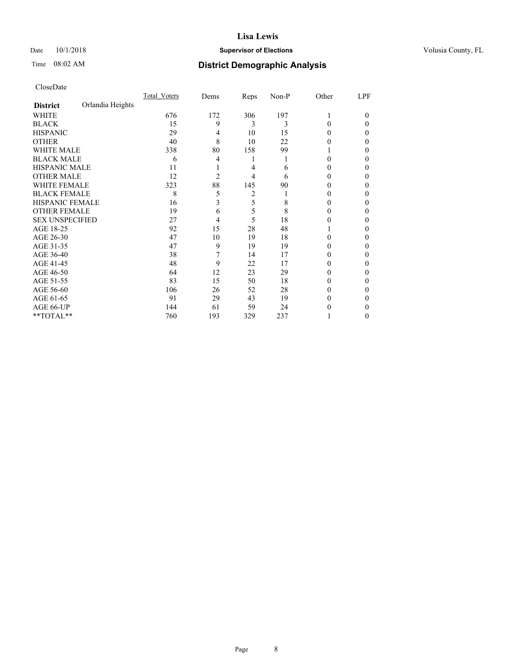#### Date  $10/1/2018$  **Supervisor of Elections Supervisor of Elections** Volusia County, FL

# Time 08:02 AM **District Demographic Analysis**

|                        |                  | Total Voters | Dems           | Reps | Non-P | Other | LPF    |
|------------------------|------------------|--------------|----------------|------|-------|-------|--------|
| <b>District</b>        | Orlandia Heights |              |                |      |       |       |        |
| WHITE                  |                  | 676          | 172            | 306  | 197   | 1     | $_{0}$ |
| <b>BLACK</b>           |                  | 15           | 9              | 3    | 3     | 0     | 0      |
| <b>HISPANIC</b>        |                  | 29           | 4              | 10   | 15    | 0     | 0      |
| <b>OTHER</b>           |                  | 40           | 8              | 10   | 22    | 0     | 0      |
| WHITE MALE             |                  | 338          | 80             | 158  | 99    |       | 0      |
| <b>BLACK MALE</b>      |                  | 6            | 4              | 1    |       | 0     | 0      |
| <b>HISPANIC MALE</b>   |                  | 11           |                | 4    | 6     | 0     | 0      |
| <b>OTHER MALE</b>      |                  | 12           | $\overline{c}$ | 4    | 6     | 0     | 0      |
| <b>WHITE FEMALE</b>    |                  | 323          | 88             | 145  | 90    |       | 0      |
| <b>BLACK FEMALE</b>    |                  | 8            | 5              | 2    |       | 0     | 0      |
| <b>HISPANIC FEMALE</b> |                  | 16           | 3              | 5    | 8     | 0     | 0      |
| <b>OTHER FEMALE</b>    |                  | 19           | 6              | 5    | 8     | 0     | 0      |
| <b>SEX UNSPECIFIED</b> |                  | 27           | 4              | 5    | 18    | 0     | 0      |
| AGE 18-25              |                  | 92           | 15             | 28   | 48    |       | 0      |
| AGE 26-30              |                  | 47           | 10             | 19   | 18    | 0     | 0      |
| AGE 31-35              |                  | 47           | 9              | 19   | 19    | 0     | 0      |
| AGE 36-40              |                  | 38           | 7              | 14   | 17    | 0     | 0      |
| AGE 41-45              |                  | 48           | 9              | 22   | 17    | 0     | 0      |
| AGE 46-50              |                  | 64           | 12             | 23   | 29    | 0     | 0      |
| AGE 51-55              |                  | 83           | 15             | 50   | 18    | 0     | 0      |
| AGE 56-60              |                  | 106          | 26             | 52   | 28    | 0     | 0      |
| AGE 61-65              |                  | 91           | 29             | 43   | 19    | 0     | 0      |
| AGE 66-UP              |                  | 144          | 61             | 59   | 24    |       | 0      |
| **TOTAL**              |                  | 760          | 193            | 329  | 237   |       | 0      |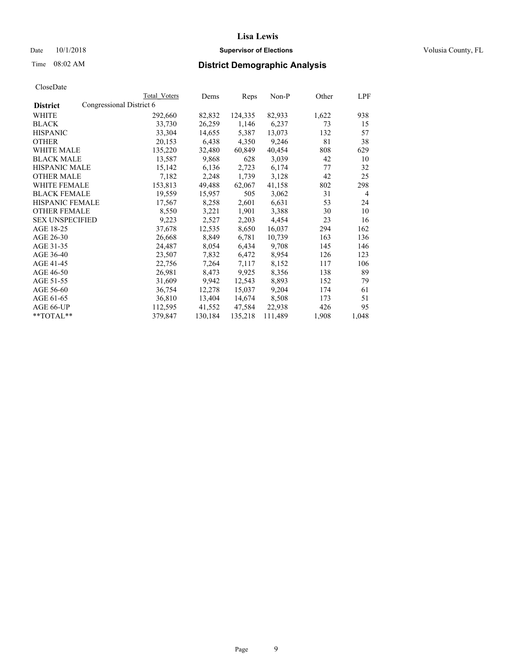#### Date  $10/1/2018$  **Supervisor of Elections Supervisor of Elections** Volusia County, FL

|                        |                          | Total Voters | Dems    | Reps    | Non-P   | Other | LPF            |
|------------------------|--------------------------|--------------|---------|---------|---------|-------|----------------|
| <b>District</b>        | Congressional District 6 |              |         |         |         |       |                |
| WHITE                  |                          | 292,660      | 82,832  | 124,335 | 82,933  | 1,622 | 938            |
| <b>BLACK</b>           |                          | 33,730       | 26,259  | 1,146   | 6,237   | 73    | 15             |
| <b>HISPANIC</b>        |                          | 33,304       | 14,655  | 5,387   | 13,073  | 132   | 57             |
| <b>OTHER</b>           |                          | 20,153       | 6,438   | 4,350   | 9,246   | 81    | 38             |
| WHITE MALE             |                          | 135,220      | 32,480  | 60,849  | 40,454  | 808   | 629            |
| <b>BLACK MALE</b>      |                          | 13,587       | 9,868   | 628     | 3,039   | 42    | 10             |
| <b>HISPANIC MALE</b>   |                          | 15,142       | 6,136   | 2,723   | 6,174   | 77    | 32             |
| <b>OTHER MALE</b>      |                          | 7,182        | 2,248   | 1,739   | 3,128   | 42    | 25             |
| <b>WHITE FEMALE</b>    |                          | 153,813      | 49,488  | 62,067  | 41,158  | 802   | 298            |
| <b>BLACK FEMALE</b>    |                          | 19,559       | 15,957  | 505     | 3,062   | 31    | $\overline{4}$ |
| <b>HISPANIC FEMALE</b> |                          | 17,567       | 8,258   | 2,601   | 6,631   | 53    | 24             |
| <b>OTHER FEMALE</b>    |                          | 8,550        | 3,221   | 1,901   | 3,388   | 30    | 10             |
| <b>SEX UNSPECIFIED</b> |                          | 9,223        | 2,527   | 2,203   | 4,454   | 23    | 16             |
| AGE 18-25              |                          | 37,678       | 12,535  | 8,650   | 16,037  | 294   | 162            |
| AGE 26-30              |                          | 26,668       | 8,849   | 6,781   | 10,739  | 163   | 136            |
| AGE 31-35              |                          | 24,487       | 8,054   | 6,434   | 9,708   | 145   | 146            |
| AGE 36-40              |                          | 23,507       | 7,832   | 6,472   | 8,954   | 126   | 123            |
| AGE 41-45              |                          | 22,756       | 7,264   | 7,117   | 8,152   | 117   | 106            |
| AGE 46-50              |                          | 26,981       | 8,473   | 9,925   | 8,356   | 138   | 89             |
| AGE 51-55              |                          | 31,609       | 9,942   | 12,543  | 8,893   | 152   | 79             |
| AGE 56-60              |                          | 36,754       | 12,278  | 15,037  | 9,204   | 174   | 61             |
| AGE 61-65              |                          | 36,810       | 13,404  | 14,674  | 8,508   | 173   | 51             |
| AGE 66-UP              |                          | 112,595      | 41,552  | 47,584  | 22,938  | 426   | 95             |
| $*$ $TOTAL**$          |                          | 379,847      | 130,184 | 135,218 | 111,489 | 1,908 | 1,048          |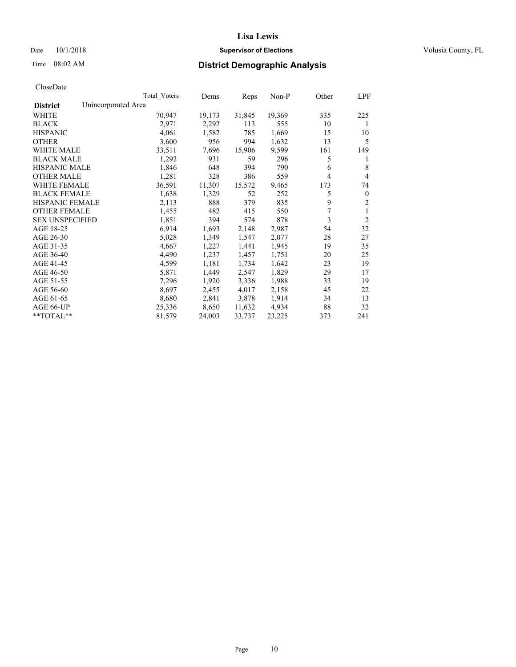#### Date  $10/1/2018$  **Supervisor of Elections Supervisor of Elections** Volusia County, FL

## Time 08:02 AM **District Demographic Analysis**

|                                        | Total Voters | Dems   | Reps   | Non-P  | Other | LPF            |
|----------------------------------------|--------------|--------|--------|--------|-------|----------------|
| Unincorporated Area<br><b>District</b> |              |        |        |        |       |                |
| WHITE                                  | 70,947       | 19,173 | 31,845 | 19,369 | 335   | 225            |
| <b>BLACK</b>                           | 2,971        | 2,292  | 113    | 555    | 10    | 1              |
| <b>HISPANIC</b>                        | 4,061        | 1,582  | 785    | 1,669  | 15    | 10             |
| <b>OTHER</b>                           | 3,600        | 956    | 994    | 1,632  | 13    | 5              |
| WHITE MALE                             | 33,511       | 7,696  | 15,906 | 9,599  | 161   | 149            |
| <b>BLACK MALE</b>                      | 1,292        | 931    | 59     | 296    | 5     | 1              |
| <b>HISPANIC MALE</b>                   | 1,846        | 648    | 394    | 790    | 6     | 8              |
| <b>OTHER MALE</b>                      | 1,281        | 328    | 386    | 559    | 4     | 4              |
| WHITE FEMALE                           | 36,591       | 11,307 | 15,572 | 9,465  | 173   | 74             |
| <b>BLACK FEMALE</b>                    | 1,638        | 1,329  | 52     | 252    | 5     | $\mathbf{0}$   |
| <b>HISPANIC FEMALE</b>                 | 2,113        | 888    | 379    | 835    | 9     | $\overline{2}$ |
| <b>OTHER FEMALE</b>                    | 1,455        | 482    | 415    | 550    | 7     | 1              |
| <b>SEX UNSPECIFIED</b>                 | 1,851        | 394    | 574    | 878    | 3     | $\overline{2}$ |
| AGE 18-25                              | 6,914        | 1,693  | 2,148  | 2,987  | 54    | 32             |
| AGE 26-30                              | 5,028        | 1,349  | 1,547  | 2,077  | 28    | 27             |
| AGE 31-35                              | 4,667        | 1,227  | 1,441  | 1,945  | 19    | 35             |
| AGE 36-40                              | 4,490        | 1,237  | 1,457  | 1,751  | 20    | 25             |
| AGE 41-45                              | 4,599        | 1,181  | 1,734  | 1,642  | 23    | 19             |
| AGE 46-50                              | 5,871        | 1,449  | 2,547  | 1,829  | 29    | 17             |
| AGE 51-55                              | 7,296        | 1,920  | 3,336  | 1,988  | 33    | 19             |
| AGE 56-60                              | 8,697        | 2,455  | 4,017  | 2,158  | 45    | 22             |
| AGE 61-65                              | 8,680        | 2,841  | 3,878  | 1,914  | 34    | 13             |
| AGE 66-UP                              | 25,336       | 8,650  | 11,632 | 4,934  | 88    | 32             |
| $*$ $TOTAL**$                          | 81,579       | 24,003 | 33,737 | 23,225 | 373   | 241            |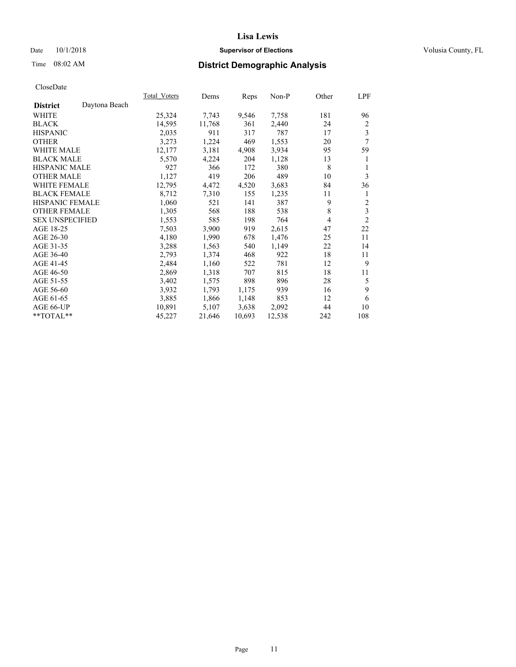## Date  $10/1/2018$  **Supervisor of Elections** Volusia County, FL

# Time 08:02 AM **District Demographic Analysis**

|                        |               | Total Voters | Dems   | Reps   | Non-P  | Other | LPF            |
|------------------------|---------------|--------------|--------|--------|--------|-------|----------------|
| <b>District</b>        | Daytona Beach |              |        |        |        |       |                |
| WHITE                  |               | 25,324       | 7,743  | 9,546  | 7,758  | 181   | 96             |
| <b>BLACK</b>           |               | 14,595       | 11,768 | 361    | 2,440  | 24    | 2              |
| <b>HISPANIC</b>        |               | 2,035        | 911    | 317    | 787    | 17    | 3              |
| <b>OTHER</b>           |               | 3,273        | 1,224  | 469    | 1,553  | 20    | $\overline{7}$ |
| <b>WHITE MALE</b>      |               | 12,177       | 3,181  | 4,908  | 3,934  | 95    | 59             |
| <b>BLACK MALE</b>      |               | 5,570        | 4,224  | 204    | 1,128  | 13    | 1              |
| <b>HISPANIC MALE</b>   |               | 927          | 366    | 172    | 380    | 8     | 1              |
| <b>OTHER MALE</b>      |               | 1,127        | 419    | 206    | 489    | 10    | 3              |
| <b>WHITE FEMALE</b>    |               | 12,795       | 4,472  | 4,520  | 3,683  | 84    | 36             |
| <b>BLACK FEMALE</b>    |               | 8,712        | 7,310  | 155    | 1,235  | 11    | 1              |
| <b>HISPANIC FEMALE</b> |               | 1,060        | 521    | 141    | 387    | 9     | 2              |
| <b>OTHER FEMALE</b>    |               | 1,305        | 568    | 188    | 538    | 8     | 3              |
| <b>SEX UNSPECIFIED</b> |               | 1,553        | 585    | 198    | 764    | 4     | $\overline{2}$ |
| AGE 18-25              |               | 7,503        | 3,900  | 919    | 2,615  | 47    | 22             |
| AGE 26-30              |               | 4,180        | 1,990  | 678    | 1,476  | 25    | 11             |
| AGE 31-35              |               | 3,288        | 1,563  | 540    | 1,149  | 22    | 14             |
| AGE 36-40              |               | 2,793        | 1,374  | 468    | 922    | 18    | 11             |
| AGE 41-45              |               | 2,484        | 1,160  | 522    | 781    | 12    | 9              |
| AGE 46-50              |               | 2,869        | 1,318  | 707    | 815    | 18    | 11             |
| AGE 51-55              |               | 3,402        | 1,575  | 898    | 896    | 28    | 5              |
| AGE 56-60              |               | 3,932        | 1,793  | 1,175  | 939    | 16    | 9              |
| AGE 61-65              |               | 3,885        | 1,866  | 1,148  | 853    | 12    | 6              |
| AGE 66-UP              |               | 10,891       | 5,107  | 3,638  | 2,092  | 44    | 10             |
| $*$ TOTAL $*$          |               | 45,227       | 21,646 | 10,693 | 12,538 | 242   | 108            |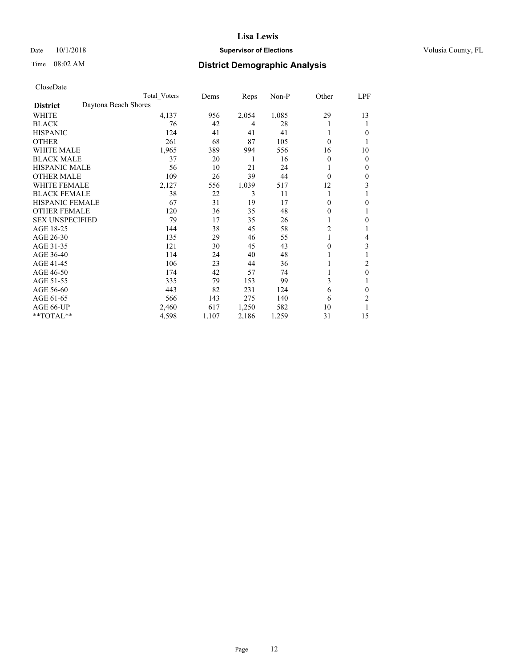## Date  $10/1/2018$  **Supervisor of Elections** Volusia County, FL

# Time 08:02 AM **District Demographic Analysis**

|                        |                      | Total Voters | Dems  | Reps  | Non-P | Other          | LPF          |
|------------------------|----------------------|--------------|-------|-------|-------|----------------|--------------|
| <b>District</b>        | Daytona Beach Shores |              |       |       |       |                |              |
| WHITE                  |                      | 4,137        | 956   | 2,054 | 1,085 | 29             | 13           |
| <b>BLACK</b>           |                      | 76           | 42    | 4     | 28    |                | 1            |
| <b>HISPANIC</b>        |                      | 124          | 41    | 41    | 41    |                | $\theta$     |
| <b>OTHER</b>           |                      | 261          | 68    | 87    | 105   | $\theta$       |              |
| <b>WHITE MALE</b>      |                      | 1,965        | 389   | 994   | 556   | 16             | 10           |
| <b>BLACK MALE</b>      |                      | 37           | 20    | 1     | 16    | $\theta$       | $\mathbf{0}$ |
| <b>HISPANIC MALE</b>   |                      | 56           | 10    | 21    | 24    |                | $\mathbf{0}$ |
| <b>OTHER MALE</b>      |                      | 109          | 26    | 39    | 44    | $\theta$       | $\theta$     |
| <b>WHITE FEMALE</b>    |                      | 2,127        | 556   | 1,039 | 517   | 12             | 3            |
| <b>BLACK FEMALE</b>    |                      | 38           | 22    | 3     | 11    |                |              |
| <b>HISPANIC FEMALE</b> |                      | 67           | 31    | 19    | 17    | 0              | $\theta$     |
| <b>OTHER FEMALE</b>    |                      | 120          | 36    | 35    | 48    | 0              | 1            |
| <b>SEX UNSPECIFIED</b> |                      | 79           | 17    | 35    | 26    |                | $\mathbf{0}$ |
| AGE 18-25              |                      | 144          | 38    | 45    | 58    | $\overline{c}$ |              |
| AGE 26-30              |                      | 135          | 29    | 46    | 55    | 1              | 4            |
| AGE 31-35              |                      | 121          | 30    | 45    | 43    | 0              | 3            |
| AGE 36-40              |                      | 114          | 24    | 40    | 48    |                |              |
| AGE 41-45              |                      | 106          | 23    | 44    | 36    |                | 2            |
| AGE 46-50              |                      | 174          | 42    | 57    | 74    |                | $\theta$     |
| AGE 51-55              |                      | 335          | 79    | 153   | 99    | 3              | 1            |
| AGE 56-60              |                      | 443          | 82    | 231   | 124   | 6              | $\theta$     |
| AGE 61-65              |                      | 566          | 143   | 275   | 140   | 6              | 2            |
| AGE 66-UP              |                      | 2,460        | 617   | 1,250 | 582   | 10             |              |
| **TOTAL**              |                      | 4,598        | 1,107 | 2,186 | 1,259 | 31             | 15           |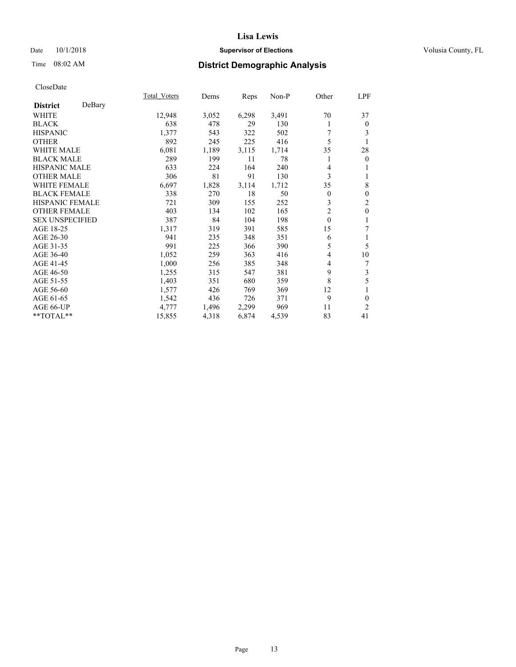## Date  $10/1/2018$  **Supervisor of Elections** Volusia County, FL

# Time 08:02 AM **District Demographic Analysis**

|                        |        | Total Voters | Dems  | Reps  | Non-P | Other          | LPF            |
|------------------------|--------|--------------|-------|-------|-------|----------------|----------------|
| <b>District</b>        | DeBary |              |       |       |       |                |                |
| WHITE                  |        | 12,948       | 3,052 | 6,298 | 3,491 | 70             | 37             |
| <b>BLACK</b>           |        | 638          | 478   | 29    | 130   | 1              | $\theta$       |
| <b>HISPANIC</b>        |        | 1,377        | 543   | 322   | 502   | 7              | 3              |
| <b>OTHER</b>           |        | 892          | 245   | 225   | 416   | 5              |                |
| <b>WHITE MALE</b>      |        | 6,081        | 1,189 | 3,115 | 1,714 | 35             | 28             |
| <b>BLACK MALE</b>      |        | 289          | 199   | 11    | 78    | 1              | $\overline{0}$ |
| <b>HISPANIC MALE</b>   |        | 633          | 224   | 164   | 240   | 4              |                |
| <b>OTHER MALE</b>      |        | 306          | 81    | 91    | 130   | 3              | 1              |
| <b>WHITE FEMALE</b>    |        | 6,697        | 1,828 | 3,114 | 1,712 | 35             | 8              |
| <b>BLACK FEMALE</b>    |        | 338          | 270   | 18    | 50    | $\overline{0}$ | $\mathbf{0}$   |
| <b>HISPANIC FEMALE</b> |        | 721          | 309   | 155   | 252   | 3              | $\mathfrak{2}$ |
| <b>OTHER FEMALE</b>    |        | 403          | 134   | 102   | 165   | $\overline{2}$ | $\mathbf{0}$   |
| <b>SEX UNSPECIFIED</b> |        | 387          | 84    | 104   | 198   | $\theta$       | 1              |
| AGE 18-25              |        | 1,317        | 319   | 391   | 585   | 15             | 7              |
| AGE 26-30              |        | 941          | 235   | 348   | 351   | 6              | 1              |
| AGE 31-35              |        | 991          | 225   | 366   | 390   | 5              | 5              |
| AGE 36-40              |        | 1,052        | 259   | 363   | 416   | 4              | 10             |
| AGE 41-45              |        | 1,000        | 256   | 385   | 348   | 4              | 7              |
| AGE 46-50              |        | 1,255        | 315   | 547   | 381   | 9              | 3              |
| AGE 51-55              |        | 1,403        | 351   | 680   | 359   | 8              | 5              |
| AGE 56-60              |        | 1,577        | 426   | 769   | 369   | 12             |                |
| AGE 61-65              |        | 1,542        | 436   | 726   | 371   | 9              | $\mathbf{0}$   |
| AGE 66-UP              |        | 4,777        | 1,496 | 2,299 | 969   | 11             | $\overline{2}$ |
| **TOTAL**              |        | 15,855       | 4,318 | 6,874 | 4,539 | 83             | 41             |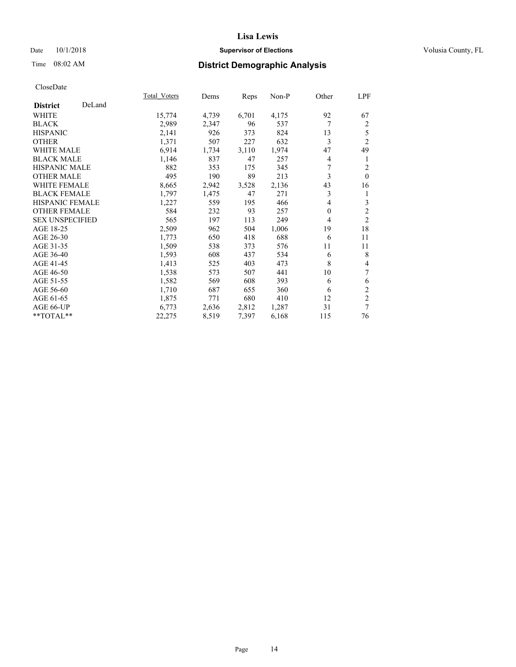## Date  $10/1/2018$  **Supervisor of Elections** Volusia County, FL

# Time 08:02 AM **District Demographic Analysis**

|                        |        | Total Voters | Dems  | Reps  | Non-P | Other          | LPF            |
|------------------------|--------|--------------|-------|-------|-------|----------------|----------------|
| <b>District</b>        | DeLand |              |       |       |       |                |                |
| WHITE                  |        | 15,774       | 4,739 | 6,701 | 4,175 | 92             | 67             |
| <b>BLACK</b>           |        | 2,989        | 2,347 | 96    | 537   | 7              | $\overline{2}$ |
| <b>HISPANIC</b>        |        | 2,141        | 926   | 373   | 824   | 13             | 5              |
| <b>OTHER</b>           |        | 1,371        | 507   | 227   | 632   | 3              | $\overline{2}$ |
| WHITE MALE             |        | 6,914        | 1,734 | 3,110 | 1,974 | 47             | 49             |
| <b>BLACK MALE</b>      |        | 1,146        | 837   | 47    | 257   | 4              | 1              |
| <b>HISPANIC MALE</b>   |        | 882          | 353   | 175   | 345   | 7              | 2              |
| <b>OTHER MALE</b>      |        | 495          | 190   | 89    | 213   | 3              | $\Omega$       |
| <b>WHITE FEMALE</b>    |        | 8,665        | 2,942 | 3,528 | 2,136 | 43             | 16             |
| <b>BLACK FEMALE</b>    |        | 1,797        | 1,475 | 47    | 271   | 3              | 1              |
| <b>HISPANIC FEMALE</b> |        | 1,227        | 559   | 195   | 466   | 4              | 3              |
| <b>OTHER FEMALE</b>    |        | 584          | 232   | 93    | 257   | $\overline{0}$ | $\overline{2}$ |
| <b>SEX UNSPECIFIED</b> |        | 565          | 197   | 113   | 249   | 4              | $\overline{2}$ |
| AGE 18-25              |        | 2,509        | 962   | 504   | 1,006 | 19             | 18             |
| AGE 26-30              |        | 1,773        | 650   | 418   | 688   | 6              | 11             |
| AGE 31-35              |        | 1,509        | 538   | 373   | 576   | 11             | 11             |
| AGE 36-40              |        | 1,593        | 608   | 437   | 534   | 6              | 8              |
| AGE 41-45              |        | 1,413        | 525   | 403   | 473   | 8              | 4              |
| AGE 46-50              |        | 1,538        | 573   | 507   | 441   | 10             | 7              |
| AGE 51-55              |        | 1,582        | 569   | 608   | 393   | 6              | 6              |
| AGE 56-60              |        | 1,710        | 687   | 655   | 360   | 6              | $\mathfrak{2}$ |
| AGE 61-65              |        | 1,875        | 771   | 680   | 410   | 12             | $\mathfrak{2}$ |
| AGE 66-UP              |        | 6,773        | 2,636 | 2,812 | 1,287 | 31             | 7              |
| **TOTAL**              |        | 22,275       | 8,519 | 7,397 | 6,168 | 115            | 76             |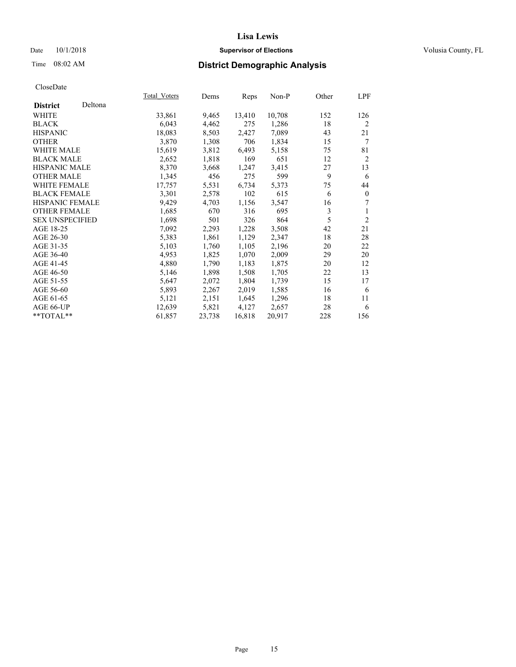## Date  $10/1/2018$  **Supervisor of Elections** Volusia County, FL

## Time 08:02 AM **District Demographic Analysis**

|                        |         | Total Voters | Dems   | Reps   | Non-P  | Other | LPF            |
|------------------------|---------|--------------|--------|--------|--------|-------|----------------|
| <b>District</b>        | Deltona |              |        |        |        |       |                |
| WHITE                  |         | 33,861       | 9,465  | 13,410 | 10,708 | 152   | 126            |
| <b>BLACK</b>           |         | 6,043        | 4,462  | 275    | 1,286  | 18    | $\overline{2}$ |
| <b>HISPANIC</b>        |         | 18,083       | 8,503  | 2,427  | 7,089  | 43    | 21             |
| <b>OTHER</b>           |         | 3,870        | 1,308  | 706    | 1,834  | 15    | 7              |
| WHITE MALE             |         | 15,619       | 3,812  | 6,493  | 5,158  | 75    | 81             |
| <b>BLACK MALE</b>      |         | 2,652        | 1,818  | 169    | 651    | 12    | $\overline{2}$ |
| <b>HISPANIC MALE</b>   |         | 8,370        | 3,668  | 1,247  | 3,415  | 27    | 13             |
| <b>OTHER MALE</b>      |         | 1,345        | 456    | 275    | 599    | 9     | 6              |
| <b>WHITE FEMALE</b>    |         | 17,757       | 5,531  | 6,734  | 5,373  | 75    | 44             |
| <b>BLACK FEMALE</b>    |         | 3,301        | 2,578  | 102    | 615    | 6     | $\mathbf{0}$   |
| HISPANIC FEMALE        |         | 9,429        | 4,703  | 1,156  | 3,547  | 16    | 7              |
| <b>OTHER FEMALE</b>    |         | 1,685        | 670    | 316    | 695    | 3     | 1              |
| <b>SEX UNSPECIFIED</b> |         | 1,698        | 501    | 326    | 864    | 5     | $\overline{2}$ |
| AGE 18-25              |         | 7,092        | 2,293  | 1,228  | 3,508  | 42    | 21             |
| AGE 26-30              |         | 5,383        | 1,861  | 1,129  | 2,347  | 18    | 28             |
| AGE 31-35              |         | 5,103        | 1,760  | 1,105  | 2,196  | 20    | 22             |
| AGE 36-40              |         | 4,953        | 1,825  | 1,070  | 2,009  | 29    | 20             |
| AGE 41-45              |         | 4,880        | 1,790  | 1,183  | 1,875  | 20    | 12             |
| AGE 46-50              |         | 5,146        | 1,898  | 1,508  | 1,705  | 22    | 13             |
| AGE 51-55              |         | 5,647        | 2,072  | 1,804  | 1,739  | 15    | 17             |
| AGE 56-60              |         | 5,893        | 2,267  | 2,019  | 1,585  | 16    | 6              |
| AGE 61-65              |         | 5,121        | 2,151  | 1,645  | 1,296  | 18    | 11             |
| AGE 66-UP              |         | 12,639       | 5,821  | 4,127  | 2,657  | 28    | 6              |
| $*$ $TOTAL**$          |         | 61,857       | 23,738 | 16,818 | 20,917 | 228   | 156            |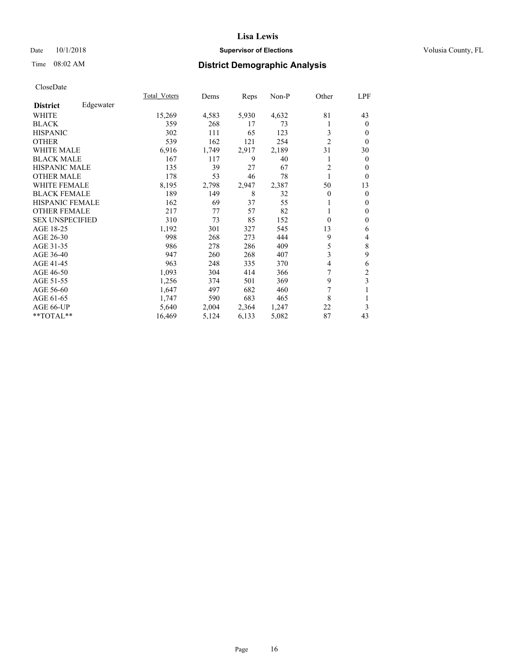## Date  $10/1/2018$  **Supervisor of Elections** Volusia County, FL

# Time 08:02 AM **District Demographic Analysis**

|                        |           | Total Voters | Dems  | Reps  | Non-P | Other          | LPF            |
|------------------------|-----------|--------------|-------|-------|-------|----------------|----------------|
| <b>District</b>        | Edgewater |              |       |       |       |                |                |
| WHITE                  |           | 15,269       | 4,583 | 5,930 | 4,632 | 81             | 43             |
| <b>BLACK</b>           |           | 359          | 268   | 17    | 73    |                | $\overline{0}$ |
| <b>HISPANIC</b>        |           | 302          | 111   | 65    | 123   | 3              | $\Omega$       |
| <b>OTHER</b>           |           | 539          | 162   | 121   | 254   | $\overline{c}$ | $\theta$       |
| WHITE MALE             |           | 6,916        | 1,749 | 2,917 | 2,189 | 31             | 30             |
| <b>BLACK MALE</b>      |           | 167          | 117   | 9     | 40    |                | $\theta$       |
| <b>HISPANIC MALE</b>   |           | 135          | 39    | 27    | 67    | $\overline{2}$ | $\theta$       |
| <b>OTHER MALE</b>      |           | 178          | 53    | 46    | 78    | 1              | $\theta$       |
| <b>WHITE FEMALE</b>    |           | 8,195        | 2,798 | 2,947 | 2,387 | 50             | 13             |
| <b>BLACK FEMALE</b>    |           | 189          | 149   | 8     | 32    | 0              | $\Omega$       |
| <b>HISPANIC FEMALE</b> |           | 162          | 69    | 37    | 55    |                | $\theta$       |
| <b>OTHER FEMALE</b>    |           | 217          | 77    | 57    | 82    |                | $\mathbf{0}$   |
| <b>SEX UNSPECIFIED</b> |           | 310          | 73    | 85    | 152   | $\Omega$       | $\theta$       |
| AGE 18-25              |           | 1,192        | 301   | 327   | 545   | 13             | 6              |
| AGE 26-30              |           | 998          | 268   | 273   | 444   | 9              | 4              |
| AGE 31-35              |           | 986          | 278   | 286   | 409   | 5              | 8              |
| AGE 36-40              |           | 947          | 260   | 268   | 407   | 3              | 9              |
| AGE 41-45              |           | 963          | 248   | 335   | 370   | 4              | 6              |
| AGE 46-50              |           | 1,093        | 304   | 414   | 366   | 7              | $\overline{c}$ |
| AGE 51-55              |           | 1,256        | 374   | 501   | 369   | 9              | 3              |
| AGE 56-60              |           | 1,647        | 497   | 682   | 460   | 7              | 1              |
| AGE 61-65              |           | 1,747        | 590   | 683   | 465   | 8              | 1              |
| AGE 66-UP              |           | 5,640        | 2,004 | 2,364 | 1,247 | 22             | 3              |
| **TOTAL**              |           | 16,469       | 5,124 | 6,133 | 5,082 | 87             | 43             |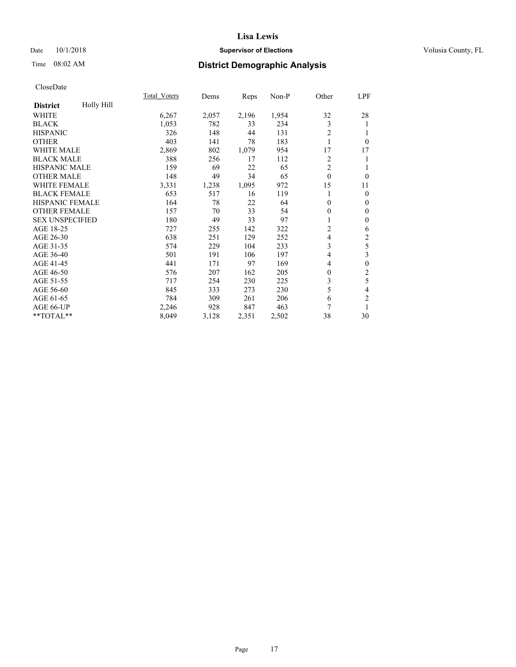## Date  $10/1/2018$  **Supervisor of Elections** Volusia County, FL

# Time 08:02 AM **District Demographic Analysis**

|                        |            | Total Voters | Dems  | Reps  | $Non-P$ | Other          | LPF              |
|------------------------|------------|--------------|-------|-------|---------|----------------|------------------|
| <b>District</b>        | Holly Hill |              |       |       |         |                |                  |
| <b>WHITE</b>           |            | 6,267        | 2,057 | 2,196 | 1,954   | 32             | 28               |
| <b>BLACK</b>           |            | 1,053        | 782   | 33    | 234     | 3              | 1                |
| <b>HISPANIC</b>        |            | 326          | 148   | 44    | 131     | $\overline{2}$ | 1                |
| <b>OTHER</b>           |            | 403          | 141   | 78    | 183     |                | $\theta$         |
| <b>WHITE MALE</b>      |            | 2,869        | 802   | 1,079 | 954     | 17             | 17               |
| <b>BLACK MALE</b>      |            | 388          | 256   | 17    | 112     | 2              | 1                |
| <b>HISPANIC MALE</b>   |            | 159          | 69    | 22    | 65      | $\overline{2}$ |                  |
| <b>OTHER MALE</b>      |            | 148          | 49    | 34    | 65      | $\mathbf{0}$   | $\theta$         |
| WHITE FEMALE           |            | 3,331        | 1,238 | 1,095 | 972     | 15             | 11               |
| <b>BLACK FEMALE</b>    |            | 653          | 517   | 16    | 119     | 1              | $\theta$         |
| <b>HISPANIC FEMALE</b> |            | 164          | 78    | 22    | 64      | 0              | 0                |
| <b>OTHER FEMALE</b>    |            | 157          | 70    | 33    | 54      | 0              | $\theta$         |
| <b>SEX UNSPECIFIED</b> |            | 180          | 49    | 33    | 97      | 1              | $\theta$         |
| AGE 18-25              |            | 727          | 255   | 142   | 322     | 2              | 6                |
| AGE 26-30              |            | 638          | 251   | 129   | 252     | 4              | 2                |
| AGE 31-35              |            | 574          | 229   | 104   | 233     | 3              | 5                |
| AGE 36-40              |            | 501          | 191   | 106   | 197     | 4              | 3                |
| AGE 41-45              |            | 441          | 171   | 97    | 169     | 4              | $\boldsymbol{0}$ |
| AGE 46-50              |            | 576          | 207   | 162   | 205     | 0              | 2                |
| AGE 51-55              |            | 717          | 254   | 230   | 225     | 3              | 5                |
| AGE 56-60              |            | 845          | 333   | 273   | 230     | 5              | 4                |
| AGE 61-65              |            | 784          | 309   | 261   | 206     | 6              | $\overline{2}$   |
| AGE 66-UP              |            | 2,246        | 928   | 847   | 463     | 7              |                  |
| **TOTAL**              |            | 8,049        | 3,128 | 2,351 | 2,502   | 38             | 30               |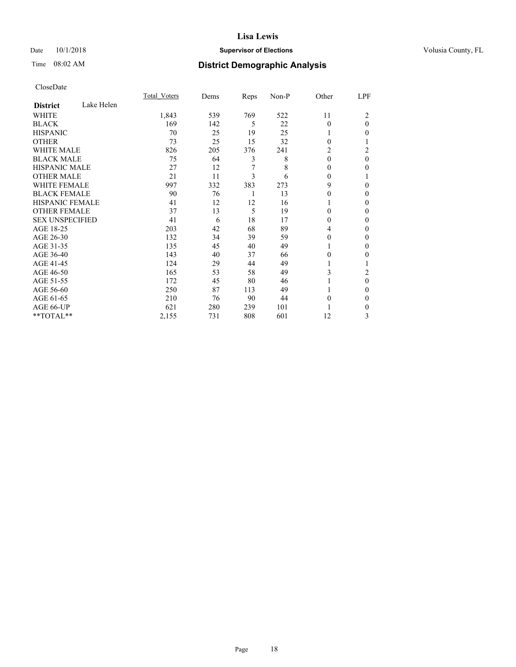## Date  $10/1/2018$  **Supervisor of Elections** Volusia County, FL

# Time 08:02 AM **District Demographic Analysis**

|                        |            | Total Voters | Dems | Reps | Non-P | Other    | LPF      |
|------------------------|------------|--------------|------|------|-------|----------|----------|
| <b>District</b>        | Lake Helen |              |      |      |       |          |          |
| WHITE                  |            | 1,843        | 539  | 769  | 522   | 11       | 2        |
| <b>BLACK</b>           |            | 169          | 142  | 5    | 22    | $\Omega$ | $\theta$ |
| <b>HISPANIC</b>        |            | 70           | 25   | 19   | 25    | 1        | 0        |
| <b>OTHER</b>           |            | 73           | 25   | 15   | 32    | 0        |          |
| <b>WHITE MALE</b>      |            | 826          | 205  | 376  | 241   | 2        | 2        |
| <b>BLACK MALE</b>      |            | 75           | 64   | 3    | 8     | $\theta$ | $\theta$ |
| <b>HISPANIC MALE</b>   |            | 27           | 12   | 7    | 8     | 0        | 0        |
| <b>OTHER MALE</b>      |            | 21           | 11   | 3    | 6     | $\Omega$ |          |
| <b>WHITE FEMALE</b>    |            | 997          | 332  | 383  | 273   | 9        | 0        |
| <b>BLACK FEMALE</b>    |            | 90           | 76   | 1    | 13    | 0        | 0        |
| <b>HISPANIC FEMALE</b> |            | 41           | 12   | 12   | 16    |          | 0        |
| <b>OTHER FEMALE</b>    |            | 37           | 13   | 5    | 19    | 0        | 0        |
| <b>SEX UNSPECIFIED</b> |            | 41           | 6    | 18   | 17    | 0        | 0        |
| AGE 18-25              |            | 203          | 42   | 68   | 89    | 4        | 0        |
| AGE 26-30              |            | 132          | 34   | 39   | 59    | 0        | 0        |
| AGE 31-35              |            | 135          | 45   | 40   | 49    |          | 0        |
| AGE 36-40              |            | 143          | 40   | 37   | 66    | 0        | 0        |
| AGE 41-45              |            | 124          | 29   | 44   | 49    |          |          |
| AGE 46-50              |            | 165          | 53   | 58   | 49    | 3        | 2        |
| AGE 51-55              |            | 172          | 45   | 80   | 46    |          | 0        |
| AGE 56-60              |            | 250          | 87   | 113  | 49    |          | 0        |
| AGE 61-65              |            | 210          | 76   | 90   | 44    | 0        | 0        |
| AGE 66-UP              |            | 621          | 280  | 239  | 101   |          | 0        |
| **TOTAL**              |            | 2,155        | 731  | 808  | 601   | 12       | 3        |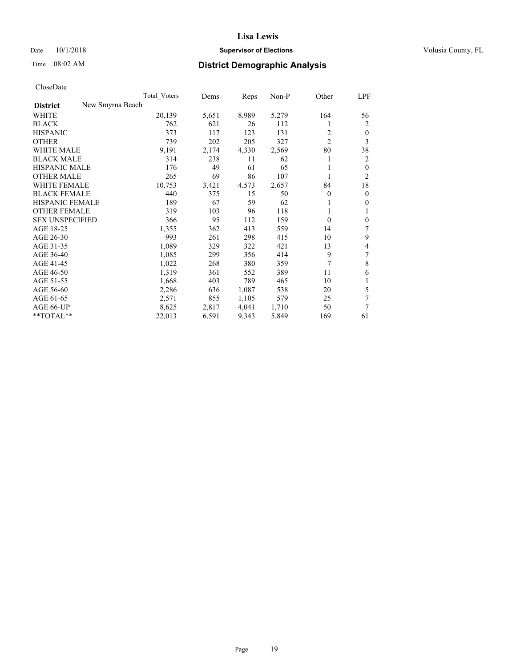#### Date  $10/1/2018$  **Supervisor of Elections Supervisor of Elections** Volusia County, FL

# Time 08:02 AM **District Demographic Analysis**

|                        |                  | Total Voters | Dems  | Reps  | Non-P | Other          | LPF            |
|------------------------|------------------|--------------|-------|-------|-------|----------------|----------------|
| <b>District</b>        | New Smyrna Beach |              |       |       |       |                |                |
| WHITE                  |                  | 20,139       | 5,651 | 8,989 | 5,279 | 164            | 56             |
| <b>BLACK</b>           |                  | 762          | 621   | 26    | 112   |                | 2              |
| <b>HISPANIC</b>        |                  | 373          | 117   | 123   | 131   | 2              | $\theta$       |
| <b>OTHER</b>           |                  | 739          | 202   | 205   | 327   | $\overline{2}$ | 3              |
| <b>WHITE MALE</b>      |                  | 9,191        | 2,174 | 4,330 | 2,569 | 80             | 38             |
| <b>BLACK MALE</b>      |                  | 314          | 238   | 11    | 62    | 1              | 2              |
| <b>HISPANIC MALE</b>   |                  | 176          | 49    | 61    | 65    | 1              | $\mathbf{0}$   |
| <b>OTHER MALE</b>      |                  | 265          | 69    | 86    | 107   | 1              | $\overline{2}$ |
| WHITE FEMALE           |                  | 10,753       | 3,421 | 4,573 | 2,657 | 84             | 18             |
| <b>BLACK FEMALE</b>    |                  | 440          | 375   | 15    | 50    | 0              | $\mathbf{0}$   |
| <b>HISPANIC FEMALE</b> |                  | 189          | 67    | 59    | 62    |                | $\theta$       |
| <b>OTHER FEMALE</b>    |                  | 319          | 103   | 96    | 118   | 1              | 1              |
| <b>SEX UNSPECIFIED</b> |                  | 366          | 95    | 112   | 159   | $\theta$       | $\mathbf{0}$   |
| AGE 18-25              |                  | 1,355        | 362   | 413   | 559   | 14             | 7              |
| AGE 26-30              |                  | 993          | 261   | 298   | 415   | 10             | 9              |
| AGE 31-35              |                  | 1,089        | 329   | 322   | 421   | 13             | 4              |
| AGE 36-40              |                  | 1,085        | 299   | 356   | 414   | 9              | 7              |
| AGE 41-45              |                  | 1,022        | 268   | 380   | 359   | 7              | 8              |
| AGE 46-50              |                  | 1,319        | 361   | 552   | 389   | 11             | 6              |
| AGE 51-55              |                  | 1,668        | 403   | 789   | 465   | 10             | 1              |
| AGE 56-60              |                  | 2,286        | 636   | 1,087 | 538   | 20             | 5              |
| AGE 61-65              |                  | 2,571        | 855   | 1,105 | 579   | 25             | 7              |
| AGE 66-UP              |                  | 8,625        | 2,817 | 4,041 | 1,710 | 50             | 7              |
| $*$ TOTAL $*$          |                  | 22,013       | 6,591 | 9,343 | 5,849 | 169            | 61             |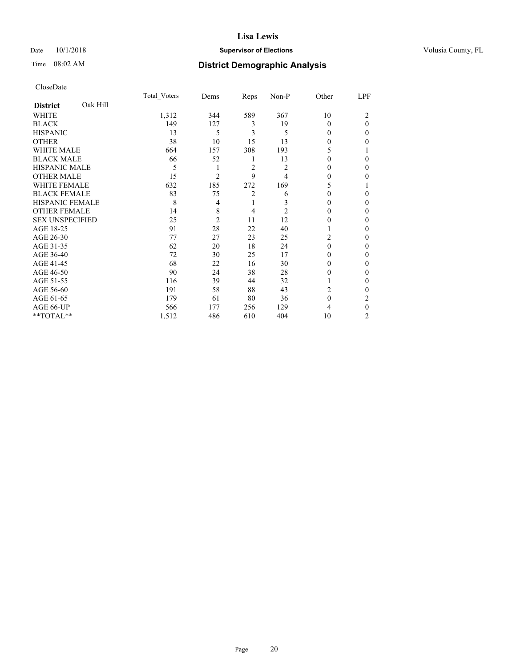## Date  $10/1/2018$  **Supervisor of Elections** Volusia County, FL

# Time 08:02 AM **District Demographic Analysis**

|                        |          | Total Voters | Dems           | Reps           | Non-P          | Other    | LPF            |
|------------------------|----------|--------------|----------------|----------------|----------------|----------|----------------|
| <b>District</b>        | Oak Hill |              |                |                |                |          |                |
| WHITE                  |          | 1,312        | 344            | 589            | 367            | 10       | $\overline{c}$ |
| <b>BLACK</b>           |          | 149          | 127            | 3              | 19             | 0        | $\theta$       |
| <b>HISPANIC</b>        |          | 13           | 5              | 3              | 5              | 0        | 0              |
| <b>OTHER</b>           |          | 38           | 10             | 15             | 13             | 0        | 0              |
| WHITE MALE             |          | 664          | 157            | 308            | 193            | 5        |                |
| <b>BLACK MALE</b>      |          | 66           | 52             | 1              | 13             | 0        | 0              |
| <b>HISPANIC MALE</b>   |          | 5            | 1              | $\overline{c}$ | $\overline{c}$ | 0        | 0              |
| <b>OTHER MALE</b>      |          | 15           | $\overline{2}$ | 9              | 4              | 0        | 0              |
| WHITE FEMALE           |          | 632          | 185            | 272            | 169            | 5        |                |
| <b>BLACK FEMALE</b>    |          | 83           | 75             | 2              | 6              | 0        | 0              |
| <b>HISPANIC FEMALE</b> |          | 8            | 4              | 1              | 3              | 0        | 0              |
| <b>OTHER FEMALE</b>    |          | 14           | 8              | 4              | $\overline{2}$ | $\Omega$ | $\Omega$       |
| <b>SEX UNSPECIFIED</b> |          | 25           | $\overline{c}$ | 11             | 12             | 0        | 0              |
| AGE 18-25              |          | 91           | 28             | 22             | 40             |          | 0              |
| AGE 26-30              |          | 77           | 27             | 23             | 25             | 2        | 0              |
| AGE 31-35              |          | 62           | 20             | 18             | 24             | $\theta$ | 0              |
| AGE 36-40              |          | 72           | 30             | 25             | 17             | 0        | 0              |
| AGE 41-45              |          | 68           | 22             | 16             | 30             | 0        | 0              |
| AGE 46-50              |          | 90           | 24             | 38             | 28             | 0        | $\Omega$       |
| AGE 51-55              |          | 116          | 39             | 44             | 32             |          | 0              |
| AGE 56-60              |          | 191          | 58             | 88             | 43             | 2        | 0              |
| AGE 61-65              |          | 179          | 61             | 80             | 36             | $\theta$ | $\overline{c}$ |
| AGE 66-UP              |          | 566          | 177            | 256            | 129            | 4        | $\Omega$       |
| **TOTAL**              |          | 1,512        | 486            | 610            | 404            | 10       | 2              |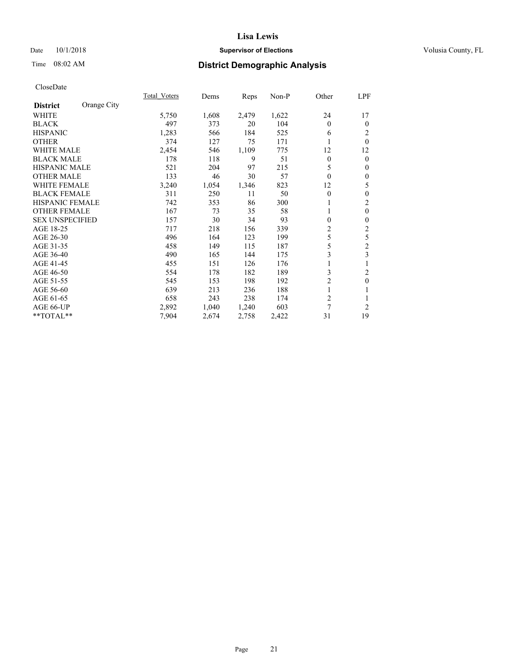## Date  $10/1/2018$  **Supervisor of Elections** Volusia County, FL

# Time 08:02 AM **District Demographic Analysis**

|                        |             | Total Voters | Dems  | Reps  | Non-P | Other          | LPF              |
|------------------------|-------------|--------------|-------|-------|-------|----------------|------------------|
| <b>District</b>        | Orange City |              |       |       |       |                |                  |
| WHITE                  |             | 5,750        | 1,608 | 2,479 | 1,622 | 24             | 17               |
| <b>BLACK</b>           |             | 497          | 373   | 20    | 104   | $\Omega$       | $\overline{0}$   |
| <b>HISPANIC</b>        |             | 1,283        | 566   | 184   | 525   | 6              | 2                |
| <b>OTHER</b>           |             | 374          | 127   | 75    | 171   |                | $\theta$         |
| WHITE MALE             |             | 2,454        | 546   | 1,109 | 775   | 12             | 12               |
| <b>BLACK MALE</b>      |             | 178          | 118   | 9     | 51    | $\theta$       | $\theta$         |
| <b>HISPANIC MALE</b>   |             | 521          | 204   | 97    | 215   | 5              | $\mathbf{0}$     |
| <b>OTHER MALE</b>      |             | 133          | 46    | 30    | 57    | $\mathbf{0}$   | $\boldsymbol{0}$ |
| <b>WHITE FEMALE</b>    |             | 3,240        | 1,054 | 1,346 | 823   | 12             | 5                |
| <b>BLACK FEMALE</b>    |             | 311          | 250   | 11    | 50    | $\theta$       | $\boldsymbol{0}$ |
| <b>HISPANIC FEMALE</b> |             | 742          | 353   | 86    | 300   |                | $\mathfrak{2}$   |
| <b>OTHER FEMALE</b>    |             | 167          | 73    | 35    | 58    |                | $\mathbf{0}$     |
| <b>SEX UNSPECIFIED</b> |             | 157          | 30    | 34    | 93    | 0              | $\mathbf{0}$     |
| AGE 18-25              |             | 717          | 218   | 156   | 339   | 2              | $\sqrt{2}$       |
| AGE 26-30              |             | 496          | 164   | 123   | 199   | 5              | 5                |
| AGE 31-35              |             | 458          | 149   | 115   | 187   | 5              | $\overline{2}$   |
| AGE 36-40              |             | 490          | 165   | 144   | 175   | 3              | 3                |
| AGE 41-45              |             | 455          | 151   | 126   | 176   |                |                  |
| AGE 46-50              |             | 554          | 178   | 182   | 189   | 3              | 2                |
| AGE 51-55              |             | 545          | 153   | 198   | 192   | $\overline{2}$ | $\mathbf{0}$     |
| AGE 56-60              |             | 639          | 213   | 236   | 188   |                | 1                |
| AGE 61-65              |             | 658          | 243   | 238   | 174   | 2              | 1                |
| AGE 66-UP              |             | 2,892        | 1,040 | 1,240 | 603   | $\overline{7}$ | $\overline{2}$   |
| **TOTAL**              |             | 7,904        | 2,674 | 2,758 | 2,422 | 31             | 19               |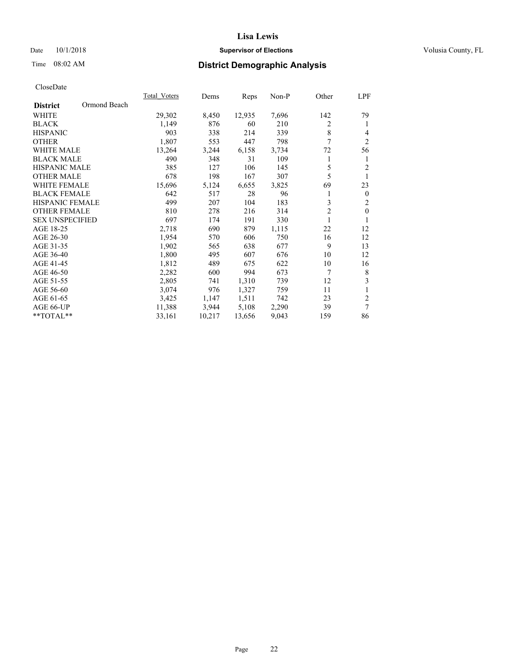## Date  $10/1/2018$  **Supervisor of Elections** Volusia County, FL

# Time 08:02 AM **District Demographic Analysis**

|                                 | Total Voters | Dems   | Reps   | Non-P | Other          | LPF            |
|---------------------------------|--------------|--------|--------|-------|----------------|----------------|
| Ormond Beach<br><b>District</b> |              |        |        |       |                |                |
| WHITE                           | 29,302       | 8,450  | 12,935 | 7,696 | 142            | 79             |
| <b>BLACK</b>                    | 1,149        | 876    | 60     | 210   | 2              | 1              |
| <b>HISPANIC</b>                 | 903          | 338    | 214    | 339   | 8              | $\overline{4}$ |
| <b>OTHER</b>                    | 1,807        | 553    | 447    | 798   | 7              | $\overline{2}$ |
| <b>WHITE MALE</b>               | 13,264       | 3,244  | 6,158  | 3,734 | 72             | 56             |
| <b>BLACK MALE</b>               | 490          | 348    | 31     | 109   | 1              | 1              |
| <b>HISPANIC MALE</b>            | 385          | 127    | 106    | 145   | 5              | $\overline{2}$ |
| <b>OTHER MALE</b>               | 678          | 198    | 167    | 307   | 5              | 1              |
| <b>WHITE FEMALE</b>             | 15,696       | 5,124  | 6,655  | 3,825 | 69             | 23             |
| <b>BLACK FEMALE</b>             | 642          | 517    | 28     | 96    | 1              | $\mathbf{0}$   |
| <b>HISPANIC FEMALE</b>          | 499          | 207    | 104    | 183   | 3              | $\mathfrak{2}$ |
| <b>OTHER FEMALE</b>             | 810          | 278    | 216    | 314   | $\overline{2}$ | $\mathbf{0}$   |
| <b>SEX UNSPECIFIED</b>          | 697          | 174    | 191    | 330   | 1              | 1              |
| AGE 18-25                       | 2,718        | 690    | 879    | 1,115 | 22             | 12             |
| AGE 26-30                       | 1,954        | 570    | 606    | 750   | 16             | 12             |
| AGE 31-35                       | 1,902        | 565    | 638    | 677   | 9              | 13             |
| AGE 36-40                       | 1,800        | 495    | 607    | 676   | 10             | 12             |
| AGE 41-45                       | 1,812        | 489    | 675    | 622   | 10             | 16             |
| AGE 46-50                       | 2,282        | 600    | 994    | 673   | 7              | 8              |
| AGE 51-55                       | 2,805        | 741    | 1,310  | 739   | 12             | 3              |
| AGE 56-60                       | 3,074        | 976    | 1,327  | 759   | 11             | 1              |
| AGE 61-65                       | 3,425        | 1,147  | 1,511  | 742   | 23             | $\overline{2}$ |
| AGE 66-UP                       | 11,388       | 3,944  | 5,108  | 2,290 | 39             | $\overline{7}$ |
| **TOTAL**                       | 33,161       | 10,217 | 13,656 | 9,043 | 159            | 86             |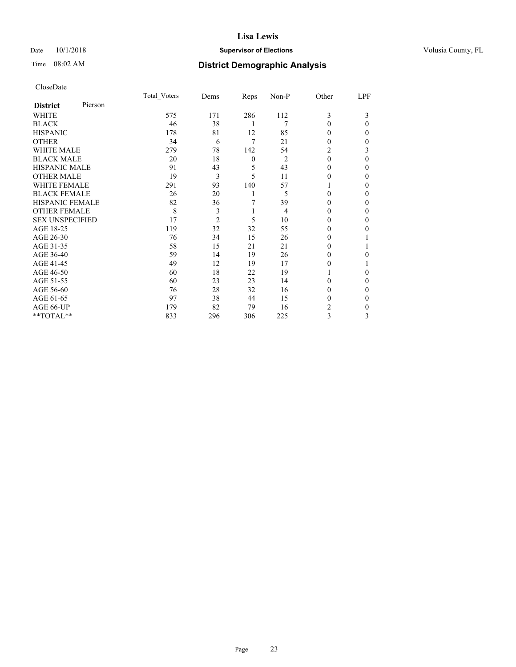## Date  $10/1/2018$  **Supervisor of Elections** Volusia County, FL

# Time 08:02 AM **District Demographic Analysis**

|                        |         | Total Voters | Dems           | Reps     | Non-P          | Other    | LPF      |
|------------------------|---------|--------------|----------------|----------|----------------|----------|----------|
| <b>District</b>        | Pierson |              |                |          |                |          |          |
| WHITE                  |         | 575          | 171            | 286      | 112            | 3        | 3        |
| <b>BLACK</b>           |         | 46           | 38             | 1        | 7              | 0        | $\Omega$ |
| <b>HISPANIC</b>        |         | 178          | 81             | 12       | 85             | 0        | 0        |
| <b>OTHER</b>           |         | 34           | 6              | 7        | 21             | 0        | 0        |
| WHITE MALE             |         | 279          | 78             | 142      | 54             | 2        | 3        |
| <b>BLACK MALE</b>      |         | 20           | 18             | $\theta$ | 2              | $\theta$ | 0        |
| <b>HISPANIC MALE</b>   |         | 91           | 43             | 5        | 43             | 0        | 0        |
| <b>OTHER MALE</b>      |         | 19           | 3              | 5        | 11             | 0        | 0        |
| WHITE FEMALE           |         | 291          | 93             | 140      | 57             |          | 0        |
| <b>BLACK FEMALE</b>    |         | 26           | 20             | 1        | 5              | $\Omega$ | 0        |
| <b>HISPANIC FEMALE</b> |         | 82           | 36             | 7        | 39             | 0        | 0        |
| <b>OTHER FEMALE</b>    |         | 8            | 3              | 1        | $\overline{4}$ | 0        | 0        |
| <b>SEX UNSPECIFIED</b> |         | 17           | $\overline{c}$ | 5        | 10             | 0        | 0        |
| AGE 18-25              |         | 119          | 32             | 32       | 55             | 0        | 0        |
| AGE 26-30              |         | 76           | 34             | 15       | 26             | 0        |          |
| AGE 31-35              |         | 58           | 15             | 21       | 21             | 0        |          |
| AGE 36-40              |         | 59           | 14             | 19       | 26             | $\Omega$ | 0        |
| AGE 41-45              |         | 49           | 12             | 19       | 17             | 0        |          |
| AGE 46-50              |         | 60           | 18             | 22       | 19             |          | 0        |
| AGE 51-55              |         | 60           | 23             | 23       | 14             | 0        | 0        |
| AGE 56-60              |         | 76           | 28             | 32       | 16             | 0        | 0        |
| AGE 61-65              |         | 97           | 38             | 44       | 15             | 0        | $\Omega$ |
| AGE 66-UP              |         | 179          | 82             | 79       | 16             | 2        | 0        |
| **TOTAL**              |         | 833          | 296            | 306      | 225            | 3        | 3        |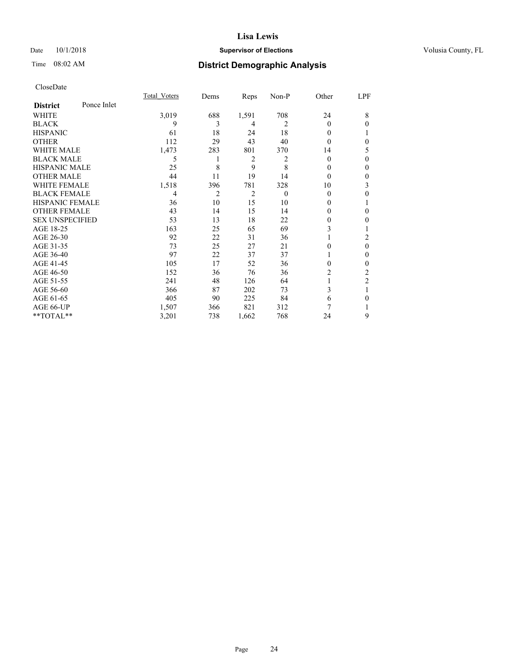## Date  $10/1/2018$  **Supervisor of Elections** Volusia County, FL

# Time 08:02 AM **District Demographic Analysis**

|                        |             | Total Voters | Dems | Reps           | Non-P    | Other    | LPF            |
|------------------------|-------------|--------------|------|----------------|----------|----------|----------------|
| <b>District</b>        | Ponce Inlet |              |      |                |          |          |                |
| WHITE                  |             | 3,019        | 688  | 1,591          | 708      | 24       | 8              |
| <b>BLACK</b>           |             | 9            | 3    | 4              | 2        | $\Omega$ | $\theta$       |
| <b>HISPANIC</b>        |             | 61           | 18   | 24             | 18       | 0        |                |
| <b>OTHER</b>           |             | 112          | 29   | 43             | 40       | 0        | $\theta$       |
| WHITE MALE             |             | 1,473        | 283  | 801            | 370      | 14       | 5              |
| <b>BLACK MALE</b>      |             | 5            |      | $\overline{c}$ | 2        | 0        | $\theta$       |
| <b>HISPANIC MALE</b>   |             | 25           | 8    | 9              | 8        | 0        | $\theta$       |
| <b>OTHER MALE</b>      |             | 44           | 11   | 19             | 14       | $\Omega$ | $\mathbf{0}$   |
| <b>WHITE FEMALE</b>    |             | 1,518        | 396  | 781            | 328      | 10       | 3              |
| <b>BLACK FEMALE</b>    |             | 4            | 2    | 2              | $\theta$ | 0        | $\theta$       |
| <b>HISPANIC FEMALE</b> |             | 36           | 10   | 15             | 10       | 0        |                |
| <b>OTHER FEMALE</b>    |             | 43           | 14   | 15             | 14       | 0        | $\theta$       |
| <b>SEX UNSPECIFIED</b> |             | 53           | 13   | 18             | 22       | 0        | $\theta$       |
| AGE 18-25              |             | 163          | 25   | 65             | 69       | 3        |                |
| AGE 26-30              |             | 92           | 22   | 31             | 36       |          | 2              |
| AGE 31-35              |             | 73           | 25   | 27             | 21       | 0        | $\mathbf{0}$   |
| AGE 36-40              |             | 97           | 22   | 37             | 37       |          | $\mathbf{0}$   |
| AGE 41-45              |             | 105          | 17   | 52             | 36       | 0        | $\theta$       |
| AGE 46-50              |             | 152          | 36   | 76             | 36       | 2        | 2              |
| AGE 51-55              |             | 241          | 48   | 126            | 64       |          | $\overline{2}$ |
| AGE 56-60              |             | 366          | 87   | 202            | 73       | 3        | 1              |
| AGE 61-65              |             | 405          | 90   | 225            | 84       | 6        | $\theta$       |
| AGE 66-UP              |             | 1,507        | 366  | 821            | 312      | 7        |                |
| **TOTAL**              |             | 3,201        | 738  | 1,662          | 768      | 24       | 9              |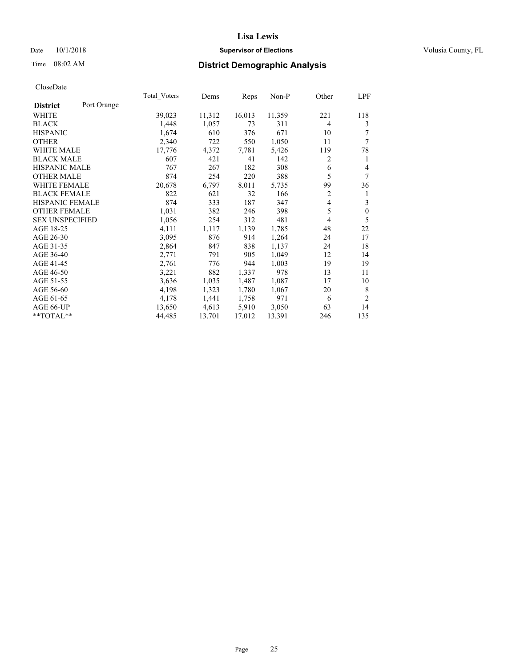## Date  $10/1/2018$  **Supervisor of Elections** Volusia County, FL

# Time 08:02 AM **District Demographic Analysis**

|                        |             | Total Voters | Dems   | Reps   | Non-P  | Other | LPF            |
|------------------------|-------------|--------------|--------|--------|--------|-------|----------------|
| <b>District</b>        | Port Orange |              |        |        |        |       |                |
| WHITE                  |             | 39,023       | 11,312 | 16,013 | 11,359 | 221   | 118            |
| <b>BLACK</b>           |             | 1,448        | 1,057  | 73     | 311    | 4     | 3              |
| <b>HISPANIC</b>        |             | 1,674        | 610    | 376    | 671    | 10    | 7              |
| <b>OTHER</b>           |             | 2,340        | 722    | 550    | 1,050  | 11    | 7              |
| <b>WHITE MALE</b>      |             | 17,776       | 4,372  | 7,781  | 5,426  | 119   | 78             |
| <b>BLACK MALE</b>      |             | 607          | 421    | 41     | 142    | 2     | 1              |
| <b>HISPANIC MALE</b>   |             | 767          | 267    | 182    | 308    | 6     | 4              |
| <b>OTHER MALE</b>      |             | 874          | 254    | 220    | 388    | 5     | 7              |
| <b>WHITE FEMALE</b>    |             | 20,678       | 6,797  | 8,011  | 5,735  | 99    | 36             |
| <b>BLACK FEMALE</b>    |             | 822          | 621    | 32     | 166    | 2     | 1              |
| <b>HISPANIC FEMALE</b> |             | 874          | 333    | 187    | 347    | 4     | 3              |
| <b>OTHER FEMALE</b>    |             | 1,031        | 382    | 246    | 398    | 5     | $\mathbf{0}$   |
| <b>SEX UNSPECIFIED</b> |             | 1,056        | 254    | 312    | 481    | 4     | 5              |
| AGE 18-25              |             | 4,111        | 1,117  | 1,139  | 1,785  | 48    | 22             |
| AGE 26-30              |             | 3,095        | 876    | 914    | 1,264  | 24    | 17             |
| AGE 31-35              |             | 2,864        | 847    | 838    | 1,137  | 24    | 18             |
| AGE 36-40              |             | 2,771        | 791    | 905    | 1,049  | 12    | 14             |
| AGE 41-45              |             | 2,761        | 776    | 944    | 1,003  | 19    | 19             |
| AGE 46-50              |             | 3,221        | 882    | 1,337  | 978    | 13    | 11             |
| AGE 51-55              |             | 3,636        | 1,035  | 1,487  | 1,087  | 17    | 10             |
| AGE 56-60              |             | 4,198        | 1,323  | 1,780  | 1,067  | 20    | 8              |
| AGE 61-65              |             | 4,178        | 1,441  | 1,758  | 971    | 6     | $\overline{2}$ |
| AGE 66-UP              |             | 13,650       | 4,613  | 5,910  | 3,050  | 63    | 14             |
| $*$ $TOTAL**$          |             | 44,485       | 13,701 | 17,012 | 13,391 | 246   | 135            |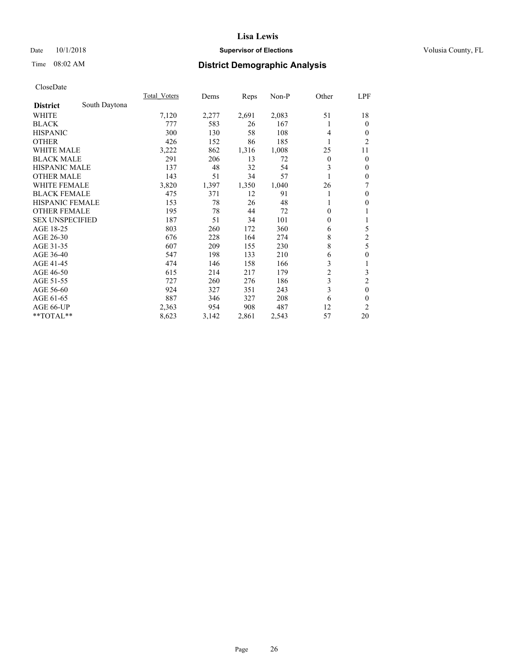## Date  $10/1/2018$  **Supervisor of Elections** Volusia County, FL

## Time 08:02 AM **District Demographic Analysis**

|                        |               | Total Voters | Dems  | Reps  | Non-P | Other          | LPF            |
|------------------------|---------------|--------------|-------|-------|-------|----------------|----------------|
| <b>District</b>        | South Daytona |              |       |       |       |                |                |
| WHITE                  |               | 7,120        | 2,277 | 2,691 | 2,083 | 51             | 18             |
| <b>BLACK</b>           |               | 777          | 583   | 26    | 167   | 1              | $\theta$       |
| <b>HISPANIC</b>        |               | 300          | 130   | 58    | 108   | 4              | $\theta$       |
| <b>OTHER</b>           |               | 426          | 152   | 86    | 185   | 1              | 2              |
| WHITE MALE             |               | 3,222        | 862   | 1,316 | 1,008 | 25             | 11             |
| <b>BLACK MALE</b>      |               | 291          | 206   | 13    | 72    | $\overline{0}$ | $\theta$       |
| <b>HISPANIC MALE</b>   |               | 137          | 48    | 32    | 54    | 3              | $\mathbf{0}$   |
| <b>OTHER MALE</b>      |               | 143          | 51    | 34    | 57    | 1              | $\mathbf{0}$   |
| <b>WHITE FEMALE</b>    |               | 3,820        | 1,397 | 1,350 | 1,040 | 26             | 7              |
| <b>BLACK FEMALE</b>    |               | 475          | 371   | 12    | 91    | 1              | $\mathbf{0}$   |
| HISPANIC FEMALE        |               | 153          | 78    | 26    | 48    |                | $\theta$       |
| <b>OTHER FEMALE</b>    |               | 195          | 78    | 44    | 72    | 0              | 1              |
| <b>SEX UNSPECIFIED</b> |               | 187          | 51    | 34    | 101   | 0              | 1              |
| AGE 18-25              |               | 803          | 260   | 172   | 360   | 6              | 5              |
| AGE 26-30              |               | 676          | 228   | 164   | 274   | 8              | $\overline{c}$ |
| AGE 31-35              |               | 607          | 209   | 155   | 230   | 8              | 5              |
| AGE 36-40              |               | 547          | 198   | 133   | 210   | 6              | $\mathbf{0}$   |
| AGE 41-45              |               | 474          | 146   | 158   | 166   | 3              | 1              |
| AGE 46-50              |               | 615          | 214   | 217   | 179   | $\overline{2}$ | 3              |
| AGE 51-55              |               | 727          | 260   | 276   | 186   | 3              | $\overline{c}$ |
| AGE 56-60              |               | 924          | 327   | 351   | 243   | 3              | $\mathbf{0}$   |
| AGE 61-65              |               | 887          | 346   | 327   | 208   | 6              | $\theta$       |
| AGE 66-UP              |               | 2,363        | 954   | 908   | 487   | 12             | $\overline{2}$ |
| **TOTAL**              |               | 8,623        | 3,142 | 2,861 | 2,543 | 57             | 20             |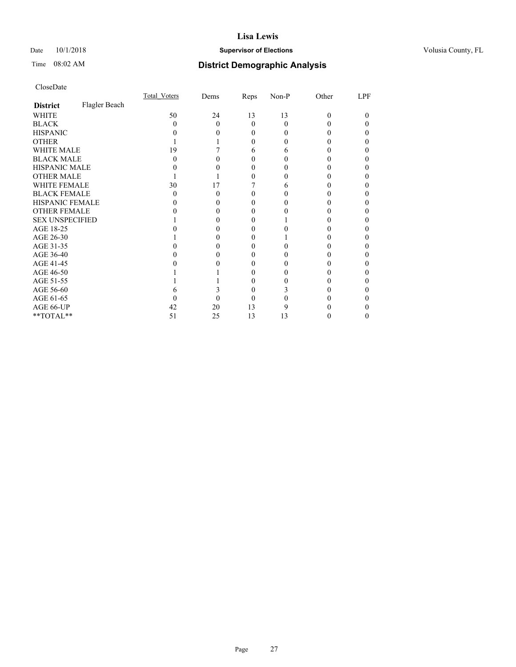## Date  $10/1/2018$  **Supervisor of Elections** Volusia County, FL

# Time 08:02 AM **District Demographic Analysis**

|                        |               | Total Voters | Dems | Reps   | Non-P | Other | LPF |
|------------------------|---------------|--------------|------|--------|-------|-------|-----|
| <b>District</b>        | Flagler Beach |              |      |        |       |       |     |
| WHITE                  |               | 50           | 24   | 13     | 13    | 0     | 0   |
| <b>BLACK</b>           |               | $\mathbf{0}$ | 0    | 0      | 0     |       |     |
| <b>HISPANIC</b>        |               |              |      | 0      |       |       |     |
| <b>OTHER</b>           |               |              |      | 0      |       |       |     |
| WHITE MALE             |               | 19           |      | 6      | 6     |       |     |
| <b>BLACK MALE</b>      |               |              |      |        |       |       |     |
| <b>HISPANIC MALE</b>   |               |              |      |        |       |       |     |
| <b>OTHER MALE</b>      |               |              |      |        |       |       |     |
| <b>WHITE FEMALE</b>    |               | 30           | 17   |        |       |       |     |
| <b>BLACK FEMALE</b>    |               | 0            |      | $_{0}$ |       |       |     |
| <b>HISPANIC FEMALE</b> |               |              |      |        |       |       |     |
| OTHER FEMALE           |               |              |      | $_{0}$ |       |       |     |
| <b>SEX UNSPECIFIED</b> |               |              |      |        |       |       |     |
| AGE 18-25              |               |              |      |        |       |       |     |
| AGE 26-30              |               |              |      |        |       |       |     |
| AGE 31-35              |               |              |      |        |       |       |     |
| AGE 36-40              |               |              |      |        |       |       |     |
| AGE 41-45              |               |              |      |        |       |       |     |
| AGE 46-50              |               |              |      | 0      |       |       |     |
| AGE 51-55              |               |              |      |        |       |       |     |
| AGE 56-60              |               |              |      | 0      |       |       |     |
| AGE 61-65              |               |              |      |        |       |       |     |
| AGE 66-UP              |               | 42           | 20   | 13     |       |       |     |
| **TOTAL**              |               | 51           | 25   | 13     | 13    |       |     |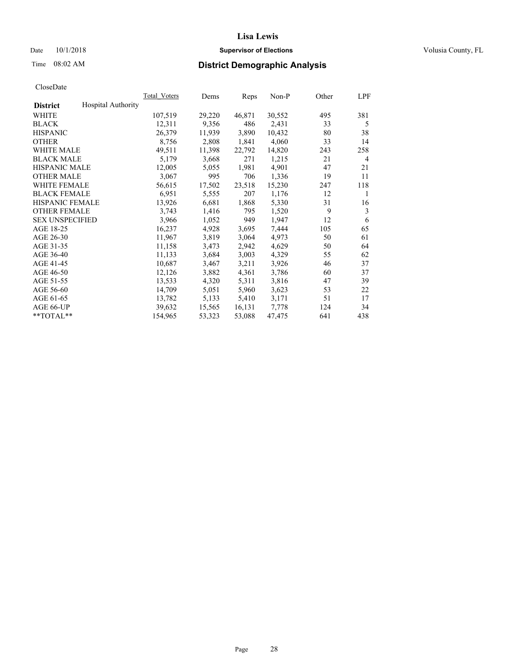## Date  $10/1/2018$  **Supervisor of Elections** Volusia County, FL

# Time 08:02 AM **District Demographic Analysis**

|                        |                           | Total Voters | Dems   | Reps   | Non-P  | Other | LPF |
|------------------------|---------------------------|--------------|--------|--------|--------|-------|-----|
| <b>District</b>        | <b>Hospital Authority</b> |              |        |        |        |       |     |
| WHITE                  |                           | 107,519      | 29,220 | 46,871 | 30,552 | 495   | 381 |
| <b>BLACK</b>           |                           | 12,311       | 9,356  | 486    | 2,431  | 33    | 5   |
| <b>HISPANIC</b>        |                           | 26,379       | 11,939 | 3,890  | 10,432 | 80    | 38  |
| <b>OTHER</b>           |                           | 8,756        | 2,808  | 1,841  | 4,060  | 33    | 14  |
| WHITE MALE             |                           | 49,511       | 11,398 | 22,792 | 14,820 | 243   | 258 |
| <b>BLACK MALE</b>      |                           | 5,179        | 3,668  | 271    | 1,215  | 21    | 4   |
| <b>HISPANIC MALE</b>   |                           | 12,005       | 5,055  | 1,981  | 4,901  | 47    | 21  |
| <b>OTHER MALE</b>      |                           | 3,067        | 995    | 706    | 1,336  | 19    | 11  |
| <b>WHITE FEMALE</b>    |                           | 56,615       | 17,502 | 23,518 | 15,230 | 247   | 118 |
| <b>BLACK FEMALE</b>    |                           | 6,951        | 5,555  | 207    | 1,176  | 12    | 1   |
| <b>HISPANIC FEMALE</b> |                           | 13,926       | 6,681  | 1,868  | 5,330  | 31    | 16  |
| <b>OTHER FEMALE</b>    |                           | 3,743        | 1,416  | 795    | 1,520  | 9     | 3   |
| <b>SEX UNSPECIFIED</b> |                           | 3,966        | 1,052  | 949    | 1,947  | 12    | 6   |
| AGE 18-25              |                           | 16,237       | 4,928  | 3,695  | 7,444  | 105   | 65  |
| AGE 26-30              |                           | 11,967       | 3,819  | 3,064  | 4,973  | 50    | 61  |
| AGE 31-35              |                           | 11,158       | 3,473  | 2,942  | 4,629  | 50    | 64  |
| AGE 36-40              |                           | 11,133       | 3,684  | 3,003  | 4,329  | 55    | 62  |
| AGE 41-45              |                           | 10,687       | 3,467  | 3,211  | 3,926  | 46    | 37  |
| AGE 46-50              |                           | 12,126       | 3,882  | 4,361  | 3,786  | 60    | 37  |
| AGE 51-55              |                           | 13,533       | 4,320  | 5,311  | 3,816  | 47    | 39  |
| AGE 56-60              |                           | 14,709       | 5,051  | 5,960  | 3,623  | 53    | 22  |
| AGE 61-65              |                           | 13,782       | 5,133  | 5,410  | 3,171  | 51    | 17  |
| AGE 66-UP              |                           | 39,632       | 15,565 | 16,131 | 7,778  | 124   | 34  |
| $*$ TOTAL $*$          |                           | 154,965      | 53,323 | 53,088 | 47.475 | 641   | 438 |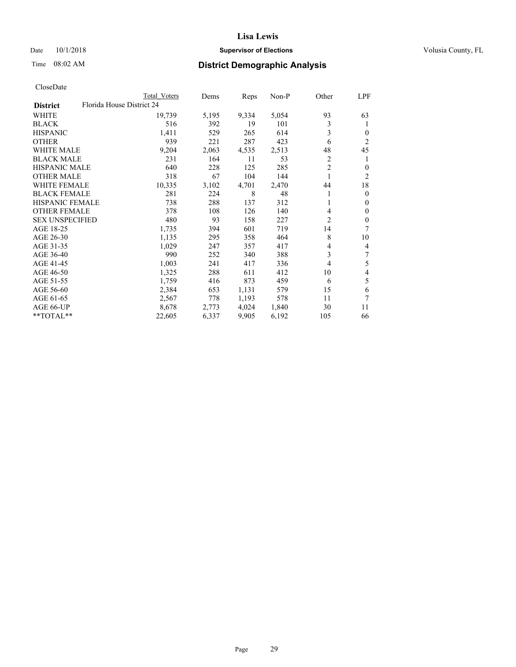## Date  $10/1/2018$  **Supervisor of Elections** Volusia County, FL

|                                              | Total Voters | Dems  | Reps  | Non-P | Other | LPF            |
|----------------------------------------------|--------------|-------|-------|-------|-------|----------------|
| Florida House District 24<br><b>District</b> |              |       |       |       |       |                |
| WHITE                                        | 19,739       | 5,195 | 9,334 | 5,054 | 93    | 63             |
| <b>BLACK</b>                                 | 516          | 392   | 19    | 101   | 3     | 1              |
| <b>HISPANIC</b>                              | 1,411        | 529   | 265   | 614   | 3     | 0              |
| <b>OTHER</b>                                 | 939          | 221   | 287   | 423   | 6     | 2              |
| WHITE MALE                                   | 9,204        | 2,063 | 4,535 | 2,513 | 48    | 45             |
| <b>BLACK MALE</b>                            | 231          | 164   | 11    | 53    | 2     | 1              |
| <b>HISPANIC MALE</b>                         | 640          | 228   | 125   | 285   | 2     | 0              |
| OTHER MALE                                   | 318          | 67    | 104   | 144   |       | $\overline{2}$ |
| <b>WHITE FEMALE</b>                          | 10,335       | 3,102 | 4,701 | 2,470 | 44    | 18             |
| <b>BLACK FEMALE</b>                          | 281          | 224   | 8     | 48    |       | $\theta$       |
| <b>HISPANIC FEMALE</b>                       | 738          | 288   | 137   | 312   |       | $\theta$       |
| <b>OTHER FEMALE</b>                          | 378          | 108   | 126   | 140   | 4     | $\theta$       |
| <b>SEX UNSPECIFIED</b>                       | 480          | 93    | 158   | 227   | 2     | 0              |
| AGE 18-25                                    | 1,735        | 394   | 601   | 719   | 14    | 7              |
| AGE 26-30                                    | 1,135        | 295   | 358   | 464   | 8     | 10             |
| AGE 31-35                                    | 1,029        | 247   | 357   | 417   | 4     | 4              |
| AGE 36-40                                    | 990          | 252   | 340   | 388   | 3     | 7              |
| AGE 41-45                                    | 1,003        | 241   | 417   | 336   | 4     | 5              |
| AGE 46-50                                    | 1,325        | 288   | 611   | 412   | 10    | 4              |
| AGE 51-55                                    | 1,759        | 416   | 873   | 459   | 6     | 5              |
| AGE 56-60                                    | 2,384        | 653   | 1,131 | 579   | 15    | 6              |
| AGE 61-65                                    | 2,567        | 778   | 1,193 | 578   | 11    | 7              |
| AGE 66-UP                                    | 8,678        | 2,773 | 4,024 | 1,840 | 30    | 11             |
| **TOTAL**                                    | 22,605       | 6,337 | 9,905 | 6,192 | 105   | 66             |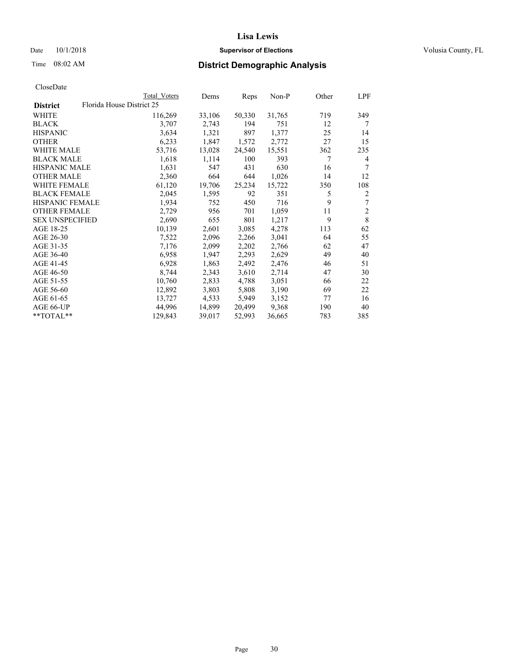#### Date  $10/1/2018$  **Supervisor of Elections Supervisor of Elections** Volusia County, FL

|                        |                           | Total Voters | Dems   | Reps   | Non-P  | Other | LPF            |
|------------------------|---------------------------|--------------|--------|--------|--------|-------|----------------|
| <b>District</b>        | Florida House District 25 |              |        |        |        |       |                |
| WHITE                  |                           | 116,269      | 33,106 | 50,330 | 31,765 | 719   | 349            |
| BLACK                  |                           | 3,707        | 2,743  | 194    | 751    | 12    | 7              |
| <b>HISPANIC</b>        |                           | 3,634        | 1,321  | 897    | 1,377  | 25    | 14             |
| OTHER                  |                           | 6,233        | 1,847  | 1,572  | 2,772  | 27    | 15             |
| <b>WHITE MALE</b>      |                           | 53,716       | 13,028 | 24,540 | 15,551 | 362   | 235            |
| <b>BLACK MALE</b>      |                           | 1,618        | 1,114  | 100    | 393    | 7     | 4              |
| <b>HISPANIC MALE</b>   |                           | 1,631        | 547    | 431    | 630    | 16    | 7              |
| <b>OTHER MALE</b>      |                           | 2,360        | 664    | 644    | 1,026  | 14    | 12             |
| <b>WHITE FEMALE</b>    |                           | 61,120       | 19,706 | 25,234 | 15,722 | 350   | 108            |
| <b>BLACK FEMALE</b>    |                           | 2,045        | 1,595  | 92     | 351    | 5     | 2              |
| HISPANIC FEMALE        |                           | 1,934        | 752    | 450    | 716    | 9     | 7              |
| <b>OTHER FEMALE</b>    |                           | 2,729        | 956    | 701    | 1,059  | 11    | $\overline{2}$ |
| <b>SEX UNSPECIFIED</b> |                           | 2,690        | 655    | 801    | 1,217  | 9     | 8              |
| AGE 18-25              |                           | 10,139       | 2,601  | 3,085  | 4,278  | 113   | 62             |
| AGE 26-30              |                           | 7,522        | 2,096  | 2,266  | 3,041  | 64    | 55             |
| AGE 31-35              |                           | 7,176        | 2,099  | 2,202  | 2,766  | 62    | 47             |
| AGE 36-40              |                           | 6,958        | 1,947  | 2,293  | 2,629  | 49    | 40             |
| AGE 41-45              |                           | 6,928        | 1,863  | 2,492  | 2,476  | 46    | 51             |
| AGE 46-50              |                           | 8,744        | 2,343  | 3,610  | 2,714  | 47    | 30             |
| AGE 51-55              |                           | 10,760       | 2,833  | 4,788  | 3,051  | 66    | 22             |
| AGE 56-60              |                           | 12,892       | 3,803  | 5,808  | 3,190  | 69    | 22             |
| AGE 61-65              |                           | 13,727       | 4,533  | 5,949  | 3,152  | 77    | 16             |
| AGE 66-UP              |                           | 44,996       | 14,899 | 20,499 | 9,368  | 190   | 40             |
| **TOTAL**              |                           | 129,843      | 39,017 | 52,993 | 36,665 | 783   | 385            |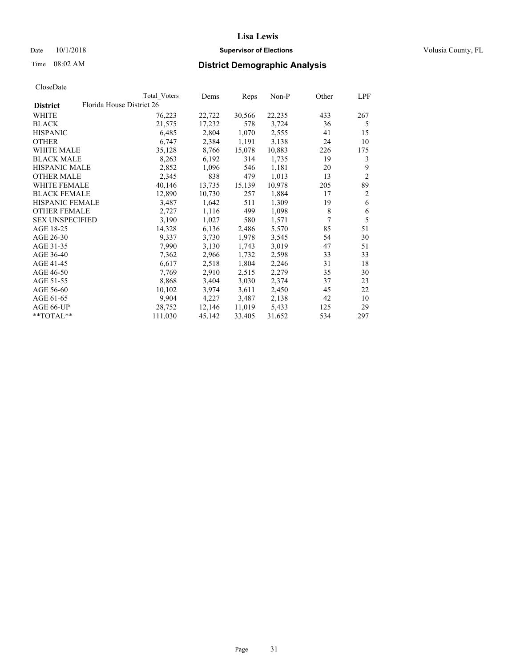## Date  $10/1/2018$  **Supervisor of Elections** Volusia County, FL

|                        |                           | Total Voters | Dems   | Reps   | Non-P  | Other          | LPF            |
|------------------------|---------------------------|--------------|--------|--------|--------|----------------|----------------|
| <b>District</b>        | Florida House District 26 |              |        |        |        |                |                |
| WHITE                  |                           | 76,223       | 22,722 | 30,566 | 22,235 | 433            | 267            |
| <b>BLACK</b>           |                           | 21,575       | 17,232 | 578    | 3,724  | 36             | 5              |
| <b>HISPANIC</b>        |                           | 6,485        | 2,804  | 1,070  | 2,555  | 41             | 15             |
| <b>OTHER</b>           |                           | 6,747        | 2,384  | 1,191  | 3,138  | 24             | 10             |
| <b>WHITE MALE</b>      |                           | 35,128       | 8,766  | 15,078 | 10,883 | 226            | 175            |
| <b>BLACK MALE</b>      |                           | 8,263        | 6,192  | 314    | 1,735  | 19             | 3              |
| <b>HISPANIC MALE</b>   |                           | 2,852        | 1,096  | 546    | 1,181  | 20             | 9              |
| <b>OTHER MALE</b>      |                           | 2,345        | 838    | 479    | 1,013  | 13             | $\overline{2}$ |
| <b>WHITE FEMALE</b>    |                           | 40,146       | 13,735 | 15,139 | 10,978 | 205            | 89             |
| <b>BLACK FEMALE</b>    |                           | 12,890       | 10,730 | 257    | 1,884  | 17             | 2              |
| <b>HISPANIC FEMALE</b> |                           | 3,487        | 1,642  | 511    | 1,309  | 19             | 6              |
| <b>OTHER FEMALE</b>    |                           | 2,727        | 1,116  | 499    | 1,098  | 8              | 6              |
| <b>SEX UNSPECIFIED</b> |                           | 3.190        | 1,027  | 580    | 1,571  | $\overline{7}$ | 5              |
| AGE 18-25              |                           | 14,328       | 6,136  | 2,486  | 5,570  | 85             | 51             |
| AGE 26-30              |                           | 9,337        | 3,730  | 1,978  | 3,545  | 54             | 30             |
| AGE 31-35              |                           | 7,990        | 3,130  | 1,743  | 3,019  | 47             | 51             |
| AGE 36-40              |                           | 7,362        | 2,966  | 1,732  | 2,598  | 33             | 33             |
| AGE 41-45              |                           | 6,617        | 2,518  | 1,804  | 2,246  | 31             | 18             |
| AGE 46-50              |                           | 7,769        | 2,910  | 2,515  | 2,279  | 35             | 30             |
| AGE 51-55              |                           | 8,868        | 3,404  | 3,030  | 2,374  | 37             | 23             |
| AGE 56-60              |                           | 10,102       | 3,974  | 3,611  | 2,450  | 45             | 22             |
| AGE 61-65              |                           | 9,904        | 4,227  | 3,487  | 2,138  | 42             | 10             |
| AGE 66-UP              |                           | 28,752       | 12,146 | 11,019 | 5,433  | 125            | 29             |
| **TOTAL**              |                           | 111,030      | 45,142 | 33,405 | 31,652 | 534            | 297            |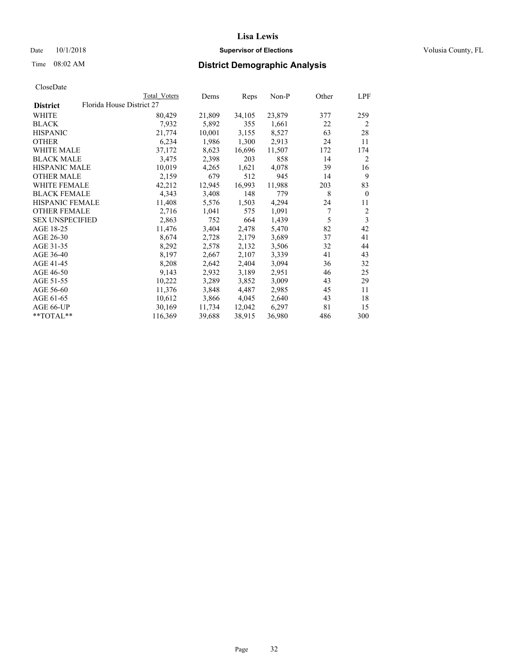## Date  $10/1/2018$  **Supervisor of Elections** Volusia County, FL

|                        |                           | Total Voters | Dems   | Reps   | Non-P  | Other | LPF            |
|------------------------|---------------------------|--------------|--------|--------|--------|-------|----------------|
| <b>District</b>        | Florida House District 27 |              |        |        |        |       |                |
| WHITE                  |                           | 80,429       | 21,809 | 34,105 | 23,879 | 377   | 259            |
| BLACK                  |                           | 7,932        | 5,892  | 355    | 1,661  | 22    | 2              |
| <b>HISPANIC</b>        |                           | 21,774       | 10,001 | 3,155  | 8,527  | 63    | 28             |
| OTHER                  |                           | 6,234        | 1,986  | 1,300  | 2,913  | 24    | 11             |
| WHITE MALE             |                           | 37,172       | 8,623  | 16,696 | 11,507 | 172   | 174            |
| <b>BLACK MALE</b>      |                           | 3,475        | 2,398  | 203    | 858    | 14    | 2              |
| <b>HISPANIC MALE</b>   |                           | 10,019       | 4,265  | 1,621  | 4,078  | 39    | 16             |
| OTHER MALE             |                           | 2,159        | 679    | 512    | 945    | 14    | 9              |
| <b>WHITE FEMALE</b>    |                           | 42,212       | 12,945 | 16,993 | 11,988 | 203   | 83             |
| <b>BLACK FEMALE</b>    |                           | 4,343        | 3,408  | 148    | 779    | 8     | $\mathbf{0}$   |
| <b>HISPANIC FEMALE</b> |                           | 11,408       | 5,576  | 1,503  | 4,294  | 24    | 11             |
| <b>OTHER FEMALE</b>    |                           | 2,716        | 1,041  | 575    | 1,091  | 7     | $\overline{2}$ |
| <b>SEX UNSPECIFIED</b> |                           | 2,863        | 752    | 664    | 1,439  | 5     | 3              |
| AGE 18-25              |                           | 11,476       | 3,404  | 2,478  | 5,470  | 82    | 42             |
| AGE 26-30              |                           | 8,674        | 2,728  | 2,179  | 3,689  | 37    | 41             |
| AGE 31-35              |                           | 8,292        | 2,578  | 2,132  | 3,506  | 32    | 44             |
| AGE 36-40              |                           | 8,197        | 2,667  | 2,107  | 3,339  | 41    | 43             |
| AGE 41-45              |                           | 8,208        | 2,642  | 2,404  | 3,094  | 36    | 32             |
| AGE 46-50              |                           | 9,143        | 2,932  | 3,189  | 2,951  | 46    | 25             |
| AGE 51-55              |                           | 10,222       | 3,289  | 3,852  | 3,009  | 43    | 29             |
| AGE 56-60              |                           | 11,376       | 3,848  | 4,487  | 2,985  | 45    | 11             |
| AGE 61-65              |                           | 10,612       | 3,866  | 4,045  | 2,640  | 43    | 18             |
| AGE 66-UP              |                           | 30,169       | 11,734 | 12,042 | 6,297  | 81    | 15             |
| **TOTAL**              |                           | 116,369      | 39,688 | 38,915 | 36,980 | 486   | 300            |
|                        |                           |              |        |        |        |       |                |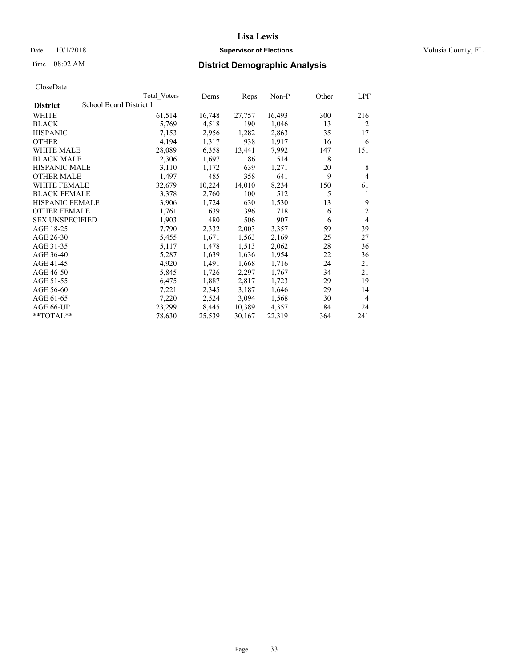#### Date  $10/1/2018$  **Supervisor of Elections Supervisor of Elections** Volusia County, FL

# Time 08:02 AM **District Demographic Analysis**

|                        | Total Voters            | Dems   | Reps   | Non-P  | Other | LPF            |
|------------------------|-------------------------|--------|--------|--------|-------|----------------|
| <b>District</b>        | School Board District 1 |        |        |        |       |                |
| WHITE                  | 61,514                  | 16,748 | 27,757 | 16,493 | 300   | 216            |
| <b>BLACK</b>           | 5,769                   | 4,518  | 190    | 1,046  | 13    | $\overline{2}$ |
| <b>HISPANIC</b>        | 7,153                   | 2,956  | 1,282  | 2,863  | 35    | 17             |
| <b>OTHER</b>           | 4,194                   | 1,317  | 938    | 1,917  | 16    | 6              |
| WHITE MALE             | 28,089                  | 6,358  | 13,441 | 7,992  | 147   | 151            |
| <b>BLACK MALE</b>      | 2,306                   | 1,697  | 86     | 514    | 8     | 1              |
| <b>HISPANIC MALE</b>   | 3,110                   | 1,172  | 639    | 1,271  | 20    | 8              |
| <b>OTHER MALE</b>      | 1,497                   | 485    | 358    | 641    | 9     | 4              |
| WHITE FEMALE           | 32,679                  | 10,224 | 14,010 | 8,234  | 150   | 61             |
| <b>BLACK FEMALE</b>    | 3,378                   | 2,760  | 100    | 512    | 5     | 1              |
| <b>HISPANIC FEMALE</b> | 3,906                   | 1,724  | 630    | 1,530  | 13    | 9              |
| <b>OTHER FEMALE</b>    | 1,761                   | 639    | 396    | 718    | 6     | $\mathbf{2}$   |
| <b>SEX UNSPECIFIED</b> | 1,903                   | 480    | 506    | 907    | 6     | 4              |
| AGE 18-25              | 7,790                   | 2,332  | 2,003  | 3,357  | 59    | 39             |
| AGE 26-30              | 5,455                   | 1,671  | 1,563  | 2,169  | 25    | 27             |
| AGE 31-35              | 5,117                   | 1,478  | 1,513  | 2,062  | 28    | 36             |
| AGE 36-40              | 5,287                   | 1,639  | 1,636  | 1,954  | 22    | 36             |
| AGE 41-45              | 4,920                   | 1,491  | 1,668  | 1,716  | 24    | 21             |
| AGE 46-50              | 5,845                   | 1,726  | 2,297  | 1,767  | 34    | 21             |
| AGE 51-55              | 6,475                   | 1,887  | 2,817  | 1,723  | 29    | 19             |
| AGE 56-60              | 7,221                   | 2,345  | 3,187  | 1,646  | 29    | 14             |
| AGE 61-65              | 7,220                   | 2,524  | 3,094  | 1,568  | 30    | 4              |
| AGE 66-UP              | 23,299                  | 8,445  | 10,389 | 4,357  | 84    | 24             |
| $*$ $TOTAL**$          | 78,630                  | 25,539 | 30,167 | 22,319 | 364   | 241            |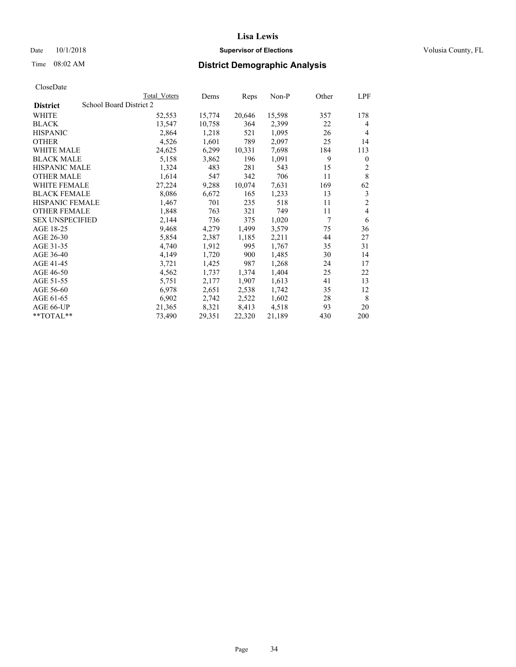## Date  $10/1/2018$  **Supervisor of Elections** Volusia County, FL

| CloseDate |
|-----------|
|-----------|

|                        |                         | Total Voters | Dems   | Reps   | $Non-P$ | Other | LPF            |
|------------------------|-------------------------|--------------|--------|--------|---------|-------|----------------|
| <b>District</b>        | School Board District 2 |              |        |        |         |       |                |
| WHITE                  |                         | 52,553       | 15,774 | 20,646 | 15,598  | 357   | 178            |
| <b>BLACK</b>           |                         | 13,547       | 10,758 | 364    | 2,399   | 22    | 4              |
| <b>HISPANIC</b>        |                         | 2,864        | 1,218  | 521    | 1,095   | 26    | $\overline{4}$ |
| <b>OTHER</b>           |                         | 4,526        | 1,601  | 789    | 2,097   | 25    | 14             |
| WHITE MALE             |                         | 24,625       | 6,299  | 10,331 | 7,698   | 184   | 113            |
| <b>BLACK MALE</b>      |                         | 5,158        | 3,862  | 196    | 1,091   | 9     | $\mathbf{0}$   |
| <b>HISPANIC MALE</b>   |                         | 1,324        | 483    | 281    | 543     | 15    | 2              |
| <b>OTHER MALE</b>      |                         | 1,614        | 547    | 342    | 706     | 11    | 8              |
| WHITE FEMALE           |                         | 27,224       | 9,288  | 10,074 | 7,631   | 169   | 62             |
| <b>BLACK FEMALE</b>    |                         | 8,086        | 6,672  | 165    | 1,233   | 13    | 3              |
| HISPANIC FEMALE        |                         | 1,467        | 701    | 235    | 518     | 11    | $\overline{2}$ |
| <b>OTHER FEMALE</b>    |                         | 1,848        | 763    | 321    | 749     | 11    | 4              |
| <b>SEX UNSPECIFIED</b> |                         | 2,144        | 736    | 375    | 1,020   | 7     | 6              |
| AGE 18-25              |                         | 9,468        | 4,279  | 1,499  | 3,579   | 75    | 36             |
| AGE 26-30              |                         | 5,854        | 2,387  | 1,185  | 2,211   | 44    | 27             |
| AGE 31-35              |                         | 4,740        | 1,912  | 995    | 1,767   | 35    | 31             |
| AGE 36-40              |                         | 4,149        | 1,720  | 900    | 1,485   | 30    | 14             |
| AGE 41-45              |                         | 3,721        | 1,425  | 987    | 1,268   | 24    | 17             |
| AGE 46-50              |                         | 4,562        | 1,737  | 1,374  | 1,404   | 25    | 22             |
| AGE 51-55              |                         | 5,751        | 2,177  | 1,907  | 1,613   | 41    | 13             |
| AGE 56-60              |                         | 6,978        | 2,651  | 2,538  | 1,742   | 35    | 12             |
| AGE 61-65              |                         | 6,902        | 2,742  | 2,522  | 1,602   | 28    | 8              |
| AGE 66-UP              |                         | 21,365       | 8,321  | 8,413  | 4,518   | 93    | 20             |
| **TOTAL**              |                         | 73,490       | 29,351 | 22,320 | 21,189  | 430   | 200            |
|                        |                         |              |        |        |         |       |                |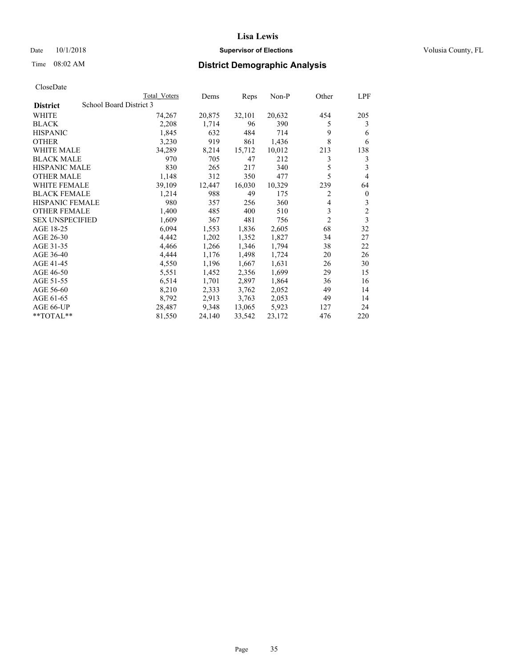## Date  $10/1/2018$  **Supervisor of Elections** Volusia County, FL

# Time 08:02 AM **District Demographic Analysis**

|                        | Total Voters            | Dems   | Reps   | Non-P  | Other          | LPF            |
|------------------------|-------------------------|--------|--------|--------|----------------|----------------|
| <b>District</b>        | School Board District 3 |        |        |        |                |                |
| WHITE                  | 74,267                  | 20,875 | 32,101 | 20,632 | 454            | 205            |
| <b>BLACK</b>           | 2,208                   | 1,714  | 96     | 390    | 5              | 3              |
| <b>HISPANIC</b>        | 1,845                   | 632    | 484    | 714    | 9              | 6              |
| <b>OTHER</b>           | 3,230                   | 919    | 861    | 1,436  | 8              | 6              |
| WHITE MALE             | 34,289                  | 8,214  | 15,712 | 10,012 | 213            | 138            |
| <b>BLACK MALE</b>      | 970                     | 705    | 47     | 212    | 3              | 3              |
| <b>HISPANIC MALE</b>   | 830                     | 265    | 217    | 340    | 5              | 3              |
| <b>OTHER MALE</b>      | 1,148                   | 312    | 350    | 477    | 5              | 4              |
| WHITE FEMALE           | 39,109                  | 12,447 | 16,030 | 10,329 | 239            | 64             |
| <b>BLACK FEMALE</b>    | 1,214                   | 988    | 49     | 175    | 2              | $\mathbf{0}$   |
| <b>HISPANIC FEMALE</b> | 980                     | 357    | 256    | 360    | 4              | 3              |
| <b>OTHER FEMALE</b>    | 1,400                   | 485    | 400    | 510    | 3              | $\overline{c}$ |
| <b>SEX UNSPECIFIED</b> | 1,609                   | 367    | 481    | 756    | $\overline{2}$ | 3              |
| AGE 18-25              | 6,094                   | 1,553  | 1,836  | 2,605  | 68             | 32             |
| AGE 26-30              | 4,442                   | 1,202  | 1,352  | 1,827  | 34             | 27             |
| AGE 31-35              | 4,466                   | 1,266  | 1,346  | 1,794  | 38             | 22             |
| AGE 36-40              | 4,444                   | 1,176  | 1,498  | 1,724  | 20             | 26             |
| AGE 41-45              | 4,550                   | 1,196  | 1,667  | 1,631  | 26             | 30             |
| AGE 46-50              | 5,551                   | 1,452  | 2,356  | 1,699  | 29             | 15             |
| AGE 51-55              | 6,514                   | 1,701  | 2,897  | 1,864  | 36             | 16             |
| AGE 56-60              | 8,210                   | 2,333  | 3,762  | 2,052  | 49             | 14             |
| AGE 61-65              | 8,792                   | 2,913  | 3,763  | 2,053  | 49             | 14             |
| AGE 66-UP              | 28,487                  | 9,348  | 13,065 | 5,923  | 127            | 24             |
| $*$ TOTAL $*$          | 81,550                  | 24,140 | 33,542 | 23,172 | 476            | 220            |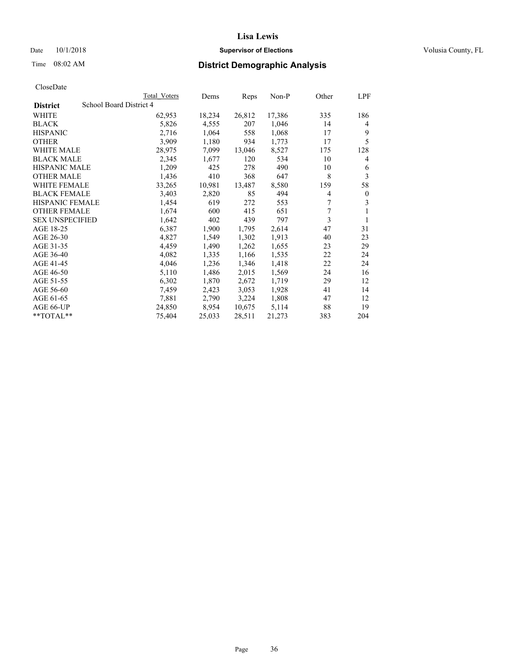## Date  $10/1/2018$  **Supervisor of Elections** Volusia County, FL

## Time 08:02 AM **District Demographic Analysis**

|                        | Total Voters            | Dems   | Reps   | Non-P  | Other | LPF          |
|------------------------|-------------------------|--------|--------|--------|-------|--------------|
| <b>District</b>        | School Board District 4 |        |        |        |       |              |
| WHITE                  | 62,953                  | 18,234 | 26,812 | 17,386 | 335   | 186          |
| <b>BLACK</b>           | 5,826                   | 4,555  | 207    | 1,046  | 14    | 4            |
| <b>HISPANIC</b>        | 2,716                   | 1,064  | 558    | 1,068  | 17    | 9            |
| <b>OTHER</b>           | 3,909                   | 1,180  | 934    | 1,773  | 17    | 5            |
| WHITE MALE             | 28,975                  | 7,099  | 13,046 | 8,527  | 175   | 128          |
| <b>BLACK MALE</b>      | 2,345                   | 1,677  | 120    | 534    | 10    | 4            |
| <b>HISPANIC MALE</b>   | 1,209                   | 425    | 278    | 490    | 10    | 6            |
| <b>OTHER MALE</b>      | 1,436                   | 410    | 368    | 647    | 8     | 3            |
| WHITE FEMALE           | 33,265                  | 10,981 | 13,487 | 8,580  | 159   | 58           |
| <b>BLACK FEMALE</b>    | 3,403                   | 2,820  | 85     | 494    | 4     | $\mathbf{0}$ |
| <b>HISPANIC FEMALE</b> | 1,454                   | 619    | 272    | 553    | 7     | 3            |
| <b>OTHER FEMALE</b>    | 1,674                   | 600    | 415    | 651    | 7     | 1            |
| <b>SEX UNSPECIFIED</b> | 1,642                   | 402    | 439    | 797    | 3     | 1            |
| AGE 18-25              | 6,387                   | 1,900  | 1,795  | 2,614  | 47    | 31           |
| AGE 26-30              | 4,827                   | 1,549  | 1,302  | 1,913  | 40    | 23           |
| AGE 31-35              | 4,459                   | 1,490  | 1,262  | 1,655  | 23    | 29           |
| AGE 36-40              | 4,082                   | 1,335  | 1,166  | 1,535  | 22    | 24           |
| AGE 41-45              | 4,046                   | 1,236  | 1,346  | 1,418  | 22    | 24           |
| AGE 46-50              | 5,110                   | 1,486  | 2,015  | 1,569  | 24    | 16           |
| AGE 51-55              | 6,302                   | 1,870  | 2,672  | 1,719  | 29    | 12           |
| AGE 56-60              | 7,459                   | 2,423  | 3,053  | 1,928  | 41    | 14           |
| AGE 61-65              | 7,881                   | 2,790  | 3,224  | 1,808  | 47    | 12           |
| AGE 66-UP              | 24,850                  | 8,954  | 10,675 | 5,114  | 88    | 19           |
| $*$ $TOTAL**$          | 75,404                  | 25,033 | 28,511 | 21,273 | 383   | 204          |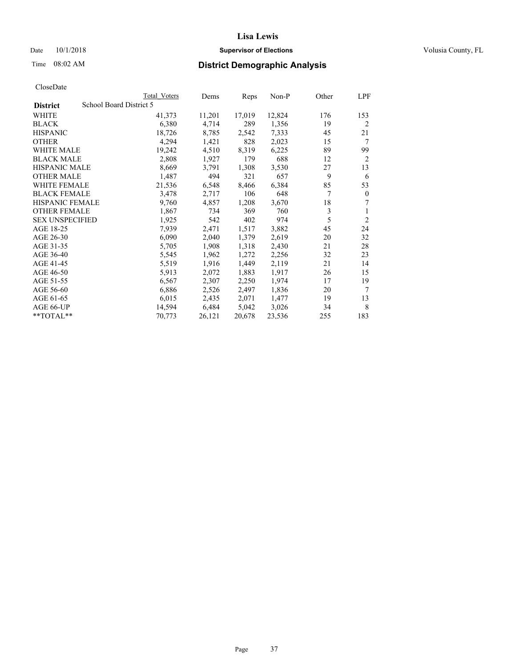#### Date  $10/1/2018$  **Supervisor of Elections Supervisor of Elections** Volusia County, FL

## Time 08:02 AM **District Demographic Analysis**

|                        | Total Voters            | Dems   | Reps   | Non-P  | Other | LPF            |
|------------------------|-------------------------|--------|--------|--------|-------|----------------|
| <b>District</b>        | School Board District 5 |        |        |        |       |                |
| WHITE                  | 41,373                  | 11,201 | 17,019 | 12,824 | 176   | 153            |
| <b>BLACK</b>           | 6,380                   | 4,714  | 289    | 1,356  | 19    | $\overline{2}$ |
| <b>HISPANIC</b>        | 18,726                  | 8,785  | 2,542  | 7,333  | 45    | 21             |
| <b>OTHER</b>           | 4,294                   | 1,421  | 828    | 2,023  | 15    | 7              |
| WHITE MALE             | 19,242                  | 4,510  | 8,319  | 6,225  | 89    | 99             |
| <b>BLACK MALE</b>      | 2,808                   | 1,927  | 179    | 688    | 12    | 2              |
| <b>HISPANIC MALE</b>   | 8,669                   | 3,791  | 1,308  | 3,530  | 27    | 13             |
| <b>OTHER MALE</b>      | 1,487                   | 494    | 321    | 657    | 9     | 6              |
| WHITE FEMALE           | 21,536                  | 6,548  | 8,466  | 6,384  | 85    | 53             |
| <b>BLACK FEMALE</b>    | 3,478                   | 2,717  | 106    | 648    | 7     | $\mathbf{0}$   |
| <b>HISPANIC FEMALE</b> | 9,760                   | 4,857  | 1,208  | 3,670  | 18    | 7              |
| <b>OTHER FEMALE</b>    | 1,867                   | 734    | 369    | 760    | 3     | 1              |
| <b>SEX UNSPECIFIED</b> | 1,925                   | 542    | 402    | 974    | 5     | $\overline{2}$ |
| AGE 18-25              | 7,939                   | 2,471  | 1,517  | 3,882  | 45    | 24             |
| AGE 26-30              | 6,090                   | 2,040  | 1,379  | 2,619  | 20    | 32             |
| AGE 31-35              | 5,705                   | 1,908  | 1,318  | 2,430  | 21    | 28             |
| AGE 36-40              | 5,545                   | 1,962  | 1,272  | 2,256  | 32    | 23             |
| AGE 41-45              | 5,519                   | 1,916  | 1,449  | 2,119  | 21    | 14             |
| AGE 46-50              | 5,913                   | 2,072  | 1,883  | 1,917  | 26    | 15             |
| AGE 51-55              | 6,567                   | 2,307  | 2,250  | 1,974  | 17    | 19             |
| AGE 56-60              | 6,886                   | 2,526  | 2,497  | 1,836  | 20    | 7              |
| AGE 61-65              | 6,015                   | 2,435  | 2,071  | 1,477  | 19    | 13             |
| AGE 66-UP              | 14,594                  | 6,484  | 5,042  | 3,026  | 34    | 8              |
| $*$ $TOTAL**$          | 70,773                  | 26,121 | 20,678 | 23,536 | 255   | 183            |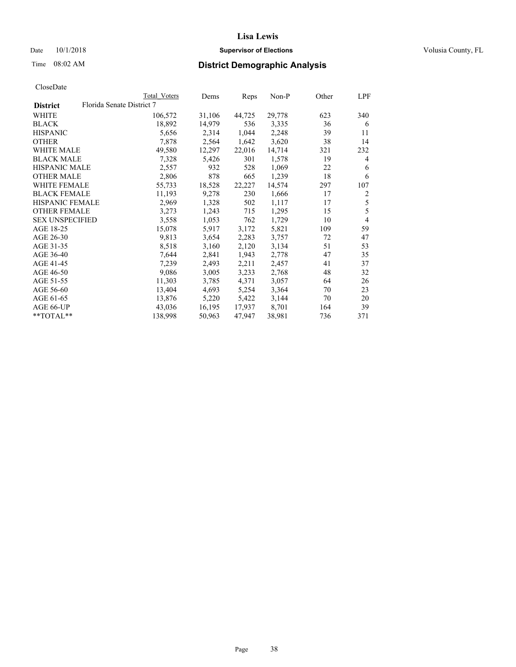### Date  $10/1/2018$  **Supervisor of Elections** Volusia County, FL

| CloseDate |
|-----------|
|-----------|

|                        |                           | Total Voters | Dems   | Reps   | $Non-P$ | Other | LPF            |
|------------------------|---------------------------|--------------|--------|--------|---------|-------|----------------|
| <b>District</b>        | Florida Senate District 7 |              |        |        |         |       |                |
| WHITE                  |                           | 106,572      | 31,106 | 44,725 | 29,778  | 623   | 340            |
| <b>BLACK</b>           |                           | 18,892       | 14,979 | 536    | 3,335   | 36    | 6              |
| <b>HISPANIC</b>        |                           | 5,656        | 2,314  | 1,044  | 2,248   | 39    | 11             |
| <b>OTHER</b>           |                           | 7,878        | 2,564  | 1,642  | 3,620   | 38    | 14             |
| WHITE MALE             |                           | 49,580       | 12,297 | 22,016 | 14,714  | 321   | 232            |
| <b>BLACK MALE</b>      |                           | 7,328        | 5,426  | 301    | 1,578   | 19    | 4              |
| <b>HISPANIC MALE</b>   |                           | 2,557        | 932    | 528    | 1,069   | 22    | 6              |
| <b>OTHER MALE</b>      |                           | 2,806        | 878    | 665    | 1,239   | 18    | 6              |
| <b>WHITE FEMALE</b>    |                           | 55,733       | 18,528 | 22,227 | 14,574  | 297   | 107            |
| <b>BLACK FEMALE</b>    |                           | 11,193       | 9,278  | 230    | 1,666   | 17    | 2              |
| HISPANIC FEMALE        |                           | 2,969        | 1,328  | 502    | 1,117   | 17    | 5              |
| <b>OTHER FEMALE</b>    |                           | 3,273        | 1,243  | 715    | 1,295   | 15    | 5              |
| <b>SEX UNSPECIFIED</b> |                           | 3,558        | 1,053  | 762    | 1,729   | 10    | $\overline{4}$ |
| AGE 18-25              |                           | 15,078       | 5,917  | 3,172  | 5,821   | 109   | 59             |
| AGE 26-30              |                           | 9,813        | 3,654  | 2,283  | 3,757   | 72    | 47             |
| AGE 31-35              |                           | 8,518        | 3,160  | 2,120  | 3,134   | 51    | 53             |
| AGE 36-40              |                           | 7,644        | 2,841  | 1,943  | 2,778   | 47    | 35             |
| AGE 41-45              |                           | 7,239        | 2,493  | 2,211  | 2,457   | 41    | 37             |
| AGE 46-50              |                           | 9,086        | 3,005  | 3,233  | 2,768   | 48    | 32             |
| AGE 51-55              |                           | 11,303       | 3,785  | 4,371  | 3,057   | 64    | 26             |
| AGE 56-60              |                           | 13,404       | 4,693  | 5,254  | 3,364   | 70    | 23             |
| AGE 61-65              |                           | 13,876       | 5,220  | 5,422  | 3,144   | 70    | 20             |
| AGE 66-UP              |                           | 43,036       | 16,195 | 17,937 | 8,701   | 164   | 39             |
| $*$ TOTAL $*$          |                           | 138,998      | 50,963 | 47,947 | 38,981  | 736   | 371            |
|                        |                           |              |        |        |         |       |                |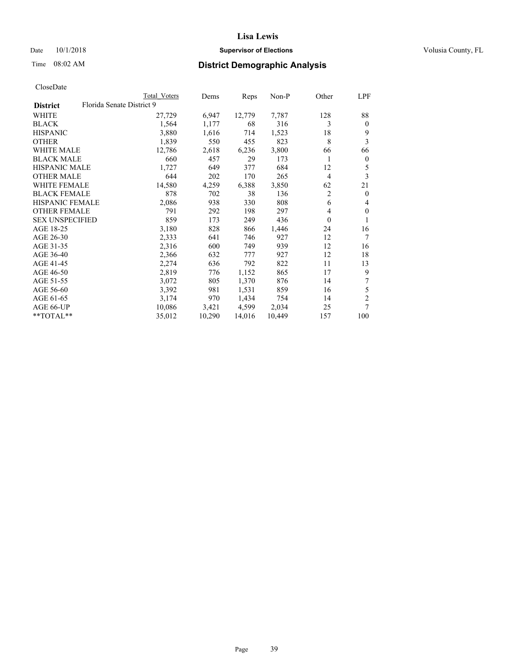### Date  $10/1/2018$  **Supervisor of Elections** Volusia County, FL

## Time 08:02 AM **District Demographic Analysis**

|                                              | Total Voters | Dems   | Reps   | Non-P  | Other          | LPF            |
|----------------------------------------------|--------------|--------|--------|--------|----------------|----------------|
| Florida Senate District 9<br><b>District</b> |              |        |        |        |                |                |
| WHITE                                        | 27,729       | 6,947  | 12,779 | 7,787  | 128            | 88             |
| <b>BLACK</b>                                 | 1,564        | 1,177  | 68     | 316    | 3              | $\mathbf{0}$   |
| <b>HISPANIC</b>                              | 3,880        | 1,616  | 714    | 1,523  | 18             | 9              |
| <b>OTHER</b>                                 | 1,839        | 550    | 455    | 823    | 8              | 3              |
| WHITE MALE                                   | 12,786       | 2,618  | 6,236  | 3,800  | 66             | 66             |
| <b>BLACK MALE</b>                            | 660          | 457    | 29     | 173    |                | $\mathbf{0}$   |
| <b>HISPANIC MALE</b>                         | 1,727        | 649    | 377    | 684    | 12             | 5              |
| <b>OTHER MALE</b>                            | 644          | 202    | 170    | 265    | $\overline{4}$ | 3              |
| <b>WHITE FEMALE</b>                          | 14,580       | 4,259  | 6,388  | 3,850  | 62             | 21             |
| <b>BLACK FEMALE</b>                          | 878          | 702    | 38     | 136    | $\overline{2}$ | $\theta$       |
| <b>HISPANIC FEMALE</b>                       | 2,086        | 938    | 330    | 808    | 6              | 4              |
| <b>OTHER FEMALE</b>                          | 791          | 292    | 198    | 297    | 4              | $\theta$       |
| <b>SEX UNSPECIFIED</b>                       | 859          | 173    | 249    | 436    | $\theta$       | 1              |
| AGE 18-25                                    | 3,180        | 828    | 866    | 1,446  | 24             | 16             |
| AGE 26-30                                    | 2,333        | 641    | 746    | 927    | 12             | 7              |
| AGE 31-35                                    | 2,316        | 600    | 749    | 939    | 12             | 16             |
| AGE 36-40                                    | 2,366        | 632    | 777    | 927    | 12             | 18             |
| AGE 41-45                                    | 2,274        | 636    | 792    | 822    | 11             | 13             |
| AGE 46-50                                    | 2,819        | 776    | 1,152  | 865    | 17             | 9              |
| AGE 51-55                                    | 3,072        | 805    | 1,370  | 876    | 14             | 7              |
| AGE 56-60                                    | 3,392        | 981    | 1,531  | 859    | 16             | 5              |
| AGE 61-65                                    | 3,174        | 970    | 1,434  | 754    | 14             | $\overline{2}$ |
| AGE 66-UP                                    | 10,086       | 3,421  | 4,599  | 2,034  | 25             | 7              |
| $*$ TOTAL $*$                                | 35,012       | 10,290 | 14,016 | 10,449 | 157            | 100            |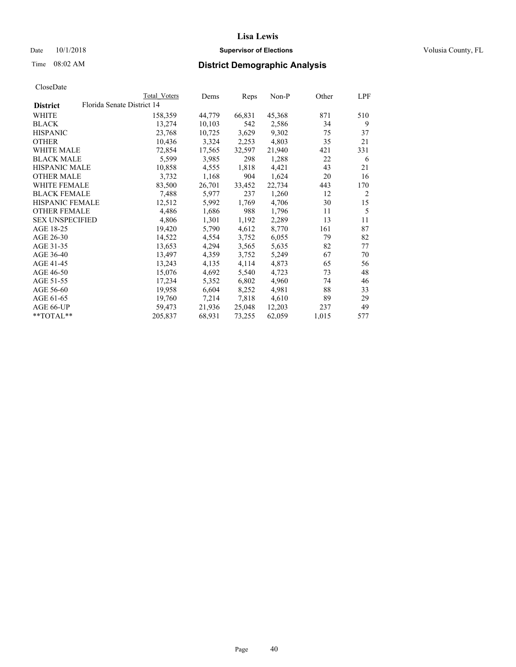### Date  $10/1/2018$  **Supervisor of Elections** Volusia County, FL

|                        |                            | Total Voters | Dems   | Reps   | Non-P  | Other | LPF            |
|------------------------|----------------------------|--------------|--------|--------|--------|-------|----------------|
| <b>District</b>        | Florida Senate District 14 |              |        |        |        |       |                |
| WHITE                  |                            | 158,359      | 44,779 | 66,831 | 45,368 | 871   | 510            |
| <b>BLACK</b>           |                            | 13,274       | 10,103 | 542    | 2,586  | 34    | 9              |
| <b>HISPANIC</b>        |                            | 23,768       | 10,725 | 3,629  | 9,302  | 75    | 37             |
| <b>OTHER</b>           |                            | 10,436       | 3,324  | 2,253  | 4,803  | 35    | 21             |
| WHITE MALE             |                            | 72,854       | 17,565 | 32,597 | 21,940 | 421   | 331            |
| <b>BLACK MALE</b>      |                            | 5,599        | 3,985  | 298    | 1,288  | 22    | 6              |
| <b>HISPANIC MALE</b>   |                            | 10,858       | 4,555  | 1,818  | 4,421  | 43    | 21             |
| <b>OTHER MALE</b>      |                            | 3,732        | 1,168  | 904    | 1,624  | 20    | 16             |
| <b>WHITE FEMALE</b>    |                            | 83,500       | 26,701 | 33,452 | 22,734 | 443   | 170            |
| <b>BLACK FEMALE</b>    |                            | 7,488        | 5,977  | 237    | 1,260  | 12    | $\overline{2}$ |
| <b>HISPANIC FEMALE</b> |                            | 12,512       | 5,992  | 1,769  | 4,706  | 30    | 15             |
| <b>OTHER FEMALE</b>    |                            | 4,486        | 1,686  | 988    | 1,796  | 11    | 5              |
| <b>SEX UNSPECIFIED</b> |                            | 4,806        | 1,301  | 1,192  | 2,289  | 13    | 11             |
| AGE 18-25              |                            | 19,420       | 5,790  | 4,612  | 8,770  | 161   | 87             |
| AGE 26-30              |                            | 14,522       | 4,554  | 3,752  | 6,055  | 79    | 82             |
| AGE 31-35              |                            | 13,653       | 4,294  | 3,565  | 5,635  | 82    | 77             |
| AGE 36-40              |                            | 13,497       | 4,359  | 3,752  | 5,249  | 67    | 70             |
| AGE 41-45              |                            | 13,243       | 4,135  | 4,114  | 4,873  | 65    | 56             |
| AGE 46-50              |                            | 15,076       | 4,692  | 5,540  | 4,723  | 73    | 48             |
| AGE 51-55              |                            | 17,234       | 5,352  | 6,802  | 4,960  | 74    | 46             |
| AGE 56-60              |                            | 19,958       | 6,604  | 8,252  | 4,981  | 88    | 33             |
| AGE 61-65              |                            | 19,760       | 7,214  | 7,818  | 4,610  | 89    | 29             |
| AGE 66-UP              |                            | 59,473       | 21,936 | 25,048 | 12,203 | 237   | 49             |
| **TOTAL**              |                            | 205,837      | 68,931 | 73,255 | 62,059 | 1,015 | 577            |
|                        |                            |              |        |        |        |       |                |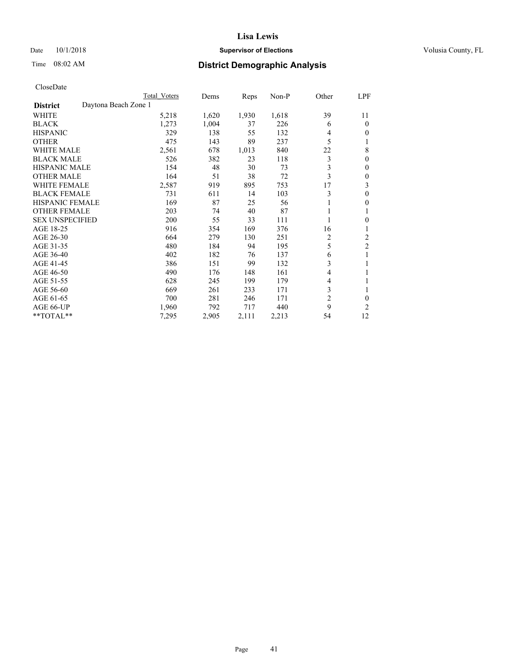### Date  $10/1/2018$  **Supervisor of Elections** Volusia County, FL

|                                         | Total Voters | Dems  | Reps  | $Non-P$ | Other          | <u>LPF</u>     |
|-----------------------------------------|--------------|-------|-------|---------|----------------|----------------|
| Daytona Beach Zone 1<br><b>District</b> |              |       |       |         |                |                |
| WHITE                                   | 5,218        | 1,620 | 1,930 | 1,618   | 39             | 11             |
| <b>BLACK</b>                            | 1,273        | 1,004 | 37    | 226     | 6              | $\theta$       |
| <b>HISPANIC</b>                         | 329          | 138   | 55    | 132     | 4              | $\mathbf{0}$   |
| <b>OTHER</b>                            | 475          | 143   | 89    | 237     | 5              | 1              |
| <b>WHITE MALE</b>                       | 2,561        | 678   | 1,013 | 840     | 22             | 8              |
| <b>BLACK MALE</b>                       | 526          | 382   | 23    | 118     | 3              | $\mathbf{0}$   |
| <b>HISPANIC MALE</b>                    | 154          | 48    | 30    | 73      | 3              | $\mathbf{0}$   |
| <b>OTHER MALE</b>                       | 164          | 51    | 38    | 72      | 3              | $\mathbf{0}$   |
| <b>WHITE FEMALE</b>                     | 2,587        | 919   | 895   | 753     | 17             | 3              |
| <b>BLACK FEMALE</b>                     | 731          | 611   | 14    | 103     | 3              | $\mathbf{0}$   |
| <b>HISPANIC FEMALE</b>                  | 169          | 87    | 25    | 56      |                | $\mathbf{0}$   |
| <b>OTHER FEMALE</b>                     | 203          | 74    | 40    | 87      |                | 1              |
| <b>SEX UNSPECIFIED</b>                  | 200          | 55    | 33    | 111     |                | $\theta$       |
| AGE 18-25                               | 916          | 354   | 169   | 376     | 16             | 1              |
| AGE 26-30                               | 664          | 279   | 130   | 251     | 2              | $\overline{c}$ |
| AGE 31-35                               | 480          | 184   | 94    | 195     | 5              | $\overline{2}$ |
| AGE 36-40                               | 402          | 182   | 76    | 137     | 6              | 1              |
| AGE 41-45                               | 386          | 151   | 99    | 132     | 3              | 1              |
| AGE 46-50                               | 490          | 176   | 148   | 161     | 4              |                |
| AGE 51-55                               | 628          | 245   | 199   | 179     | $\overline{4}$ | 1              |
| AGE 56-60                               | 669          | 261   | 233   | 171     | 3              | 1              |
| AGE 61-65                               | 700          | 281   | 246   | 171     | $\overline{c}$ | $\theta$       |
| AGE 66-UP                               | 1,960        | 792   | 717   | 440     | 9              | 2              |
| **TOTAL**                               | 7,295        | 2,905 | 2,111 | 2,213   | 54             | 12             |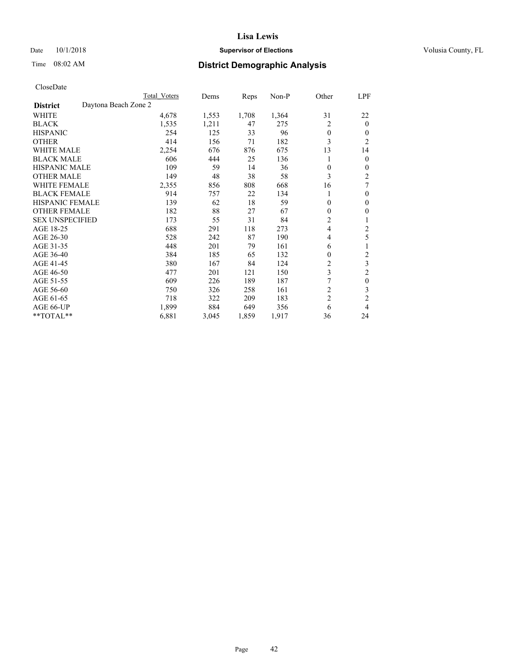### Date  $10/1/2018$  **Supervisor of Elections** Volusia County, FL

## Time 08:02 AM **District Demographic Analysis**

|                        | Total Voters         | Dems  | Reps  | Non-P | Other          | LPF                     |
|------------------------|----------------------|-------|-------|-------|----------------|-------------------------|
| <b>District</b>        | Daytona Beach Zone 2 |       |       |       |                |                         |
| WHITE                  | 4,678                | 1,553 | 1,708 | 1,364 | 31             | 22                      |
| <b>BLACK</b>           | 1,535                | 1,211 | 47    | 275   | $\overline{c}$ | $\mathbf{0}$            |
| <b>HISPANIC</b>        | 254                  | 125   | 33    | 96    | $\theta$       | $\Omega$                |
| <b>OTHER</b>           | 414                  | 156   | 71    | 182   | 3              | $\overline{2}$          |
| <b>WHITE MALE</b>      | 2,254                | 676   | 876   | 675   | 13             | 14                      |
| <b>BLACK MALE</b>      | 606                  | 444   | 25    | 136   |                | $\theta$                |
| <b>HISPANIC MALE</b>   | 109                  | 59    | 14    | 36    | $\theta$       | $\mathbf{0}$            |
| <b>OTHER MALE</b>      | 149                  | 48    | 38    | 58    | 3              | $\overline{2}$          |
| <b>WHITE FEMALE</b>    | 2,355                | 856   | 808   | 668   | 16             | 7                       |
| <b>BLACK FEMALE</b>    | 914                  | 757   | 22    | 134   |                | $\mathbf{0}$            |
| <b>HISPANIC FEMALE</b> | 139                  | 62    | 18    | 59    | $\theta$       | $\theta$                |
| <b>OTHER FEMALE</b>    | 182                  | 88    | 27    | 67    | $\Omega$       | $\theta$                |
| <b>SEX UNSPECIFIED</b> | 173                  | 55    | 31    | 84    | 2              | 1                       |
| AGE 18-25              | 688                  | 291   | 118   | 273   | $\overline{4}$ | 2                       |
| AGE 26-30              | 528                  | 242   | 87    | 190   | $\overline{4}$ | 5                       |
| AGE 31-35              | 448                  | 201   | 79    | 161   | 6              |                         |
| AGE 36-40              | 384                  | 185   | 65    | 132   | 0              | $\overline{\mathbf{c}}$ |
| AGE 41-45              | 380                  | 167   | 84    | 124   | 2              | 3                       |
| AGE 46-50              | 477                  | 201   | 121   | 150   | 3              | $\overline{2}$          |
| AGE 51-55              | 609                  | 226   | 189   | 187   |                | $\theta$                |
| AGE 56-60              | 750                  | 326   | 258   | 161   | $\overline{c}$ | 3                       |
| AGE 61-65              | 718                  | 322   | 209   | 183   | $\overline{c}$ | $\overline{c}$          |
| AGE 66-UP              | 1,899                | 884   | 649   | 356   | 6              | 4                       |
| **TOTAL**              | 6,881                | 3,045 | 1,859 | 1,917 | 36             | 24                      |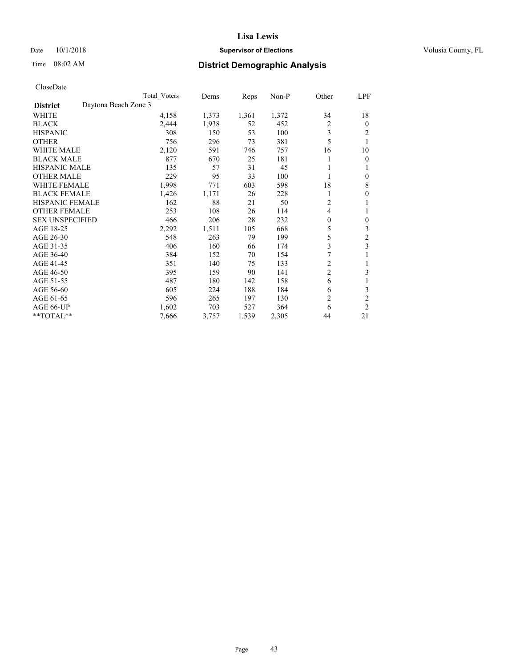### Date  $10/1/2018$  **Supervisor of Elections** Volusia County, FL

## Time 08:02 AM **District Demographic Analysis**

|                                         | Total Voters | Dems  | Reps  | $Non-P$ | Other          | LPF              |
|-----------------------------------------|--------------|-------|-------|---------|----------------|------------------|
| Daytona Beach Zone 3<br><b>District</b> |              |       |       |         |                |                  |
| WHITE                                   | 4,158        | 1,373 | 1,361 | 1,372   | 34             | 18               |
| <b>BLACK</b>                            | 2,444        | 1,938 | 52    | 452     | $\overline{c}$ | $\mathbf{0}$     |
| <b>HISPANIC</b>                         | 308          | 150   | 53    | 100     | 3              | 2                |
| <b>OTHER</b>                            | 756          | 296   | 73    | 381     | 5              | 1                |
| <b>WHITE MALE</b>                       | 2,120        | 591   | 746   | 757     | 16             | 10               |
| <b>BLACK MALE</b>                       | 877          | 670   | 25    | 181     |                | $\overline{0}$   |
| <b>HISPANIC MALE</b>                    | 135          | 57    | 31    | 45      |                | 1                |
| <b>OTHER MALE</b>                       | 229          | 95    | 33    | 100     | 1              | $\theta$         |
| <b>WHITE FEMALE</b>                     | 1,998        | 771   | 603   | 598     | 18             | 8                |
| <b>BLACK FEMALE</b>                     | 1,426        | 1,171 | 26    | 228     |                | $\theta$         |
| <b>HISPANIC FEMALE</b>                  | 162          | 88    | 21    | 50      | 2              | 1                |
| <b>OTHER FEMALE</b>                     | 253          | 108   | 26    | 114     | 4              | 1                |
| <b>SEX UNSPECIFIED</b>                  | 466          | 206   | 28    | 232     | $\theta$       | $\boldsymbol{0}$ |
| AGE 18-25                               | 2,292        | 1,511 | 105   | 668     | 5              | 3                |
| AGE 26-30                               | 548          | 263   | 79    | 199     | 5              | $\overline{c}$   |
| AGE 31-35                               | 406          | 160   | 66    | 174     | 3              | 3                |
| AGE 36-40                               | 384          | 152   | 70    | 154     | 7              | 1                |
| AGE 41-45                               | 351          | 140   | 75    | 133     | 2              | 1                |
| AGE 46-50                               | 395          | 159   | 90    | 141     | $\overline{c}$ | 3                |
| AGE 51-55                               | 487          | 180   | 142   | 158     | 6              | 1                |
| AGE 56-60                               | 605          | 224   | 188   | 184     | 6              | 3                |
| AGE 61-65                               | 596          | 265   | 197   | 130     | $\overline{2}$ | $\overline{c}$   |
| AGE 66-UP                               | 1,602        | 703   | 527   | 364     | 6              | $\overline{2}$   |
| **TOTAL**                               | 7,666        | 3,757 | 1,539 | 2,305   | 44             | 21               |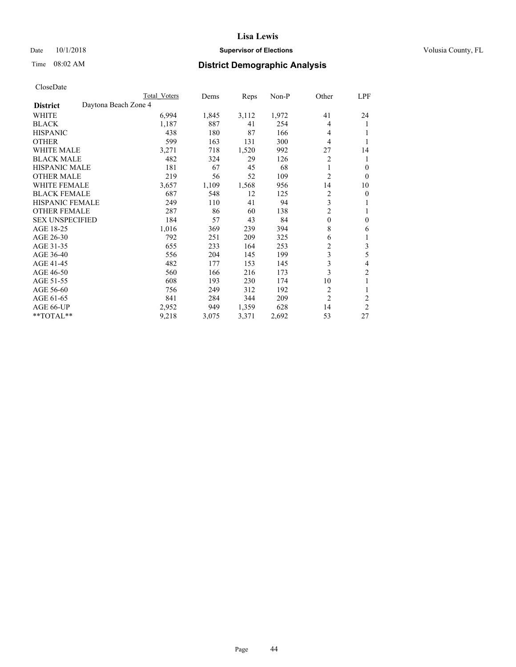### Date  $10/1/2018$  **Supervisor of Elections** Volusia County, FL

## Time 08:02 AM **District Demographic Analysis**

|                                         | Total Voters | Dems  | Reps  | $Non-P$ | Other          | LPF            |
|-----------------------------------------|--------------|-------|-------|---------|----------------|----------------|
| Daytona Beach Zone 4<br><b>District</b> |              |       |       |         |                |                |
| WHITE                                   | 6,994        | 1,845 | 3,112 | 1,972   | 41             | 24             |
| <b>BLACK</b>                            | 1,187        | 887   | 41    | 254     | 4              | 1              |
| <b>HISPANIC</b>                         | 438          | 180   | 87    | 166     | 4              |                |
| <b>OTHER</b>                            | 599          | 163   | 131   | 300     | $\overline{4}$ |                |
| <b>WHITE MALE</b>                       | 3,271        | 718   | 1,520 | 992     | 27             | 14             |
| <b>BLACK MALE</b>                       | 482          | 324   | 29    | 126     | 2              | 1              |
| <b>HISPANIC MALE</b>                    | 181          | 67    | 45    | 68      | 1              | $\theta$       |
| <b>OTHER MALE</b>                       | 219          | 56    | 52    | 109     | 2              | $\theta$       |
| <b>WHITE FEMALE</b>                     | 3,657        | 1,109 | 1,568 | 956     | 14             | 10             |
| <b>BLACK FEMALE</b>                     | 687          | 548   | 12    | 125     | 2              | $\theta$       |
| <b>HISPANIC FEMALE</b>                  | 249          | 110   | 41    | 94      | 3              | 1              |
| <b>OTHER FEMALE</b>                     | 287          | 86    | 60    | 138     | 2              | 1              |
| <b>SEX UNSPECIFIED</b>                  | 184          | 57    | 43    | 84      | $\mathbf{0}$   | $\theta$       |
| AGE 18-25                               | 1,016        | 369   | 239   | 394     | 8              | 6              |
| AGE 26-30                               | 792          | 251   | 209   | 325     | 6              | 1              |
| AGE 31-35                               | 655          | 233   | 164   | 253     | 2              | 3              |
| AGE 36-40                               | 556          | 204   | 145   | 199     | 3              | 5              |
| AGE 41-45                               | 482          | 177   | 153   | 145     | 3              | 4              |
| AGE 46-50                               | 560          | 166   | 216   | 173     | 3              | $\overline{c}$ |
| AGE 51-55                               | 608          | 193   | 230   | 174     | 10             | 1              |
| AGE 56-60                               | 756          | 249   | 312   | 192     | $\overline{c}$ | 1              |
| AGE 61-65                               | 841          | 284   | 344   | 209     | $\overline{2}$ | $\overline{2}$ |
| AGE 66-UP                               | 2,952        | 949   | 1,359 | 628     | 14             | $\overline{2}$ |
| **TOTAL**                               | 9,218        | 3,075 | 3,371 | 2,692   | 53             | 27             |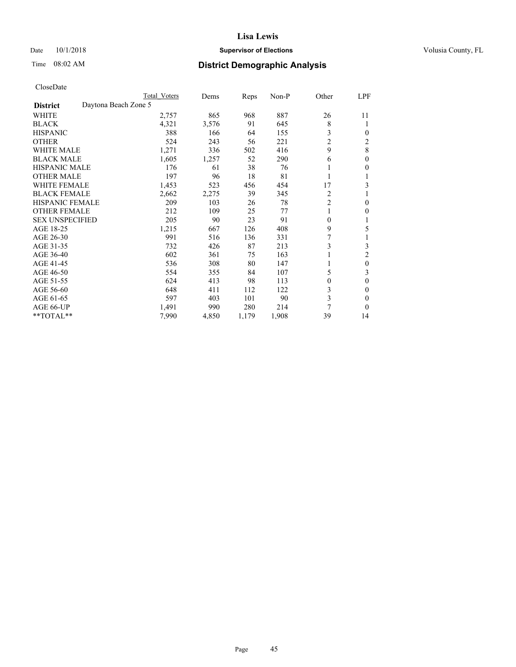### Date  $10/1/2018$  **Supervisor of Elections** Volusia County, FL

| CloseDate |
|-----------|
|-----------|

|                        |                      | Total Voters | Dems  | Reps  | Non-P | Other          | LPF      |
|------------------------|----------------------|--------------|-------|-------|-------|----------------|----------|
| <b>District</b>        | Daytona Beach Zone 5 |              |       |       |       |                |          |
| WHITE                  |                      | 2,757        | 865   | 968   | 887   | 26             | 11       |
| <b>BLACK</b>           |                      | 4,321        | 3,576 | 91    | 645   | 8              | 1        |
| <b>HISPANIC</b>        |                      | 388          | 166   | 64    | 155   | 3              | 0        |
| <b>OTHER</b>           |                      | 524          | 243   | 56    | 221   | $\overline{c}$ | 2        |
| <b>WHITE MALE</b>      |                      | 1,271        | 336   | 502   | 416   | 9              | 8        |
| <b>BLACK MALE</b>      |                      | 1,605        | 1,257 | 52    | 290   | 6              | 0        |
| <b>HISPANIC MALE</b>   |                      | 176          | 61    | 38    | 76    |                | 0        |
| <b>OTHER MALE</b>      |                      | 197          | 96    | 18    | 81    | 1              |          |
| <b>WHITE FEMALE</b>    |                      | 1,453        | 523   | 456   | 454   | 17             | 3        |
| <b>BLACK FEMALE</b>    |                      | 2,662        | 2,275 | 39    | 345   | 2              |          |
| <b>HISPANIC FEMALE</b> |                      | 209          | 103   | 26    | 78    | $\overline{2}$ | 0        |
| <b>OTHER FEMALE</b>    |                      | 212          | 109   | 25    | 77    | 1              | 0        |
| <b>SEX UNSPECIFIED</b> |                      | 205          | 90    | 23    | 91    | $\theta$       | 1        |
| AGE 18-25              |                      | 1,215        | 667   | 126   | 408   | 9              | 5        |
| AGE 26-30              |                      | 991          | 516   | 136   | 331   |                |          |
| AGE 31-35              |                      | 732          | 426   | 87    | 213   | 3              | 3        |
| AGE 36-40              |                      | 602          | 361   | 75    | 163   |                | 2        |
| AGE 41-45              |                      | 536          | 308   | 80    | 147   |                | 0        |
| AGE 46-50              |                      | 554          | 355   | 84    | 107   | 5              | 3        |
| AGE 51-55              |                      | 624          | 413   | 98    | 113   | $\Omega$       | 0        |
| AGE 56-60              |                      | 648          | 411   | 112   | 122   | 3              | 0        |
| AGE 61-65              |                      | 597          | 403   | 101   | 90    | 3              | 0        |
| <b>AGE 66-UP</b>       |                      | 1,491        | 990   | 280   | 214   | 7              | $\theta$ |
| **TOTAL**              |                      | 7,990        | 4,850 | 1,179 | 1,908 | 39             | 14       |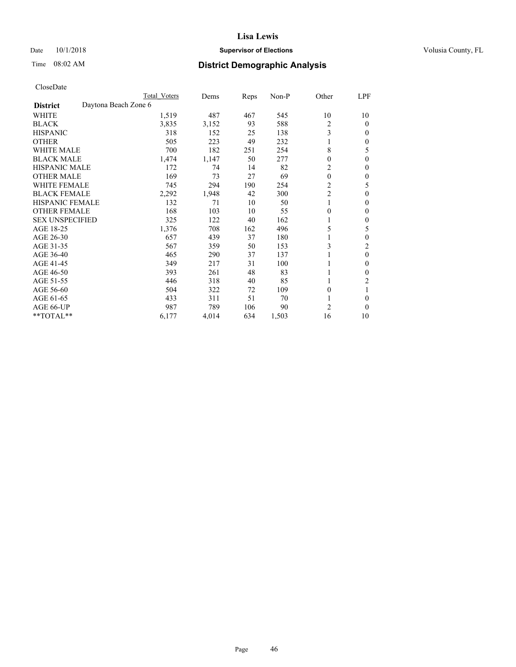### Date  $10/1/2018$  **Supervisor of Elections** Volusia County, FL

|                                         | Total Voters | Dems  | Reps | Non-P | Other            | LPF          |
|-----------------------------------------|--------------|-------|------|-------|------------------|--------------|
| Daytona Beach Zone 6<br><b>District</b> |              |       |      |       |                  |              |
| WHITE                                   | 1,519        | 487   | 467  | 545   | 10               | 10           |
| <b>BLACK</b>                            | 3,835        | 3,152 | 93   | 588   | $\overline{2}$   | $\theta$     |
| <b>HISPANIC</b>                         | 318          | 152   | 25   | 138   | 3                | $\mathbf{0}$ |
| <b>OTHER</b>                            | 505          | 223   | 49   | 232   |                  | $\theta$     |
| <b>WHITE MALE</b>                       | 700          | 182   | 251  | 254   | 8                | 5            |
| <b>BLACK MALE</b>                       | 1,474        | 1,147 | 50   | 277   | $\mathbf{0}$     | $\theta$     |
| <b>HISPANIC MALE</b>                    | 172          | 74    | 14   | 82    | 2                | $\theta$     |
| <b>OTHER MALE</b>                       | 169          | 73    | 27   | 69    | $\boldsymbol{0}$ | $\mathbf{0}$ |
| <b>WHITE FEMALE</b>                     | 745          | 294   | 190  | 254   | $\overline{c}$   | 5            |
| <b>BLACK FEMALE</b>                     | 2,292        | 1,948 | 42   | 300   | $\overline{c}$   | $\theta$     |
| <b>HISPANIC FEMALE</b>                  | 132          | 71    | 10   | 50    |                  | $\Omega$     |
| <b>OTHER FEMALE</b>                     | 168          | 103   | 10   | 55    | $\mathbf{0}$     | $\mathbf{0}$ |
| <b>SEX UNSPECIFIED</b>                  | 325          | 122   | 40   | 162   | 1                | $\theta$     |
| AGE 18-25                               | 1,376        | 708   | 162  | 496   | 5                | 5            |
| AGE 26-30                               | 657          | 439   | 37   | 180   |                  | $\mathbf{0}$ |
| AGE 31-35                               | 567          | 359   | 50   | 153   | 3                | 2            |
| AGE 36-40                               | 465          | 290   | 37   | 137   |                  | $\theta$     |
| AGE 41-45                               | 349          | 217   | 31   | 100   |                  | $\theta$     |
| AGE 46-50                               | 393          | 261   | 48   | 83    |                  | $\Omega$     |
| AGE 51-55                               | 446          | 318   | 40   | 85    | 1                | 2            |
| AGE 56-60                               | 504          | 322   | 72   | 109   | 0                |              |
| AGE 61-65                               | 433          | 311   | 51   | 70    | 1                | $\theta$     |
| AGE 66-UP                               | 987          | 789   | 106  | 90    | $\overline{2}$   | $\theta$     |
| **TOTAL**                               | 6,177        | 4,014 | 634  | 1,503 | 16               | 10           |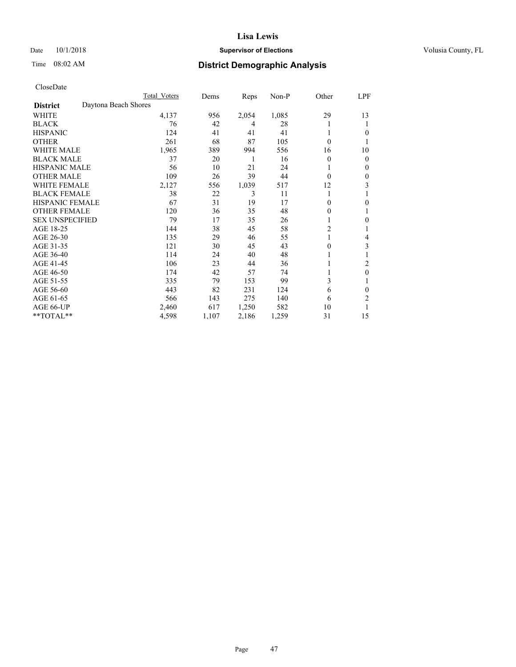### Date  $10/1/2018$  **Supervisor of Elections** Volusia County, FL

## Time 08:02 AM **District Demographic Analysis**

|                        |                      | Total Voters | Dems  | Reps  | Non-P | Other          | LPF          |
|------------------------|----------------------|--------------|-------|-------|-------|----------------|--------------|
| <b>District</b>        | Daytona Beach Shores |              |       |       |       |                |              |
| WHITE                  |                      | 4,137        | 956   | 2,054 | 1,085 | 29             | 13           |
| <b>BLACK</b>           |                      | 76           | 42    | 4     | 28    |                | 1            |
| <b>HISPANIC</b>        |                      | 124          | 41    | 41    | 41    |                | $\theta$     |
| <b>OTHER</b>           |                      | 261          | 68    | 87    | 105   | $\theta$       |              |
| <b>WHITE MALE</b>      |                      | 1,965        | 389   | 994   | 556   | 16             | 10           |
| <b>BLACK MALE</b>      |                      | 37           | 20    | 1     | 16    | $\theta$       | $\mathbf{0}$ |
| <b>HISPANIC MALE</b>   |                      | 56           | 10    | 21    | 24    |                | $\mathbf{0}$ |
| <b>OTHER MALE</b>      |                      | 109          | 26    | 39    | 44    | $\theta$       | $\theta$     |
| <b>WHITE FEMALE</b>    |                      | 2,127        | 556   | 1,039 | 517   | 12             | 3            |
| <b>BLACK FEMALE</b>    |                      | 38           | 22    | 3     | 11    |                |              |
| <b>HISPANIC FEMALE</b> |                      | 67           | 31    | 19    | 17    | 0              | $\theta$     |
| <b>OTHER FEMALE</b>    |                      | 120          | 36    | 35    | 48    | 0              | 1            |
| <b>SEX UNSPECIFIED</b> |                      | 79           | 17    | 35    | 26    |                | $\mathbf{0}$ |
| AGE 18-25              |                      | 144          | 38    | 45    | 58    | $\overline{c}$ |              |
| AGE 26-30              |                      | 135          | 29    | 46    | 55    | 1              | 4            |
| AGE 31-35              |                      | 121          | 30    | 45    | 43    | 0              | 3            |
| AGE 36-40              |                      | 114          | 24    | 40    | 48    |                |              |
| AGE 41-45              |                      | 106          | 23    | 44    | 36    |                | 2            |
| AGE 46-50              |                      | 174          | 42    | 57    | 74    |                | $\theta$     |
| AGE 51-55              |                      | 335          | 79    | 153   | 99    | 3              | 1            |
| AGE 56-60              |                      | 443          | 82    | 231   | 124   | 6              | $\theta$     |
| AGE 61-65              |                      | 566          | 143   | 275   | 140   | 6              | 2            |
| AGE 66-UP              |                      | 2,460        | 617   | 1,250 | 582   | 10             |              |
| **TOTAL**              |                      | 4,598        | 1,107 | 2,186 | 1,259 | 31             | 15           |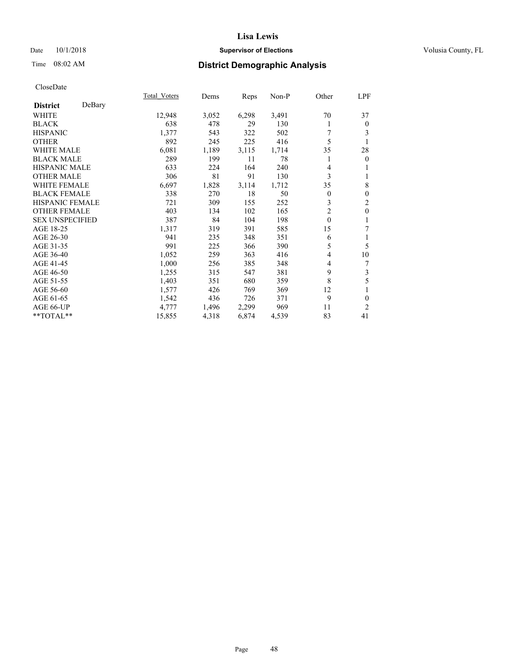### Date  $10/1/2018$  **Supervisor of Elections** Volusia County, FL

## Time 08:02 AM **District Demographic Analysis**

|                        |        | Total Voters | Dems  | Reps  | Non-P | Other          | LPF            |
|------------------------|--------|--------------|-------|-------|-------|----------------|----------------|
| <b>District</b>        | DeBary |              |       |       |       |                |                |
| WHITE                  |        | 12,948       | 3,052 | 6,298 | 3,491 | 70             | 37             |
| <b>BLACK</b>           |        | 638          | 478   | 29    | 130   | 1              | $\mathbf{0}$   |
| <b>HISPANIC</b>        |        | 1,377        | 543   | 322   | 502   | 7              | 3              |
| <b>OTHER</b>           |        | 892          | 245   | 225   | 416   | 5              |                |
| WHITE MALE             |        | 6,081        | 1,189 | 3,115 | 1,714 | 35             | 28             |
| <b>BLACK MALE</b>      |        | 289          | 199   | 11    | 78    |                | $\mathbf{0}$   |
| <b>HISPANIC MALE</b>   |        | 633          | 224   | 164   | 240   | 4              | 1              |
| <b>OTHER MALE</b>      |        | 306          | 81    | 91    | 130   | 3              | 1              |
| <b>WHITE FEMALE</b>    |        | 6,697        | 1,828 | 3,114 | 1,712 | 35             | 8              |
| <b>BLACK FEMALE</b>    |        | 338          | 270   | 18    | 50    | $\overline{0}$ | $\mathbf{0}$   |
| <b>HISPANIC FEMALE</b> |        | 721          | 309   | 155   | 252   | 3              | $\overline{c}$ |
| <b>OTHER FEMALE</b>    |        | 403          | 134   | 102   | 165   | $\overline{2}$ | $\mathbf{0}$   |
| <b>SEX UNSPECIFIED</b> |        | 387          | 84    | 104   | 198   | $\theta$       | 1              |
| AGE 18-25              |        | 1,317        | 319   | 391   | 585   | 15             | 7              |
| AGE 26-30              |        | 941          | 235   | 348   | 351   | 6              | 1              |
| AGE 31-35              |        | 991          | 225   | 366   | 390   | 5              | 5              |
| AGE 36-40              |        | 1,052        | 259   | 363   | 416   | 4              | 10             |
| AGE 41-45              |        | 1,000        | 256   | 385   | 348   | 4              | 7              |
| AGE 46-50              |        | 1,255        | 315   | 547   | 381   | 9              | 3              |
| AGE 51-55              |        | 1,403        | 351   | 680   | 359   | 8              | 5              |
| AGE 56-60              |        | 1,577        | 426   | 769   | 369   | 12             | 1              |
| AGE 61-65              |        | 1,542        | 436   | 726   | 371   | 9              | $\theta$       |
| AGE 66-UP              |        | 4,777        | 1,496 | 2,299 | 969   | 11             | 2              |
| **TOTAL**              |        | 15,855       | 4,318 | 6,874 | 4,539 | 83             | 41             |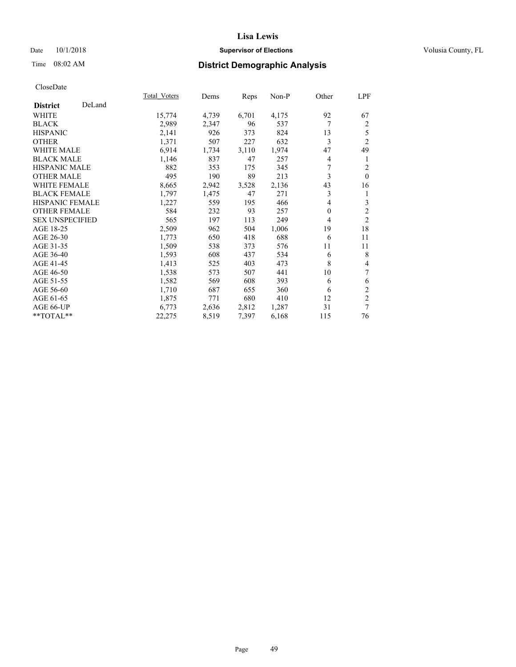### Date  $10/1/2018$  **Supervisor of Elections** Volusia County, FL

## Time 08:02 AM **District Demographic Analysis**

|                        |        | Total Voters | Dems  | Reps  | Non-P | Other          | LPF            |
|------------------------|--------|--------------|-------|-------|-------|----------------|----------------|
| <b>District</b>        | DeLand |              |       |       |       |                |                |
| WHITE                  |        | 15,774       | 4,739 | 6,701 | 4,175 | 92             | 67             |
| <b>BLACK</b>           |        | 2,989        | 2,347 | 96    | 537   | 7              | $\overline{2}$ |
| <b>HISPANIC</b>        |        | 2,141        | 926   | 373   | 824   | 13             | 5              |
| <b>OTHER</b>           |        | 1,371        | 507   | 227   | 632   | 3              | $\overline{2}$ |
| <b>WHITE MALE</b>      |        | 6,914        | 1,734 | 3,110 | 1,974 | 47             | 49             |
| <b>BLACK MALE</b>      |        | 1,146        | 837   | 47    | 257   | 4              | 1              |
| <b>HISPANIC MALE</b>   |        | 882          | 353   | 175   | 345   | 7              | $\overline{2}$ |
| <b>OTHER MALE</b>      |        | 495          | 190   | 89    | 213   | 3              | $\Omega$       |
| <b>WHITE FEMALE</b>    |        | 8,665        | 2,942 | 3,528 | 2,136 | 43             | 16             |
| <b>BLACK FEMALE</b>    |        | 1,797        | 1,475 | 47    | 271   | 3              | 1              |
| <b>HISPANIC FEMALE</b> |        | 1,227        | 559   | 195   | 466   | 4              | 3              |
| <b>OTHER FEMALE</b>    |        | 584          | 232   | 93    | 257   | $\overline{0}$ | $\overline{c}$ |
| <b>SEX UNSPECIFIED</b> |        | 565          | 197   | 113   | 249   | 4              | $\overline{2}$ |
| AGE 18-25              |        | 2,509        | 962   | 504   | 1,006 | 19             | 18             |
| AGE 26-30              |        | 1,773        | 650   | 418   | 688   | 6              | 11             |
| AGE 31-35              |        | 1,509        | 538   | 373   | 576   | 11             | 11             |
| AGE 36-40              |        | 1,593        | 608   | 437   | 534   | 6              | 8              |
| AGE 41-45              |        | 1,413        | 525   | 403   | 473   | 8              | 4              |
| AGE 46-50              |        | 1,538        | 573   | 507   | 441   | 10             | 7              |
| AGE 51-55              |        | 1,582        | 569   | 608   | 393   | 6              | 6              |
| AGE 56-60              |        | 1,710        | 687   | 655   | 360   | 6              | $\mathfrak{2}$ |
| AGE 61-65              |        | 1,875        | 771   | 680   | 410   | 12             | $\mathfrak{2}$ |
| AGE 66-UP              |        | 6,773        | 2,636 | 2,812 | 1,287 | 31             | 7              |
| **TOTAL**              |        | 22,275       | 8,519 | 7,397 | 6,168 | 115            | 76             |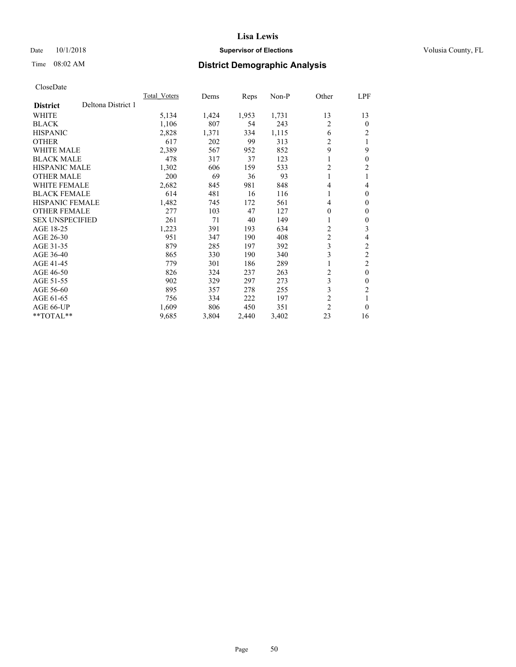### Date  $10/1/2018$  **Supervisor of Elections** Volusia County, FL

## Time 08:02 AM **District Demographic Analysis**

|                        |                    | Total Voters | Dems  | Reps  | $Non-P$ | Other          | <u>LPF</u>       |
|------------------------|--------------------|--------------|-------|-------|---------|----------------|------------------|
| <b>District</b>        | Deltona District 1 |              |       |       |         |                |                  |
| <b>WHITE</b>           |                    | 5,134        | 1,424 | 1,953 | 1,731   | 13             | 13               |
| <b>BLACK</b>           |                    | 1,106        | 807   | 54    | 243     | 2              | $\theta$         |
| <b>HISPANIC</b>        |                    | 2,828        | 1,371 | 334   | 1,115   | 6              | $\overline{c}$   |
| <b>OTHER</b>           |                    | 617          | 202   | 99    | 313     | $\overline{c}$ |                  |
| <b>WHITE MALE</b>      |                    | 2,389        | 567   | 952   | 852     | 9              | 9                |
| <b>BLACK MALE</b>      |                    | 478          | 317   | 37    | 123     | 1              | $\boldsymbol{0}$ |
| HISPANIC MALE          |                    | 1,302        | 606   | 159   | 533     | $\overline{2}$ | 2                |
| <b>OTHER MALE</b>      |                    | 200          | 69    | 36    | 93      | 1              |                  |
| <b>WHITE FEMALE</b>    |                    | 2,682        | 845   | 981   | 848     | 4              | 4                |
| <b>BLACK FEMALE</b>    |                    | 614          | 481   | 16    | 116     | 1              | $\theta$         |
| <b>HISPANIC FEMALE</b> |                    | 1,482        | 745   | 172   | 561     | 4              | $\mathbf{0}$     |
| <b>OTHER FEMALE</b>    |                    | 277          | 103   | 47    | 127     | $\theta$       | 0                |
| <b>SEX UNSPECIFIED</b> |                    | 261          | 71    | 40    | 149     | 1              | 0                |
| AGE 18-25              |                    | 1,223        | 391   | 193   | 634     | $\overline{2}$ | 3                |
| AGE 26-30              |                    | 951          | 347   | 190   | 408     | $\overline{c}$ | 4                |
| AGE 31-35              |                    | 879          | 285   | 197   | 392     | 3              | $\overline{2}$   |
| AGE 36-40              |                    | 865          | 330   | 190   | 340     | 3              | $\overline{2}$   |
| AGE 41-45              |                    | 779          | 301   | 186   | 289     | 1              | 2                |
| AGE 46-50              |                    | 826          | 324   | 237   | 263     | $\overline{c}$ | $\theta$         |
| AGE 51-55              |                    | 902          | 329   | 297   | 273     | 3              | 0                |
| AGE 56-60              |                    | 895          | 357   | 278   | 255     | 3              | $\overline{2}$   |
| AGE 61-65              |                    | 756          | 334   | 222   | 197     | $\overline{c}$ |                  |
| AGE 66-UP              |                    | 1,609        | 806   | 450   | 351     | $\overline{2}$ | $\theta$         |
| $*$ TOTAL $*$          |                    | 9,685        | 3,804 | 2,440 | 3,402   | 23             | 16               |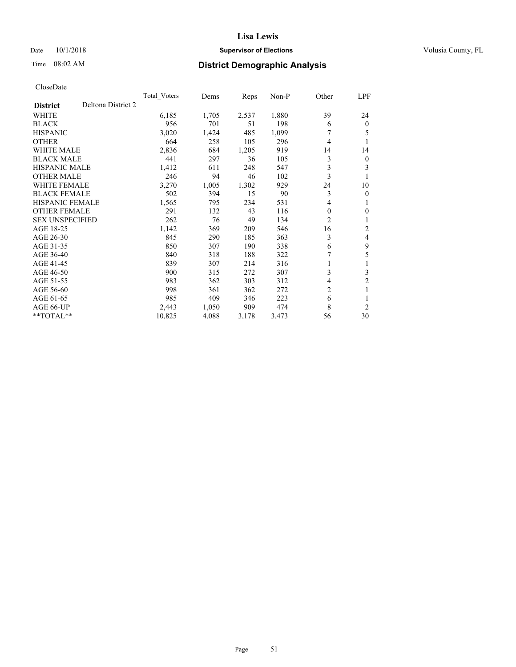### Date  $10/1/2018$  **Supervisor of Elections** Volusia County, FL

## Time 08:02 AM **District Demographic Analysis**

|                                       | Total Voters | Dems  | Reps  | $Non-P$ | Other | LPF            |
|---------------------------------------|--------------|-------|-------|---------|-------|----------------|
| Deltona District 2<br><b>District</b> |              |       |       |         |       |                |
| WHITE                                 | 6,185        | 1,705 | 2,537 | 1,880   | 39    | 24             |
| <b>BLACK</b>                          | 956          | 701   | 51    | 198     | 6     | $\mathbf{0}$   |
| <b>HISPANIC</b>                       | 3,020        | 1,424 | 485   | 1,099   | 7     | 5              |
| <b>OTHER</b>                          | 664          | 258   | 105   | 296     | 4     | 1              |
| <b>WHITE MALE</b>                     | 2,836        | 684   | 1,205 | 919     | 14    | 14             |
| <b>BLACK MALE</b>                     | 441          | 297   | 36    | 105     | 3     | $\mathbf{0}$   |
| <b>HISPANIC MALE</b>                  | 1,412        | 611   | 248   | 547     | 3     | 3              |
| <b>OTHER MALE</b>                     | 246          | 94    | 46    | 102     | 3     | 1              |
| <b>WHITE FEMALE</b>                   | 3,270        | 1,005 | 1,302 | 929     | 24    | 10             |
| <b>BLACK FEMALE</b>                   | 502          | 394   | 15    | 90      | 3     | $\mathbf{0}$   |
| <b>HISPANIC FEMALE</b>                | 1,565        | 795   | 234   | 531     | 4     | 1              |
| <b>OTHER FEMALE</b>                   | 291          | 132   | 43    | 116     | 0     | $\theta$       |
| <b>SEX UNSPECIFIED</b>                | 262          | 76    | 49    | 134     | 2     | 1              |
| AGE 18-25                             | 1,142        | 369   | 209   | 546     | 16    | $\overline{2}$ |
| AGE 26-30                             | 845          | 290   | 185   | 363     | 3     | 4              |
| AGE 31-35                             | 850          | 307   | 190   | 338     | 6     | 9              |
| AGE 36-40                             | 840          | 318   | 188   | 322     | 7     | 5              |
| AGE 41-45                             | 839          | 307   | 214   | 316     | 1     | 1              |
| AGE 46-50                             | 900          | 315   | 272   | 307     | 3     | 3              |
| AGE 51-55                             | 983          | 362   | 303   | 312     | 4     | $\overline{2}$ |
| AGE 56-60                             | 998          | 361   | 362   | 272     | 2     | 1              |
| AGE 61-65                             | 985          | 409   | 346   | 223     | 6     | 1              |
| AGE 66-UP                             | 2,443        | 1,050 | 909   | 474     | 8     | $\overline{2}$ |
| $*$ TOTAL $*$                         | 10,825       | 4,088 | 3,178 | 3,473   | 56    | 30             |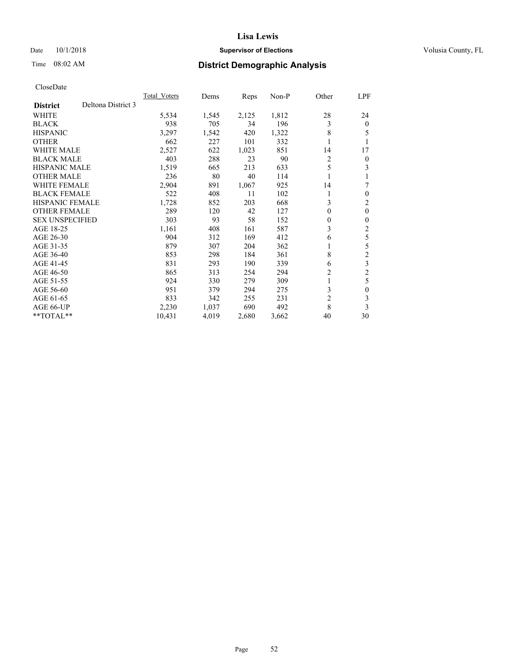### Date  $10/1/2018$  **Supervisor of Elections** Volusia County, FL

## Time 08:02 AM **District Demographic Analysis**

|                        |                    | Total Voters | Dems  | Reps  | $Non-P$ | Other            | LPF            |
|------------------------|--------------------|--------------|-------|-------|---------|------------------|----------------|
| <b>District</b>        | Deltona District 3 |              |       |       |         |                  |                |
| WHITE                  |                    | 5,534        | 1,545 | 2,125 | 1,812   | 28               | 24             |
| <b>BLACK</b>           |                    | 938          | 705   | 34    | 196     | 3                | $\mathbf{0}$   |
| <b>HISPANIC</b>        |                    | 3,297        | 1,542 | 420   | 1,322   | 8                | 5              |
| <b>OTHER</b>           |                    | 662          | 227   | 101   | 332     | 1                |                |
| <b>WHITE MALE</b>      |                    | 2,527        | 622   | 1,023 | 851     | 14               | 17             |
| <b>BLACK MALE</b>      |                    | 403          | 288   | 23    | 90      | 2                | $\overline{0}$ |
| <b>HISPANIC MALE</b>   |                    | 1,519        | 665   | 213   | 633     | 5                | 3              |
| <b>OTHER MALE</b>      |                    | 236          | 80    | 40    | 114     |                  |                |
| WHITE FEMALE           |                    | 2,904        | 891   | 1,067 | 925     | 14               | 7              |
| <b>BLACK FEMALE</b>    |                    | 522          | 408   | 11    | 102     | 1                | $\theta$       |
| <b>HISPANIC FEMALE</b> |                    | 1,728        | 852   | 203   | 668     | 3                | $\overline{2}$ |
| <b>OTHER FEMALE</b>    |                    | 289          | 120   | 42    | 127     | $\theta$         | $\theta$       |
| <b>SEX UNSPECIFIED</b> |                    | 303          | 93    | 58    | 152     | $\boldsymbol{0}$ | $\theta$       |
| AGE 18-25              |                    | 1,161        | 408   | 161   | 587     | 3                | 2              |
| AGE 26-30              |                    | 904          | 312   | 169   | 412     | 6                | 5              |
| AGE 31-35              |                    | 879          | 307   | 204   | 362     | 1                | 5              |
| AGE 36-40              |                    | 853          | 298   | 184   | 361     | 8                | $\overline{2}$ |
| AGE 41-45              |                    | 831          | 293   | 190   | 339     | 6                | 3              |
| AGE 46-50              |                    | 865          | 313   | 254   | 294     | $\overline{2}$   | $\overline{2}$ |
| AGE 51-55              |                    | 924          | 330   | 279   | 309     | 1                | 5              |
| AGE 56-60              |                    | 951          | 379   | 294   | 275     | 3                | 0              |
| AGE 61-65              |                    | 833          | 342   | 255   | 231     | $\overline{c}$   | 3              |
| AGE 66-UP              |                    | 2,230        | 1,037 | 690   | 492     | 8                | 3              |
| **TOTAL**              |                    | 10,431       | 4,019 | 2,680 | 3,662   | 40               | 30             |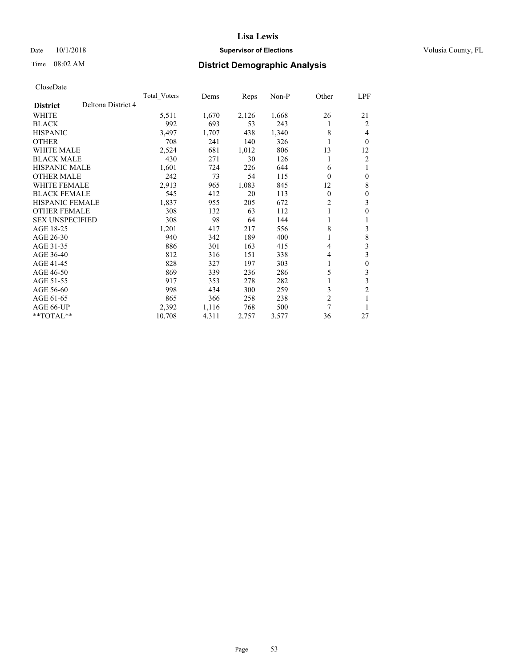### Date  $10/1/2018$  **Supervisor of Elections** Volusia County, FL

## Time 08:02 AM **District Demographic Analysis**

|                        |                    | Total Voters | Dems  | Reps  | $Non-P$ | Other          | LPF              |
|------------------------|--------------------|--------------|-------|-------|---------|----------------|------------------|
| <b>District</b>        | Deltona District 4 |              |       |       |         |                |                  |
| WHITE                  |                    | 5,511        | 1,670 | 2,126 | 1,668   | 26             | 21               |
| <b>BLACK</b>           |                    | 992          | 693   | 53    | 243     | 1              | 2                |
| <b>HISPANIC</b>        |                    | 3,497        | 1,707 | 438   | 1,340   | 8              | 4                |
| <b>OTHER</b>           |                    | 708          | 241   | 140   | 326     | 1              | $\theta$         |
| <b>WHITE MALE</b>      |                    | 2,524        | 681   | 1,012 | 806     | 13             | 12               |
| <b>BLACK MALE</b>      |                    | 430          | 271   | 30    | 126     | 1              | $\overline{c}$   |
| <b>HISPANIC MALE</b>   |                    | 1,601        | 724   | 226   | 644     | 6              | 1                |
| <b>OTHER MALE</b>      |                    | 242          | 73    | 54    | 115     | $\Omega$       | $\theta$         |
| WHITE FEMALE           |                    | 2,913        | 965   | 1,083 | 845     | 12             | 8                |
| <b>BLACK FEMALE</b>    |                    | 545          | 412   | 20    | 113     | $\theta$       | $\theta$         |
| <b>HISPANIC FEMALE</b> |                    | 1,837        | 955   | 205   | 672     | 2              | 3                |
| <b>OTHER FEMALE</b>    |                    | 308          | 132   | 63    | 112     | 1              | $\theta$         |
| <b>SEX UNSPECIFIED</b> |                    | 308          | 98    | 64    | 144     | 1              | 1                |
| AGE 18-25              |                    | 1,201        | 417   | 217   | 556     | 8              | 3                |
| AGE 26-30              |                    | 940          | 342   | 189   | 400     | 1              | 8                |
| AGE 31-35              |                    | 886          | 301   | 163   | 415     | 4              | 3                |
| AGE 36-40              |                    | 812          | 316   | 151   | 338     | 4              | 3                |
| AGE 41-45              |                    | 828          | 327   | 197   | 303     | 1              | $\boldsymbol{0}$ |
| AGE 46-50              |                    | 869          | 339   | 236   | 286     | 5              | 3                |
| AGE 51-55              |                    | 917          | 353   | 278   | 282     | 1              | 3                |
| AGE 56-60              |                    | 998          | 434   | 300   | 259     | 3              | $\overline{c}$   |
| AGE 61-65              |                    | 865          | 366   | 258   | 238     | $\overline{c}$ |                  |
| AGE 66-UP              |                    | 2,392        | 1,116 | 768   | 500     | 7              |                  |
| **TOTAL**              |                    | 10,708       | 4,311 | 2,757 | 3,577   | 36             | 27               |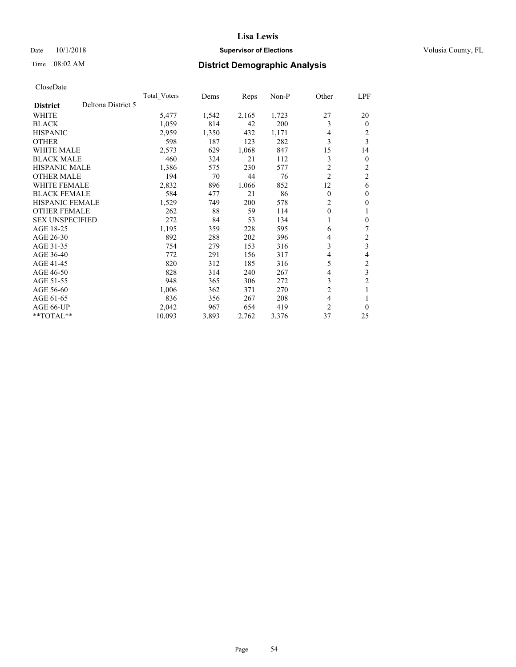### Date  $10/1/2018$  **Supervisor of Elections** Volusia County, FL

## Time 08:02 AM **District Demographic Analysis**

|                        |                    | Total Voters | Dems  | Reps  | Non-P | Other          | LPF                     |
|------------------------|--------------------|--------------|-------|-------|-------|----------------|-------------------------|
| <b>District</b>        | Deltona District 5 |              |       |       |       |                |                         |
| WHITE                  |                    | 5,477        | 1,542 | 2,165 | 1,723 | 27             | 20                      |
| <b>BLACK</b>           |                    | 1,059        | 814   | 42    | 200   | 3              | $\Omega$                |
| <b>HISPANIC</b>        |                    | 2,959        | 1,350 | 432   | 1,171 | 4              | 2                       |
| <b>OTHER</b>           |                    | 598          | 187   | 123   | 282   | 3              | 3                       |
| WHITE MALE             |                    | 2,573        | 629   | 1,068 | 847   | 15             | 14                      |
| <b>BLACK MALE</b>      |                    | 460          | 324   | 21    | 112   | 3              | 0                       |
| HISPANIC MALE          |                    | 1,386        | 575   | 230   | 577   | $\overline{c}$ | 2                       |
| <b>OTHER MALE</b>      |                    | 194          | 70    | 44    | 76    | $\overline{c}$ | 2                       |
| <b>WHITE FEMALE</b>    |                    | 2,832        | 896   | 1,066 | 852   | 12             | 6                       |
| <b>BLACK FEMALE</b>    |                    | 584          | 477   | 21    | 86    | $\theta$       | 0                       |
| <b>HISPANIC FEMALE</b> |                    | 1,529        | 749   | 200   | 578   | $\overline{2}$ | 0                       |
| <b>OTHER FEMALE</b>    |                    | 262          | 88    | 59    | 114   | $\mathbf{0}$   |                         |
| <b>SEX UNSPECIFIED</b> |                    | 272          | 84    | 53    | 134   | 1              | 0                       |
| AGE 18-25              |                    | 1,195        | 359   | 228   | 595   | 6              | 7                       |
| AGE 26-30              |                    | 892          | 288   | 202   | 396   | 4              | 2                       |
| AGE 31-35              |                    | 754          | 279   | 153   | 316   | 3              | $\overline{\mathbf{3}}$ |
| AGE 36-40              |                    | 772          | 291   | 156   | 317   | 4              | 4                       |
| AGE 41-45              |                    | 820          | 312   | 185   | 316   | 5              | $\overline{c}$          |
| AGE 46-50              |                    | 828          | 314   | 240   | 267   | 4              | 3                       |
| AGE 51-55              |                    | 948          | 365   | 306   | 272   | 3              | $\overline{2}$          |
| AGE 56-60              |                    | 1,006        | 362   | 371   | 270   | $\overline{c}$ |                         |
| AGE 61-65              |                    | 836          | 356   | 267   | 208   | 4              |                         |
| AGE 66-UP              |                    | 2,042        | 967   | 654   | 419   | $\overline{2}$ | 0                       |
| **TOTAL**              |                    | 10,093       | 3,893 | 2,762 | 3,376 | 37             | 25                      |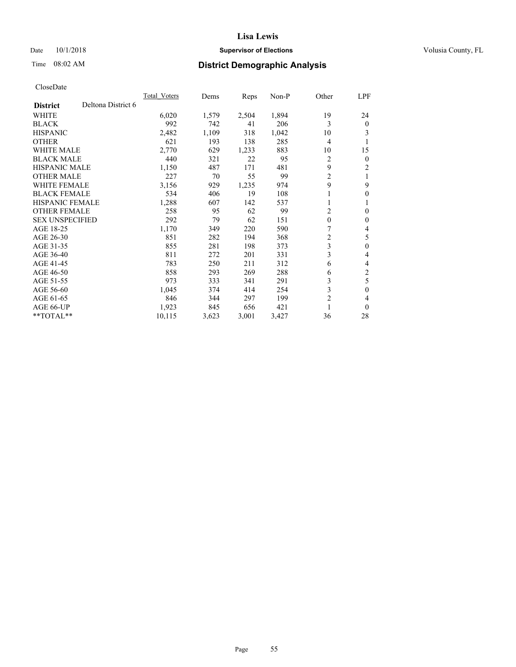### Date  $10/1/2018$  **Supervisor of Elections** Volusia County, FL

## Time 08:02 AM **District Demographic Analysis**

|                        |                    | Total Voters | Dems  | Reps  | Non-P | Other          | LPF              |
|------------------------|--------------------|--------------|-------|-------|-------|----------------|------------------|
| <b>District</b>        | Deltona District 6 |              |       |       |       |                |                  |
| WHITE                  |                    | 6,020        | 1,579 | 2,504 | 1,894 | 19             | 24               |
| <b>BLACK</b>           |                    | 992          | 742   | 41    | 206   | 3              | $\theta$         |
| <b>HISPANIC</b>        |                    | 2,482        | 1,109 | 318   | 1,042 | 10             | 3                |
| <b>OTHER</b>           |                    | 621          | 193   | 138   | 285   | 4              | 1                |
| WHITE MALE             |                    | 2,770        | 629   | 1,233 | 883   | 10             | 15               |
| <b>BLACK MALE</b>      |                    | 440          | 321   | 22    | 95    | 2              | $\theta$         |
| <b>HISPANIC MALE</b>   |                    | 1,150        | 487   | 171   | 481   | 9              | 2                |
| <b>OTHER MALE</b>      |                    | 227          | 70    | 55    | 99    | 2              | 1                |
| WHITE FEMALE           |                    | 3,156        | 929   | 1,235 | 974   | 9              | 9                |
| <b>BLACK FEMALE</b>    |                    | 534          | 406   | 19    | 108   | 1              | $\theta$         |
| <b>HISPANIC FEMALE</b> |                    | 1,288        | 607   | 142   | 537   | 1              | 1                |
| <b>OTHER FEMALE</b>    |                    | 258          | 95    | 62    | 99    | 2              | $\theta$         |
| <b>SEX UNSPECIFIED</b> |                    | 292          | 79    | 62    | 151   | $\mathbf{0}$   | $\theta$         |
| AGE 18-25              |                    | 1,170        | 349   | 220   | 590   | 7              | 4                |
| AGE 26-30              |                    | 851          | 282   | 194   | 368   | 2              | 5                |
| AGE 31-35              |                    | 855          | 281   | 198   | 373   | 3              | $\theta$         |
| AGE 36-40              |                    | 811          | 272   | 201   | 331   | 3              | 4                |
| AGE 41-45              |                    | 783          | 250   | 211   | 312   | 6              | 4                |
| AGE 46-50              |                    | 858          | 293   | 269   | 288   | 6              | $\overline{2}$   |
| AGE 51-55              |                    | 973          | 333   | 341   | 291   | 3              | 5                |
| AGE 56-60              |                    | 1,045        | 374   | 414   | 254   | 3              | $\boldsymbol{0}$ |
| AGE 61-65              |                    | 846          | 344   | 297   | 199   | $\overline{c}$ | 4                |
| AGE 66-UP              |                    | 1,923        | 845   | 656   | 421   |                | $\theta$         |
| **TOTAL**              |                    | 10,115       | 3,623 | 3,001 | 3,427 | 36             | 28               |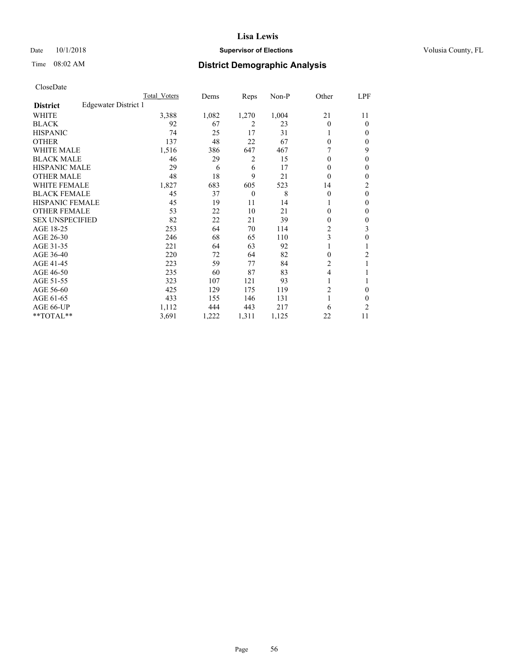### Date  $10/1/2018$  **Supervisor of Elections** Volusia County, FL

## Time 08:02 AM **District Demographic Analysis**

|                        |                      | Total Voters | Dems  | Reps           | Non-P | Other          | LPF            |
|------------------------|----------------------|--------------|-------|----------------|-------|----------------|----------------|
| <b>District</b>        | Edgewater District 1 |              |       |                |       |                |                |
| WHITE                  |                      | 3,388        | 1,082 | 1,270          | 1,004 | 21             | 11             |
| <b>BLACK</b>           |                      | 92           | 67    | 2              | 23    | 0              | $\theta$       |
| <b>HISPANIC</b>        |                      | 74           | 25    | 17             | 31    |                | $\Omega$       |
| <b>OTHER</b>           |                      | 137          | 48    | 22             | 67    | 0              | 0              |
| <b>WHITE MALE</b>      |                      | 1,516        | 386   | 647            | 467   |                | 9              |
| <b>BLACK MALE</b>      |                      | 46           | 29    | 2              | 15    | $\mathbf{0}$   | $\theta$       |
| <b>HISPANIC MALE</b>   |                      | 29           | 6     | 6              | 17    | 0              | $\theta$       |
| <b>OTHER MALE</b>      |                      | 48           | 18    | 9              | 21    | 0              | 0              |
| WHITE FEMALE           |                      | 1,827        | 683   | 605            | 523   | 14             | $\overline{c}$ |
| <b>BLACK FEMALE</b>    |                      | 45           | 37    | $\overline{0}$ | 8     | 0              | $\theta$       |
| <b>HISPANIC FEMALE</b> |                      | 45           | 19    | 11             | 14    |                | 0              |
| <b>OTHER FEMALE</b>    |                      | 53           | 22    | 10             | 21    | 0              | $\theta$       |
| <b>SEX UNSPECIFIED</b> |                      | 82           | 22    | 21             | 39    | 0              | $\theta$       |
| AGE 18-25              |                      | 253          | 64    | 70             | 114   | $\overline{c}$ | 3              |
| AGE 26-30              |                      | 246          | 68    | 65             | 110   | 3              | $\theta$       |
| AGE 31-35              |                      | 221          | 64    | 63             | 92    |                |                |
| AGE 36-40              |                      | 220          | 72    | 64             | 82    | 0              | 2              |
| AGE 41-45              |                      | 223          | 59    | 77             | 84    | 2              |                |
| AGE 46-50              |                      | 235          | 60    | 87             | 83    | 4              |                |
| AGE 51-55              |                      | 323          | 107   | 121            | 93    | 1              |                |
| AGE 56-60              |                      | 425          | 129   | 175            | 119   | 2              | 0              |
| AGE 61-65              |                      | 433          | 155   | 146            | 131   | 1              | 0              |
| AGE 66-UP              |                      | 1,112        | 444   | 443            | 217   | 6              | $\overline{c}$ |
| **TOTAL**              |                      | 3,691        | 1,222 | 1,311          | 1,125 | 22             | 11             |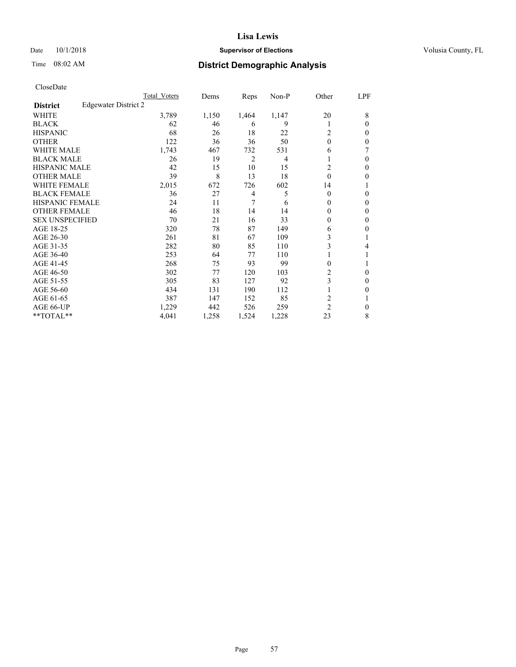#### Date  $10/1/2018$  **Supervisor of Elections Supervisor of Elections** Volusia County, FL

## Time 08:02 AM **District Demographic Analysis**

|                        |                      | Total Voters | Dems  | Reps  | Non-P | Other          | LPF    |
|------------------------|----------------------|--------------|-------|-------|-------|----------------|--------|
| <b>District</b>        | Edgewater District 2 |              |       |       |       |                |        |
| WHITE                  |                      | 3,789        | 1,150 | 1,464 | 1,147 | 20             | 8      |
| <b>BLACK</b>           |                      | 62           | 46    | 6     | 9     |                | 0      |
| <b>HISPANIC</b>        |                      | 68           | 26    | 18    | 22    | 2              | $_{0}$ |
| <b>OTHER</b>           |                      | 122          | 36    | 36    | 50    | $\theta$       | 0      |
| WHITE MALE             |                      | 1,743        | 467   | 732   | 531   | 6              | 7      |
| <b>BLACK MALE</b>      |                      | 26           | 19    | 2     | 4     |                | 0      |
| <b>HISPANIC MALE</b>   |                      | 42           | 15    | 10    | 15    | 2              | 0      |
| <b>OTHER MALE</b>      |                      | 39           | 8     | 13    | 18    | 0              | 0      |
| WHITE FEMALE           |                      | 2,015        | 672   | 726   | 602   | 14             |        |
| <b>BLACK FEMALE</b>    |                      | 36           | 27    | 4     | 5     | $\Omega$       | 0      |
| <b>HISPANIC FEMALE</b> |                      | 24           | 11    | 7     | 6     | 0              | 0      |
| <b>OTHER FEMALE</b>    |                      | 46           | 18    | 14    | 14    | $_{0}$         | 0      |
| <b>SEX UNSPECIFIED</b> |                      | 70           | 21    | 16    | 33    | 0              | 0      |
| AGE 18-25              |                      | 320          | 78    | 87    | 149   | 6              | 0      |
| AGE 26-30              |                      | 261          | 81    | 67    | 109   | 3              |        |
| AGE 31-35              |                      | 282          | 80    | 85    | 110   | 3              | 4      |
| AGE 36-40              |                      | 253          | 64    | 77    | 110   |                |        |
| AGE 41-45              |                      | 268          | 75    | 93    | 99    | 0              |        |
| AGE 46-50              |                      | 302          | 77    | 120   | 103   | 2              | 0      |
| AGE 51-55              |                      | 305          | 83    | 127   | 92    | 3              | $_{0}$ |
| AGE 56-60              |                      | 434          | 131   | 190   | 112   |                | 0      |
| AGE 61-65              |                      | 387          | 147   | 152   | 85    | 2              |        |
| AGE 66-UP              |                      | 1,229        | 442   | 526   | 259   | $\overline{2}$ | 0      |
| **TOTAL**              |                      | 4,041        | 1,258 | 1,524 | 1,228 | 23             | 8      |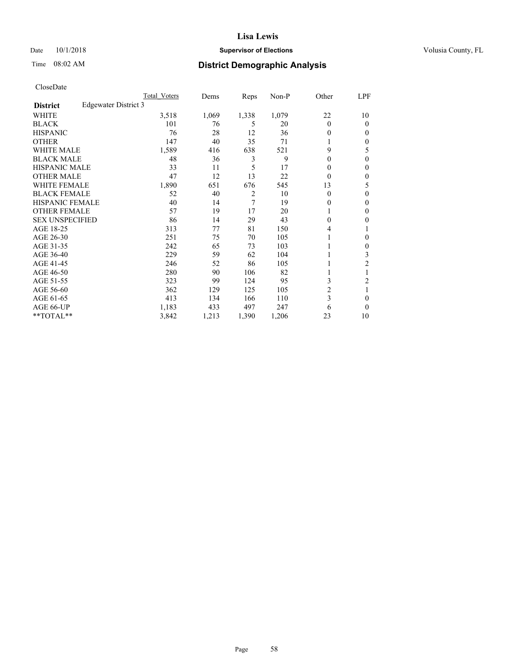### Date  $10/1/2018$  **Supervisor of Elections** Volusia County, FL

## Time 08:02 AM **District Demographic Analysis**

|                        |                      | Total Voters | Dems  | Reps           | Non-P | Other          | LPF          |
|------------------------|----------------------|--------------|-------|----------------|-------|----------------|--------------|
| <b>District</b>        | Edgewater District 3 |              |       |                |       |                |              |
| WHITE                  |                      | 3,518        | 1,069 | 1,338          | 1,079 | 22             | 10           |
| <b>BLACK</b>           |                      | 101          | 76    | 5              | 20    | $\theta$       | $\Omega$     |
| <b>HISPANIC</b>        |                      | 76           | 28    | 12             | 36    | $\Omega$       | 0            |
| <b>OTHER</b>           |                      | 147          | 40    | 35             | 71    |                | 0            |
| WHITE MALE             |                      | 1,589        | 416   | 638            | 521   | 9              | 5            |
| <b>BLACK MALE</b>      |                      | 48           | 36    | 3              | 9     | $\Omega$       | $\Omega$     |
| <b>HISPANIC MALE</b>   |                      | 33           | 11    | 5              | 17    | 0              | 0            |
| <b>OTHER MALE</b>      |                      | 47           | 12    | 13             | 22    | $\Omega$       | 0            |
| WHITE FEMALE           |                      | 1,890        | 651   | 676            | 545   | 13             | 5            |
| <b>BLACK FEMALE</b>    |                      | 52           | 40    | $\overline{2}$ | 10    | $\theta$       | 0            |
| <b>HISPANIC FEMALE</b> |                      | 40           | 14    | 7              | 19    | $\theta$       | 0            |
| <b>OTHER FEMALE</b>    |                      | 57           | 19    | 17             | 20    | 1              | 0            |
| <b>SEX UNSPECIFIED</b> |                      | 86           | 14    | 29             | 43    | $\Omega$       | 0            |
| AGE 18-25              |                      | 313          | 77    | 81             | 150   | 4              |              |
| AGE 26-30              |                      | 251          | 75    | 70             | 105   | 1              | $\mathbf{0}$ |
| AGE 31-35              |                      | 242          | 65    | 73             | 103   |                | 0            |
| AGE 36-40              |                      | 229          | 59    | 62             | 104   |                | 3            |
| AGE 41-45              |                      | 246          | 52    | 86             | 105   |                | 2            |
| AGE 46-50              |                      | 280          | 90    | 106            | 82    | 1              |              |
| AGE 51-55              |                      | 323          | 99    | 124            | 95    | 3              | 2            |
| AGE 56-60              |                      | 362          | 129   | 125            | 105   | $\overline{c}$ |              |
| AGE 61-65              |                      | 413          | 134   | 166            | 110   | 3              | 0            |
| AGE 66-UP              |                      | 1,183        | 433   | 497            | 247   | 6              | 0            |
| **TOTAL**              |                      | 3,842        | 1,213 | 1,390          | 1,206 | 23             | 10           |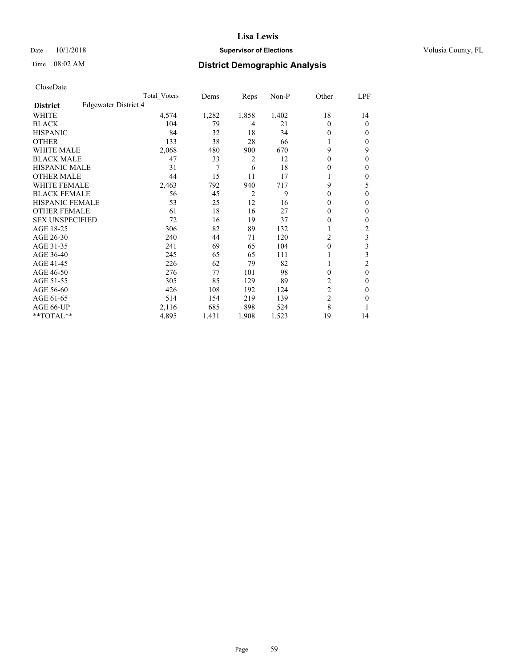### Date  $10/1/2018$  **Supervisor of Elections** Volusia County, FL

## Time 08:02 AM **District Demographic Analysis**

|                        |                      | Total Voters | Dems  | Reps           | Non-P | Other          | LPF      |
|------------------------|----------------------|--------------|-------|----------------|-------|----------------|----------|
| <b>District</b>        | Edgewater District 4 |              |       |                |       |                |          |
| WHITE                  |                      | 4,574        | 1,282 | 1,858          | 1,402 | 18             | 14       |
| <b>BLACK</b>           |                      | 104          | 79    | 4              | 21    | $\theta$       | $\theta$ |
| <b>HISPANIC</b>        |                      | 84           | 32    | 18             | 34    | $\Omega$       | 0        |
| <b>OTHER</b>           |                      | 133          | 38    | 28             | 66    |                | 0        |
| WHITE MALE             |                      | 2,068        | 480   | 900            | 670   | 9              | 9        |
| <b>BLACK MALE</b>      |                      | 47           | 33    | 2              | 12    | $\Omega$       | 0        |
| <b>HISPANIC MALE</b>   |                      | 31           | 7     | 6              | 18    | 0              | 0        |
| <b>OTHER MALE</b>      |                      | 44           | 15    | 11             | 17    | 1              | 0        |
| WHITE FEMALE           |                      | 2,463        | 792   | 940            | 717   | 9              | 5        |
| <b>BLACK FEMALE</b>    |                      | 56           | 45    | $\overline{2}$ | 9     | $\Omega$       | 0        |
| <b>HISPANIC FEMALE</b> |                      | 53           | 25    | 12             | 16    | $\Omega$       | 0        |
| <b>OTHER FEMALE</b>    |                      | 61           | 18    | 16             | 27    | $\Omega$       | 0        |
| <b>SEX UNSPECIFIED</b> |                      | 72           | 16    | 19             | 37    | 0              | 0        |
| AGE 18-25              |                      | 306          | 82    | 89             | 132   |                | 2        |
| AGE 26-30              |                      | 240          | 44    | 71             | 120   | 2              | 3        |
| AGE 31-35              |                      | 241          | 69    | 65             | 104   | $\theta$       | 3        |
| AGE 36-40              |                      | 245          | 65    | 65             | 111   |                | 3        |
| AGE 41-45              |                      | 226          | 62    | 79             | 82    |                | 2        |
| AGE 46-50              |                      | 276          | 77    | 101            | 98    | $\Omega$       | $\theta$ |
| AGE 51-55              |                      | 305          | 85    | 129            | 89    | 2              | 0        |
| AGE 56-60              |                      | 426          | 108   | 192            | 124   | $\overline{c}$ | 0        |
| AGE 61-65              |                      | 514          | 154   | 219            | 139   | $\overline{2}$ | 0        |
| AGE 66-UP              |                      | 2,116        | 685   | 898            | 524   | 8              |          |
| **TOTAL**              |                      | 4,895        | 1,431 | 1,908          | 1,523 | 19             | 14       |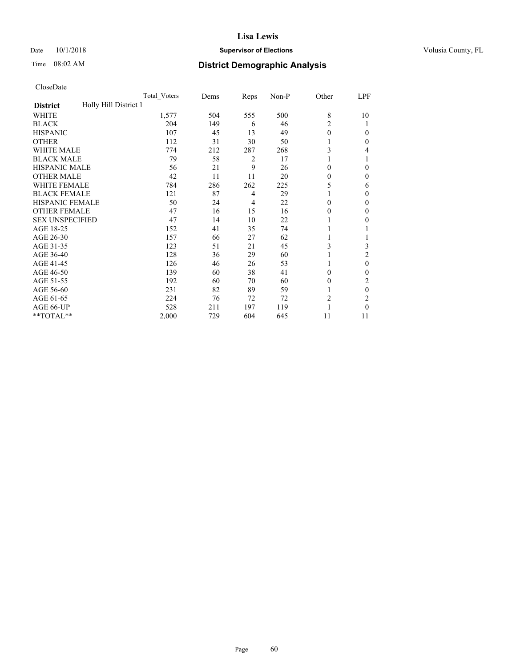#### Date  $10/1/2018$  **Supervisor of Elections Supervisor of Elections** Volusia County, FL

## Time 08:02 AM **District Demographic Analysis**

|                                          | Total Voters | Dems | Reps | Non-P | Other          | LPF      |
|------------------------------------------|--------------|------|------|-------|----------------|----------|
| Holly Hill District 1<br><b>District</b> |              |      |      |       |                |          |
| WHITE                                    | 1,577        | 504  | 555  | 500   | 8              | 10       |
| <b>BLACK</b>                             | 204          | 149  | 6    | 46    | $\overline{2}$ |          |
| <b>HISPANIC</b>                          | 107          | 45   | 13   | 49    | $\theta$       | 0        |
| <b>OTHER</b>                             | 112          | 31   | 30   | 50    |                | 0        |
| WHITE MALE                               | 774          | 212  | 287  | 268   | 3              | 4        |
| <b>BLACK MALE</b>                        | 79           | 58   | 2    | 17    |                |          |
| <b>HISPANIC MALE</b>                     | 56           | 21   | 9    | 26    | 0              | 0        |
| <b>OTHER MALE</b>                        | 42           | 11   | 11   | 20    | 0              | 0        |
| WHITE FEMALE                             | 784          | 286  | 262  | 225   | 5              | 6        |
| <b>BLACK FEMALE</b>                      | 121          | 87   | 4    | 29    |                | 0        |
| <b>HISPANIC FEMALE</b>                   | 50           | 24   | 4    | 22    | 0              | 0        |
| <b>OTHER FEMALE</b>                      | 47           | 16   | 15   | 16    | 0              | 0        |
| <b>SEX UNSPECIFIED</b>                   | 47           | 14   | 10   | 22    |                | 0        |
| AGE 18-25                                | 152          | 41   | 35   | 74    |                |          |
| AGE 26-30                                | 157          | 66   | 27   | 62    | 1              |          |
| AGE 31-35                                | 123          | 51   | 21   | 45    | 3              | 3        |
| AGE 36-40                                | 128          | 36   | 29   | 60    |                | 2        |
| AGE 41-45                                | 126          | 46   | 26   | 53    |                | 0        |
| AGE 46-50                                | 139          | 60   | 38   | 41    | $\Omega$       | 0        |
| AGE 51-55                                | 192          | 60   | 70   | 60    | $_{0}$         | 2        |
| AGE 56-60                                | 231          | 82   | 89   | 59    |                | $\theta$ |
| AGE 61-65                                | 224          | 76   | 72   | 72    | $\overline{2}$ | 2        |
| AGE 66-UP                                | 528          | 211  | 197  | 119   |                | 0        |
| **TOTAL**                                | 2,000        | 729  | 604  | 645   | 11             | 11       |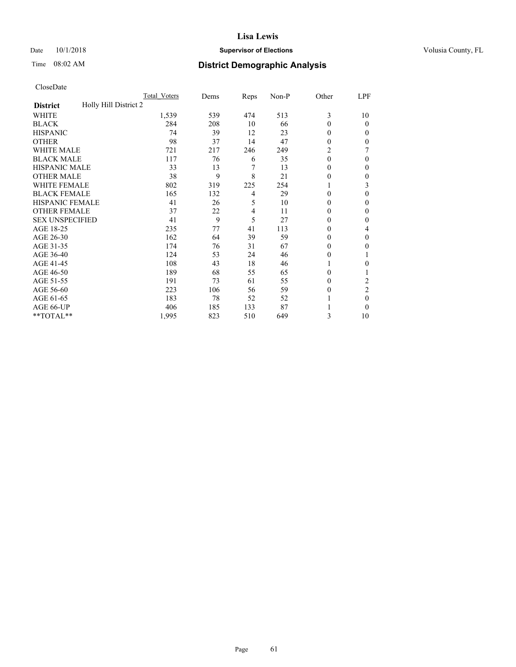#### Date  $10/1/2018$  **Supervisor of Elections Supervisor of Elections** Volusia County, FL

## Time 08:02 AM **District Demographic Analysis**

|                                          | Total Voters | Dems | Reps | Non-P | Other    | LPF            |
|------------------------------------------|--------------|------|------|-------|----------|----------------|
| Holly Hill District 2<br><b>District</b> |              |      |      |       |          |                |
| WHITE                                    | 1,539        | 539  | 474  | 513   | 3        | 10             |
| <b>BLACK</b>                             | 284          | 208  | 10   | 66    | $\theta$ | $\theta$       |
| <b>HISPANIC</b>                          | 74           | 39   | 12   | 23    | $\Omega$ | 0              |
| <b>OTHER</b>                             | 98           | 37   | 14   | 47    | $\theta$ | 0              |
| WHITE MALE                               | 721          | 217  | 246  | 249   | 2        |                |
| <b>BLACK MALE</b>                        | 117          | 76   | 6    | 35    | $\theta$ | $\Omega$       |
| <b>HISPANIC MALE</b>                     | 33           | 13   | 7    | 13    | 0        | 0              |
| <b>OTHER MALE</b>                        | 38           | 9    | 8    | 21    | $\theta$ | 0              |
| WHITE FEMALE                             | 802          | 319  | 225  | 254   |          | 3              |
| <b>BLACK FEMALE</b>                      | 165          | 132  | 4    | 29    | $\Omega$ | 0              |
| <b>HISPANIC FEMALE</b>                   | 41           | 26   | 5    | 10    | $\Omega$ | 0              |
| <b>OTHER FEMALE</b>                      | 37           | 22   | 4    | 11    | $\Omega$ | 0              |
| <b>SEX UNSPECIFIED</b>                   | 41           | 9    | 5    | 27    | $\Omega$ | 0              |
| AGE 18-25                                | 235          | 77   | 41   | 113   | $\Omega$ | 4              |
| AGE 26-30                                | 162          | 64   | 39   | 59    | $\Omega$ | $\mathbf{0}$   |
| AGE 31-35                                | 174          | 76   | 31   | 67    | $\theta$ | 0              |
| AGE 36-40                                | 124          | 53   | 24   | 46    | $\theta$ |                |
| AGE 41-45                                | 108          | 43   | 18   | 46    |          | 0              |
| AGE 46-50                                | 189          | 68   | 55   | 65    | $\Omega$ |                |
| AGE 51-55                                | 191          | 73   | 61   | 55    | $\Omega$ | 2              |
| AGE 56-60                                | 223          | 106  | 56   | 59    | $\theta$ | $\overline{2}$ |
| AGE 61-65                                | 183          | 78   | 52   | 52    |          | $\theta$       |
| AGE 66-UP                                | 406          | 185  | 133  | 87    |          | 0              |
| **TOTAL**                                | 1,995        | 823  | 510  | 649   | 3        | 10             |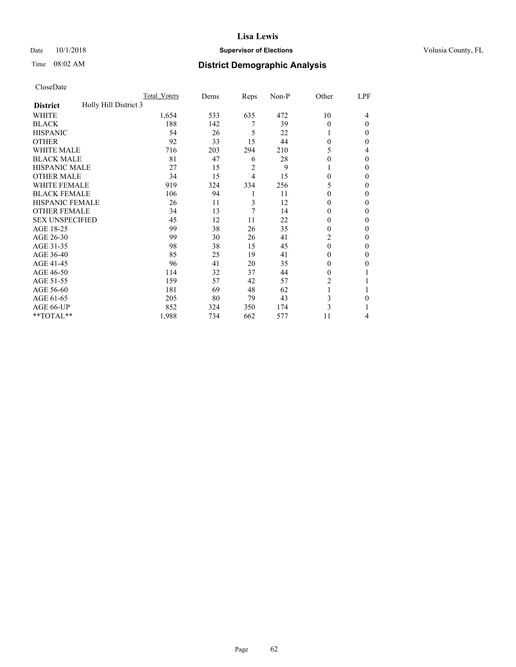#### Date  $10/1/2018$  **Supervisor of Elections Supervisor of Elections** Volusia County, FL

## Time 08:02 AM **District Demographic Analysis**

|                                          | Total Voters | Dems | Reps | Non-P | Other          | LPF          |
|------------------------------------------|--------------|------|------|-------|----------------|--------------|
| Holly Hill District 3<br><b>District</b> |              |      |      |       |                |              |
| WHITE                                    | 1,654        | 533  | 635  | 472   | 10             | 4            |
| <b>BLACK</b>                             | 188          | 142  | 7    | 39    | $\Omega$       | $\Omega$     |
| <b>HISPANIC</b>                          | 54           | 26   | 5    | 22    | 1              | 0            |
| <b>OTHER</b>                             | 92           | 33   | 15   | 44    | $\Omega$       | 0            |
| WHITE MALE                               | 716          | 203  | 294  | 210   | 5              | 4            |
| <b>BLACK MALE</b>                        | 81           | 47   | 6    | 28    | $\Omega$       | $\Omega$     |
| <b>HISPANIC MALE</b>                     | 27           | 15   | 2    | 9     |                | 0            |
| <b>OTHER MALE</b>                        | 34           | 15   | 4    | 15    | $\Omega$       | 0            |
| WHITE FEMALE                             | 919          | 324  | 334  | 256   | 5              | 0            |
| <b>BLACK FEMALE</b>                      | 106          | 94   | 1    | 11    | $\Omega$       | 0            |
| <b>HISPANIC FEMALE</b>                   | 26           | 11   | 3    | 12    | $\Omega$       | 0            |
| <b>OTHER FEMALE</b>                      | 34           | 13   | 7    | 14    | $\Omega$       | 0            |
| <b>SEX UNSPECIFIED</b>                   | 45           | 12   | 11   | 22    | 0              | 0            |
| AGE 18-25                                | 99           | 38   | 26   | 35    | $\Omega$       | 0            |
| AGE 26-30                                | 99           | 30   | 26   | 41    | $\overline{c}$ | $\mathbf{0}$ |
| AGE 31-35                                | 98           | 38   | 15   | 45    | $\theta$       | 0            |
| AGE 36-40                                | 85           | 25   | 19   | 41    | $\theta$       | 0            |
| AGE 41-45                                | 96           | 41   | 20   | 35    | 0              | 0            |
| AGE 46-50                                | 114          | 32   | 37   | 44    | $\Omega$       |              |
| AGE 51-55                                | 159          | 57   | 42   | 57    | 2              |              |
| AGE 56-60                                | 181          | 69   | 48   | 62    |                |              |
| AGE 61-65                                | 205          | 80   | 79   | 43    | 3              | 0            |
| AGE 66-UP                                | 852          | 324  | 350  | 174   | 3              |              |
| **TOTAL**                                | 1,988        | 734  | 662  | 577   | 11             | 4            |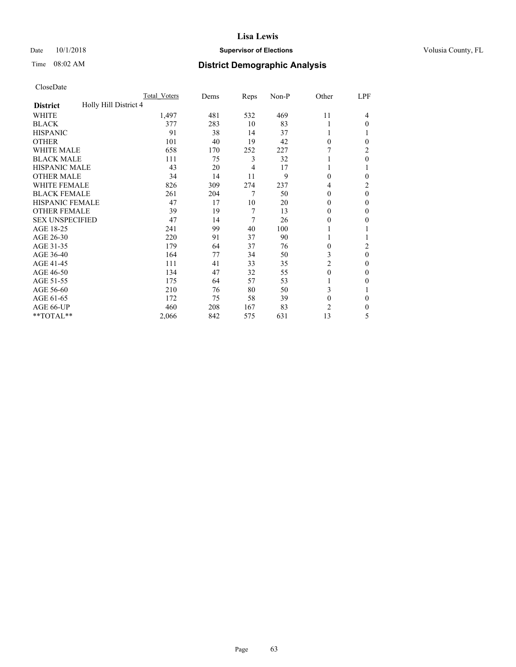#### Date  $10/1/2018$  **Supervisor of Elections Supervisor of Elections** Volusia County, FL

## Time 08:02 AM **District Demographic Analysis**

|                                          | Total Voters | Dems | Reps | Non-P | Other    | LPF      |
|------------------------------------------|--------------|------|------|-------|----------|----------|
| Holly Hill District 4<br><b>District</b> |              |      |      |       |          |          |
| WHITE                                    | 1,497        | 481  | 532  | 469   | 11       | 4        |
| <b>BLACK</b>                             | 377          | 283  | 10   | 83    |          | $\Omega$ |
| <b>HISPANIC</b>                          | 91           | 38   | 14   | 37    | 1        |          |
| <b>OTHER</b>                             | 101          | 40   | 19   | 42    | $\theta$ | 0        |
| WHITE MALE                               | 658          | 170  | 252  | 227   |          | 2        |
| <b>BLACK MALE</b>                        | 111          | 75   | 3    | 32    |          | $\theta$ |
| <b>HISPANIC MALE</b>                     | 43           | 20   | 4    | 17    |          |          |
| <b>OTHER MALE</b>                        | 34           | 14   | 11   | 9     | $\Omega$ | 0        |
| WHITE FEMALE                             | 826          | 309  | 274  | 237   | 4        | 2        |
| <b>BLACK FEMALE</b>                      | 261          | 204  | 7    | 50    | $\Omega$ | $\theta$ |
| <b>HISPANIC FEMALE</b>                   | 47           | 17   | 10   | 20    | $\Omega$ | 0        |
| <b>OTHER FEMALE</b>                      | 39           | 19   | 7    | 13    | $\Omega$ | $\Omega$ |
| <b>SEX UNSPECIFIED</b>                   | 47           | 14   | 7    | 26    | 0        | 0        |
| AGE 18-25                                | 241          | 99   | 40   | 100   |          |          |
| AGE 26-30                                | 220          | 91   | 37   | 90    | 1        |          |
| AGE 31-35                                | 179          | 64   | 37   | 76    | 0        | 2        |
| AGE 36-40                                | 164          | 77   | 34   | 50    | 3        | $\theta$ |
| AGE 41-45                                | 111          | 41   | 33   | 35    | 2        | 0        |
| AGE 46-50                                | 134          | 47   | 32   | 55    | $\theta$ | $\Omega$ |
| AGE 51-55                                | 175          | 64   | 57   | 53    |          | 0        |
| AGE 56-60                                | 210          | 76   | 80   | 50    | 3        |          |
| AGE 61-65                                | 172          | 75   | 58   | 39    | $\theta$ | $\Omega$ |
| AGE 66-UP                                | 460          | 208  | 167  | 83    | 2        | 0        |
| **TOTAL**                                | 2,066        | 842  | 575  | 631   | 13       | 5        |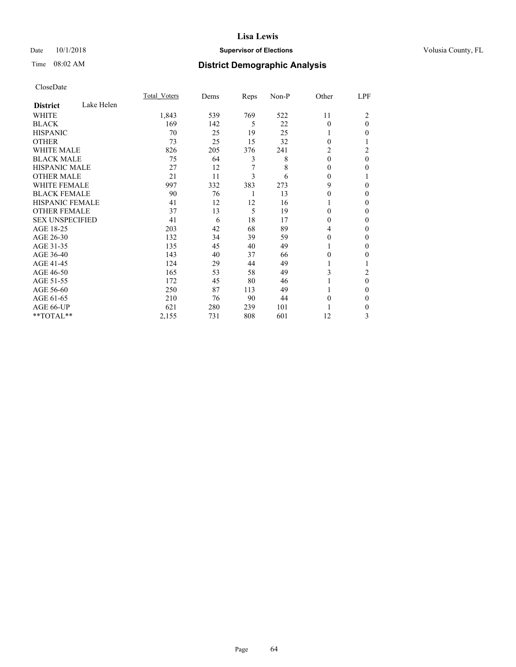### Date  $10/1/2018$  **Supervisor of Elections** Volusia County, FL

## Time 08:02 AM **District Demographic Analysis**

|                        |            | Total Voters | Dems | Reps | Non-P | Other    | LPF      |
|------------------------|------------|--------------|------|------|-------|----------|----------|
| <b>District</b>        | Lake Helen |              |      |      |       |          |          |
| WHITE                  |            | 1,843        | 539  | 769  | 522   | 11       | 2        |
| <b>BLACK</b>           |            | 169          | 142  | 5    | 22    | 0        | $\theta$ |
| <b>HISPANIC</b>        |            | 70           | 25   | 19   | 25    | 1        | 0        |
| <b>OTHER</b>           |            | 73           | 25   | 15   | 32    | $\Omega$ |          |
| <b>WHITE MALE</b>      |            | 826          | 205  | 376  | 241   | 2        | 2        |
| <b>BLACK MALE</b>      |            | 75           | 64   | 3    | 8     | $\theta$ | $\theta$ |
| <b>HISPANIC MALE</b>   |            | 27           | 12   | 7    | 8     | 0        | 0        |
| <b>OTHER MALE</b>      |            | 21           | 11   | 3    | 6     | $\Omega$ |          |
| <b>WHITE FEMALE</b>    |            | 997          | 332  | 383  | 273   | 9        | 0        |
| <b>BLACK FEMALE</b>    |            | 90           | 76   | 1    | 13    | 0        | 0        |
| <b>HISPANIC FEMALE</b> |            | 41           | 12   | 12   | 16    |          | 0        |
| <b>OTHER FEMALE</b>    |            | 37           | 13   | 5    | 19    | $\Omega$ | 0        |
| <b>SEX UNSPECIFIED</b> |            | 41           | 6    | 18   | 17    | 0        | 0        |
| AGE 18-25              |            | 203          | 42   | 68   | 89    | 4        | 0        |
| AGE 26-30              |            | 132          | 34   | 39   | 59    | 0        | 0        |
| AGE 31-35              |            | 135          | 45   | 40   | 49    |          | 0        |
| AGE 36-40              |            | 143          | 40   | 37   | 66    | 0        | 0        |
| AGE 41-45              |            | 124          | 29   | 44   | 49    |          |          |
| AGE 46-50              |            | 165          | 53   | 58   | 49    | 3        | 2        |
| AGE 51-55              |            | 172          | 45   | 80   | 46    |          | 0        |
| AGE 56-60              |            | 250          | 87   | 113  | 49    |          | 0        |
| AGE 61-65              |            | 210          | 76   | 90   | 44    | 0        | 0        |
| AGE 66-UP              |            | 621          | 280  | 239  | 101   |          | 0        |
| **TOTAL**              |            | 2,155        | 731  | 808  | 601   | 12       | 3        |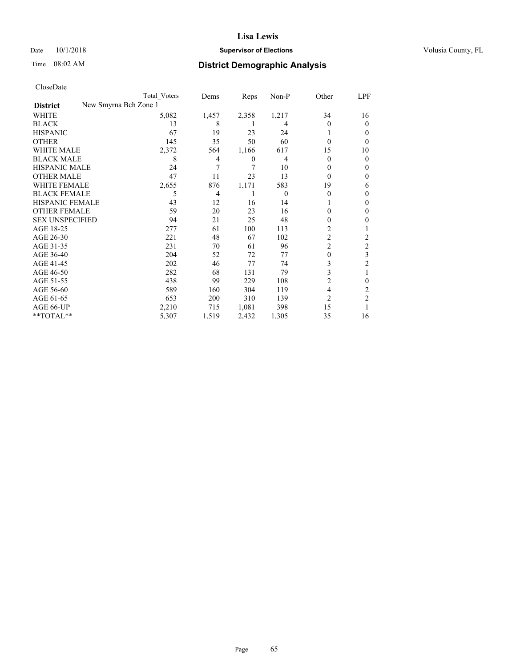#### Date  $10/1/2018$  **Supervisor of Elections Supervisor of Elections** Volusia County, FL

| CloseDate |
|-----------|
|-----------|

|                                          | Total Voters | Dems  | Reps             | Non-P    | Other          | LPF            |
|------------------------------------------|--------------|-------|------------------|----------|----------------|----------------|
| New Smyrna Bch Zone 1<br><b>District</b> |              |       |                  |          |                |                |
| WHITE                                    | 5,082        | 1,457 | 2,358            | 1,217    | 34             | 16             |
| <b>BLACK</b>                             | 13           | 8     |                  | 4        | $\theta$       | $\Omega$       |
| <b>HISPANIC</b>                          | 67           | 19    | 23               | 24       |                | 0              |
| <b>OTHER</b>                             | 145          | 35    | 50               | 60       | $\theta$       | 0              |
| <b>WHITE MALE</b>                        | 2,372        | 564   | 1,166            | 617      | 15             | 10             |
| <b>BLACK MALE</b>                        | 8            | 4     | $\boldsymbol{0}$ | 4        | $\theta$       | 0              |
| <b>HISPANIC MALE</b>                     | 24           | 7     | 7                | 10       | 0              | 0              |
| <b>OTHER MALE</b>                        | 47           | 11    | 23               | 13       | $\theta$       | 0              |
| <b>WHITE FEMALE</b>                      | 2,655        | 876   | 1,171            | 583      | 19             | 6              |
| <b>BLACK FEMALE</b>                      | 5            | 4     |                  | $\Omega$ | 0              | 0              |
| <b>HISPANIC FEMALE</b>                   | 43           | 12    | 16               | 14       |                | 0              |
| <b>OTHER FEMALE</b>                      | 59           | 20    | 23               | 16       | 0              | 0              |
| <b>SEX UNSPECIFIED</b>                   | 94           | 21    | 25               | 48       | 0              | 0              |
| AGE 18-25                                | 277          | 61    | 100              | 113      | 2              |                |
| AGE 26-30                                | 221          | 48    | 67               | 102      | $\overline{2}$ | 2              |
| AGE 31-35                                | 231          | 70    | 61               | 96       | 2              | 2              |
| AGE 36-40                                | 204          | 52    | 72               | 77       | 0              | 3              |
| AGE 41-45                                | 202          | 46    | 77               | 74       | 3              | 2              |
| AGE 46-50                                | 282          | 68    | 131              | 79       | 3              | 1              |
| AGE 51-55                                | 438          | 99    | 229              | 108      | 2              | 0              |
| AGE 56-60                                | 589          | 160   | 304              | 119      | 4              | 2              |
| AGE 61-65                                | 653          | 200   | 310              | 139      | $\overline{c}$ | $\overline{2}$ |
| AGE 66-UP                                | 2,210        | 715   | 1,081            | 398      | 15             |                |
| **TOTAL**                                | 5,307        | 1,519 | 2,432            | 1,305    | 35             | 16             |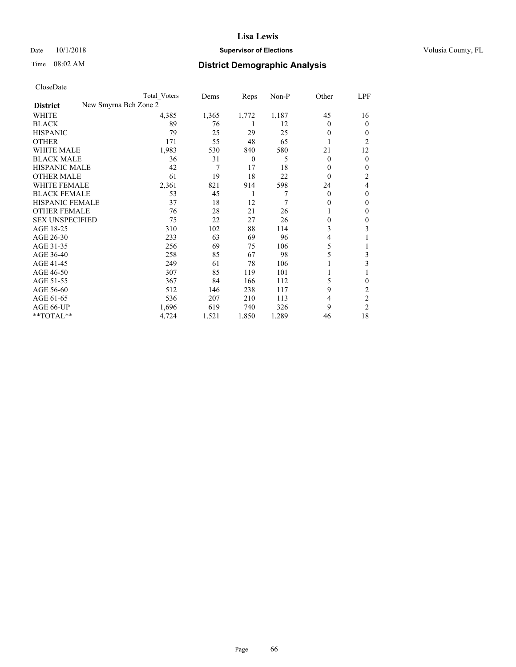Date  $10/1/2018$  **Supervisor of Elections** Volusia County, FL

| CloseDate |
|-----------|
|-----------|

| Total Voters | Dems                  | Reps           | $Non-P$ | Other        | LPF            |
|--------------|-----------------------|----------------|---------|--------------|----------------|
|              |                       |                |         |              |                |
| 4,385        | 1,365                 | 1,772          | 1,187   | 45           | 16             |
| 89           | 76                    | 1              | 12      | $\theta$     | $\theta$       |
| 79           | 25                    | 29             | 25      | $\theta$     | 0              |
| 171          | 55                    | 48             | 65      |              | 2              |
| 1,983        | 530                   | 840            | 580     | 21           | 12             |
| 36           | 31                    | $\overline{0}$ | 5       | $\mathbf{0}$ | $\mathbf{0}$   |
| 42           | 7                     | 17             | 18      | 0            | 0              |
| 61           | 19                    | 18             | 22      | $\theta$     | 2              |
| 2,361        | 821                   | 914            | 598     | 24           | 4              |
| 53           | 45                    | 1              | 7       | $\mathbf{0}$ | $\theta$       |
| 37           | 18                    | 12             | 7       | 0            | $\mathbf{0}$   |
| 76           | 28                    | 21             | 26      |              | $\mathbf{0}$   |
| 75           | 22                    | 27             | 26      | 0            | 0              |
| 310          | 102                   | 88             | 114     | 3            | 3              |
| 233          | 63                    | 69             | 96      | 4            |                |
| 256          | 69                    | 75             | 106     | 5            |                |
| 258          | 85                    | 67             | 98      | 5            | 3              |
| 249          | 61                    | 78             | 106     |              | 3              |
| 307          | 85                    | 119            | 101     |              |                |
| 367          | 84                    | 166            | 112     | 5            | 0              |
| 512          | 146                   | 238            | 117     | 9            | 2              |
| 536          | 207                   | 210            | 113     | 4            | $\overline{c}$ |
| 1,696        | 619                   | 740            | 326     | 9            | $\overline{2}$ |
| 4,724        | 1,521                 | 1,850          | 1,289   | 46           | 18             |
|              | New Smyrna Bch Zone 2 |                |         |              |                |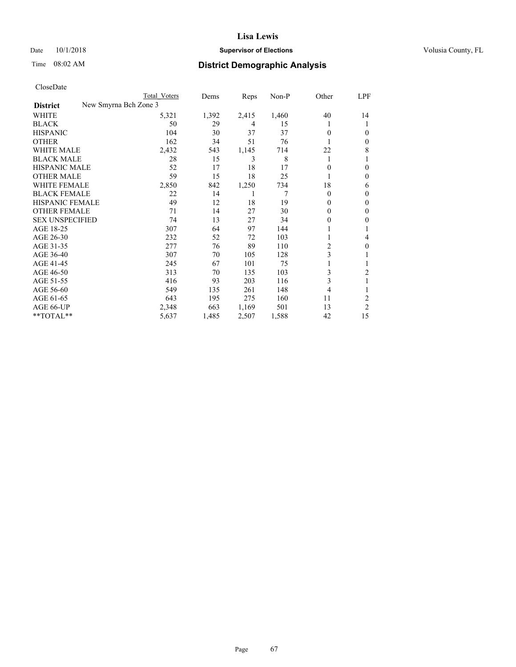### Date  $10/1/2018$  **Supervisor of Elections** Volusia County, FL

| Total Voters          | Dems  | Reps  | Non-P | Other          | LPF            |
|-----------------------|-------|-------|-------|----------------|----------------|
| New Smyrna Bch Zone 3 |       |       |       |                |                |
| 5,321                 | 1,392 | 2,415 | 1,460 | 40             | 14             |
| 50                    | 29    | 4     | 15    |                | 1              |
| 104                   | 30    | 37    | 37    | 0              | 0              |
| 162                   | 34    | 51    | 76    |                | $\mathbf{0}$   |
| 2,432                 | 543   | 1,145 | 714   | 22             | 8              |
| 28                    | 15    | 3     | 8     | 1              |                |
| 52                    | 17    | 18    | 17    | 0              | 0              |
| 59                    | 15    | 18    | 25    |                | $\mathbf{0}$   |
| 2,850                 | 842   | 1,250 | 734   | 18             | 6              |
| 22                    | 14    | 1     | 7     | $\theta$       | $\theta$       |
| 49                    | 12    | 18    | 19    | $\Omega$       | $\mathbf{0}$   |
| 71                    | 14    | 27    | 30    | 0              | $\mathbf{0}$   |
| 74                    | 13    | 27    | 34    | 0              | 0              |
| 307                   | 64    | 97    | 144   |                |                |
| 232                   | 52    | 72    | 103   |                | 4              |
| 277                   | 76    | 89    | 110   | $\overline{c}$ | $\theta$       |
| 307                   | 70    | 105   | 128   | 3              |                |
| 245                   | 67    | 101   | 75    | 1              | 1              |
| 313                   | 70    | 135   | 103   | 3              | 2              |
| 416                   | 93    | 203   | 116   | 3              | 1              |
| 549                   | 135   | 261   | 148   | 4              | 1              |
| 643                   | 195   | 275   | 160   | 11             | 2              |
| 2,348                 | 663   | 1,169 | 501   | 13             | $\overline{2}$ |
| 5,637                 | 1,485 | 2,507 | 1,588 | 42             | 15             |
|                       |       |       |       |                |                |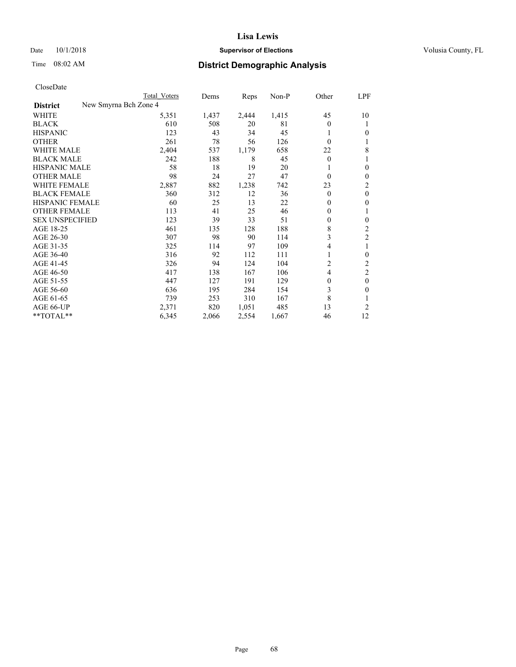### Date  $10/1/2018$  **Supervisor of Elections** Volusia County, FL

| CloseDate |
|-----------|
|-----------|

|                                          | Total Voters | Dems  | Reps  | $Non-P$ | Other    | LPF            |
|------------------------------------------|--------------|-------|-------|---------|----------|----------------|
| New Smyrna Bch Zone 4<br><b>District</b> |              |       |       |         |          |                |
| WHITE                                    | 5,351        | 1,437 | 2,444 | 1,415   | 45       | 10             |
| <b>BLACK</b>                             | 610          | 508   | 20    | 81      | $\Omega$ | 1              |
| <b>HISPANIC</b>                          | 123          | 43    | 34    | 45      |          | $\theta$       |
| <b>OTHER</b>                             | 261          | 78    | 56    | 126     | $\theta$ | 1              |
| <b>WHITE MALE</b>                        | 2,404        | 537   | 1,179 | 658     | 22       | 8              |
| <b>BLACK MALE</b>                        | 242          | 188   | 8     | 45      | $\theta$ | 1              |
| <b>HISPANIC MALE</b>                     | 58           | 18    | 19    | 20      |          | $\mathbf{0}$   |
| <b>OTHER MALE</b>                        | 98           | 24    | 27    | 47      | $\theta$ | $\mathbf{0}$   |
| <b>WHITE FEMALE</b>                      | 2,887        | 882   | 1,238 | 742     | 23       | 2              |
| <b>BLACK FEMALE</b>                      | 360          | 312   | 12    | 36      | $\theta$ | $\mathbf{0}$   |
| <b>HISPANIC FEMALE</b>                   | 60           | 25    | 13    | 22      | $\Omega$ | $\mathbf{0}$   |
| <b>OTHER FEMALE</b>                      | 113          | 41    | 25    | 46      | 0        | 1              |
| <b>SEX UNSPECIFIED</b>                   | 123          | 39    | 33    | 51      | 0        | $\mathbf{0}$   |
| AGE 18-25                                | 461          | 135   | 128   | 188     | 8        | 2              |
| AGE 26-30                                | 307          | 98    | 90    | 114     | 3        | $\overline{c}$ |
| AGE 31-35                                | 325          | 114   | 97    | 109     | 4        | 1              |
| AGE 36-40                                | 316          | 92    | 112   | 111     |          | $\mathbf{0}$   |
| AGE 41-45                                | 326          | 94    | 124   | 104     | 2        | 2              |
| AGE 46-50                                | 417          | 138   | 167   | 106     | 4        | $\overline{2}$ |
| AGE 51-55                                | 447          | 127   | 191   | 129     | $\theta$ | $\mathbf{0}$   |
| AGE 56-60                                | 636          | 195   | 284   | 154     | 3        | $\theta$       |
| AGE 61-65                                | 739          | 253   | 310   | 167     | 8        | 1              |
| AGE 66-UP                                | 2,371        | 820   | 1,051 | 485     | 13       | 2              |
| **TOTAL**                                | 6,345        | 2,066 | 2,554 | 1,667   | 46       | 12             |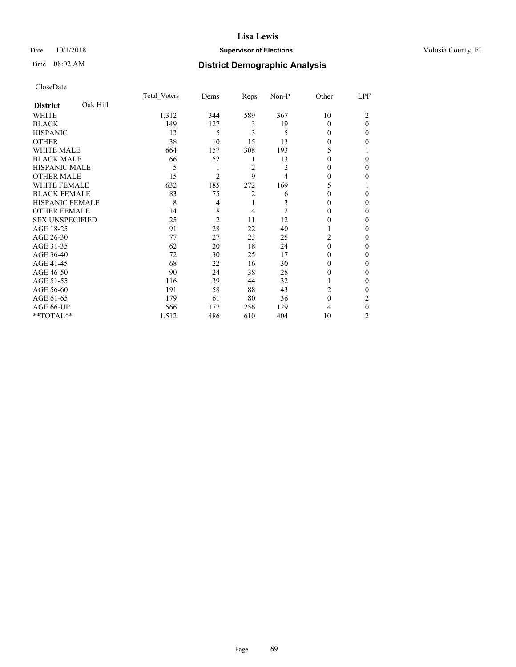### Date  $10/1/2018$  **Supervisor of Elections** Volusia County, FL

## Time 08:02 AM **District Demographic Analysis**

|                        |          | Total Voters | Dems           | Reps           | Non-P          | Other    | LPF          |
|------------------------|----------|--------------|----------------|----------------|----------------|----------|--------------|
| <b>District</b>        | Oak Hill |              |                |                |                |          |              |
| WHITE                  |          | 1,312        | 344            | 589            | 367            | 10       | 2            |
| <b>BLACK</b>           |          | 149          | 127            | 3              | 19             | $\Omega$ | $\theta$     |
| <b>HISPANIC</b>        |          | 13           | 5              | 3              | 5              | $\Omega$ | $\Omega$     |
| <b>OTHER</b>           |          | 38           | 10             | 15             | 13             | 0        | 0            |
| WHITE MALE             |          | 664          | 157            | 308            | 193            | 5        |              |
| <b>BLACK MALE</b>      |          | 66           | 52             | 1              | 13             | 0        | 0            |
| <b>HISPANIC MALE</b>   |          | 5            | 1              | $\overline{2}$ | 2              | 0        | 0            |
| <b>OTHER MALE</b>      |          | 15           | 2              | 9              | 4              | 0        | 0            |
| <b>WHITE FEMALE</b>    |          | 632          | 185            | 272            | 169            | 5        |              |
| <b>BLACK FEMALE</b>    |          | 83           | 75             | $\overline{2}$ | 6              | 0        | 0            |
| <b>HISPANIC FEMALE</b> |          | 8            | 4              | 1              | 3              | 0        | 0            |
| <b>OTHER FEMALE</b>    |          | 14           | 8              | 4              | $\overline{2}$ | 0        | 0            |
| <b>SEX UNSPECIFIED</b> |          | 25           | $\overline{2}$ | 11             | 12             | 0        | 0            |
| AGE 18-25              |          | 91           | 28             | 22             | 40             |          | 0            |
| AGE 26-30              |          | 77           | 27             | 23             | 25             | 2        | 0            |
| AGE 31-35              |          | 62           | 20             | 18             | 24             | $\Omega$ | 0            |
| AGE 36-40              |          | 72           | 30             | 25             | 17             | 0        | 0            |
| AGE 41-45              |          | 68           | 22             | 16             | 30             | 0        | 0            |
| AGE 46-50              |          | 90           | 24             | 38             | 28             | 0        | 0            |
| AGE 51-55              |          | 116          | 39             | 44             | 32             | 1        | $\mathbf{0}$ |
| AGE 56-60              |          | 191          | 58             | 88             | 43             | 2        | 0            |
| AGE 61-65              |          | 179          | 61             | 80             | 36             | $\theta$ | 2            |
| AGE 66-UP              |          | 566          | 177            | 256            | 129            | 4        | $\theta$     |
| **TOTAL**              |          | 1,512        | 486            | 610            | 404            | 10       | 2            |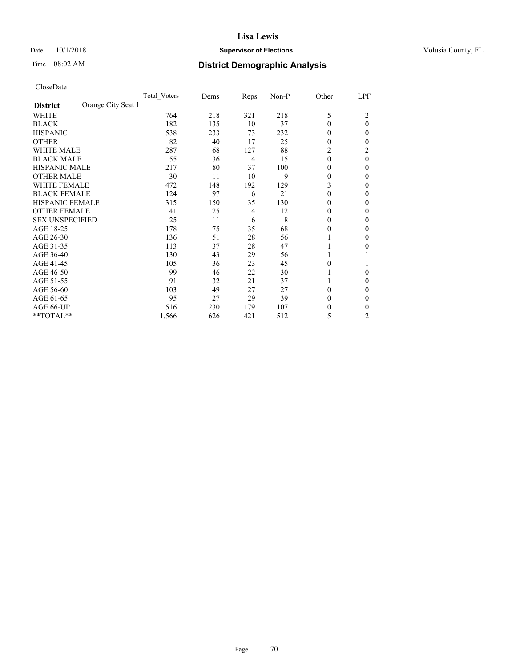#### Date  $10/1/2018$  **Supervisor of Elections Supervisor of Elections** Volusia County, FL

## Time 08:02 AM **District Demographic Analysis**

|                                       | Total Voters | Dems | Reps | Non-P | Other    | LPF            |
|---------------------------------------|--------------|------|------|-------|----------|----------------|
| Orange City Seat 1<br><b>District</b> |              |      |      |       |          |                |
| WHITE                                 | 764          | 218  | 321  | 218   | 5        | 2              |
| <b>BLACK</b>                          | 182          | 135  | 10   | 37    | $\theta$ | $\theta$       |
| <b>HISPANIC</b>                       | 538          | 233  | 73   | 232   | $\Omega$ | 0              |
| <b>OTHER</b>                          | 82           | 40   | 17   | 25    | $\Omega$ | 0              |
| <b>WHITE MALE</b>                     | 287          | 68   | 127  | 88    | 2        | 2              |
| <b>BLACK MALE</b>                     | 55           | 36   | 4    | 15    | $\theta$ | $\theta$       |
| <b>HISPANIC MALE</b>                  | 217          | 80   | 37   | 100   | $\Omega$ | 0              |
| <b>OTHER MALE</b>                     | 30           | 11   | 10   | 9     | $\Omega$ | 0              |
| <b>WHITE FEMALE</b>                   | 472          | 148  | 192  | 129   | 3        | 0              |
| <b>BLACK FEMALE</b>                   | 124          | 97   | 6    | 21    | $\theta$ | 0              |
| <b>HISPANIC FEMALE</b>                | 315          | 150  | 35   | 130   | $\Omega$ | 0              |
| <b>OTHER FEMALE</b>                   | 41           | 25   | 4    | 12    | $\Omega$ | 0              |
| <b>SEX UNSPECIFIED</b>                | 25           | 11   | 6    | 8     | $\Omega$ | 0              |
| AGE 18-25                             | 178          | 75   | 35   | 68    | $\Omega$ | 0              |
| AGE 26-30                             | 136          | 51   | 28   | 56    |          | 0              |
| AGE 31-35                             | 113          | 37   | 28   | 47    |          | 0              |
| AGE 36-40                             | 130          | 43   | 29   | 56    |          |                |
| AGE 41-45                             | 105          | 36   | 23   | 45    | 0        |                |
| AGE 46-50                             | 99           | 46   | 22   | 30    |          | 0              |
| AGE 51-55                             | 91           | 32   | 21   | 37    |          | 0              |
| AGE 56-60                             | 103          | 49   | 27   | 27    | $\Omega$ | 0              |
| AGE 61-65                             | 95           | 27   | 29   | 39    | $\Omega$ | 0              |
| AGE 66-UP                             | 516          | 230  | 179  | 107   | 0        | 0              |
| **TOTAL**                             | 1,566        | 626  | 421  | 512   | 5        | $\overline{2}$ |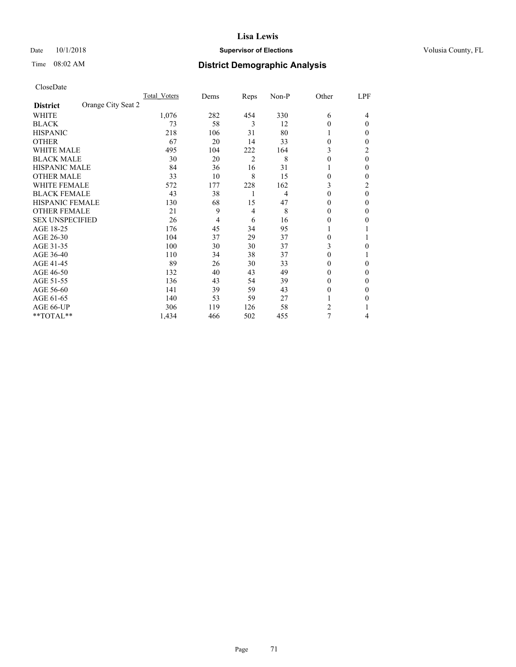## Time 08:02 AM **District Demographic Analysis**

|                                       | Total Voters | Dems | Reps | Non-P | Other          | LPF      |
|---------------------------------------|--------------|------|------|-------|----------------|----------|
| Orange City Seat 2<br><b>District</b> |              |      |      |       |                |          |
| WHITE                                 | 1,076        | 282  | 454  | 330   | 6              | 4        |
| <b>BLACK</b>                          | 73           | 58   | 3    | 12    | $\Omega$       | $\Omega$ |
| <b>HISPANIC</b>                       | 218          | 106  | 31   | 80    | 1              | 0        |
| <b>OTHER</b>                          | 67           | 20   | 14   | 33    | $\Omega$       | 0        |
| WHITE MALE                            | 495          | 104  | 222  | 164   | 3              | 2        |
| <b>BLACK MALE</b>                     | 30           | 20   | 2    | 8     | $\Omega$       | $\theta$ |
| HISPANIC MALE                         | 84           | 36   | 16   | 31    |                | 0        |
| <b>OTHER MALE</b>                     | 33           | 10   | 8    | 15    | $\theta$       | 0        |
| WHITE FEMALE                          | 572          | 177  | 228  | 162   | 3              | 2        |
| <b>BLACK FEMALE</b>                   | 43           | 38   | 1    | 4     | $\Omega$       | $\theta$ |
| <b>HISPANIC FEMALE</b>                | 130          | 68   | 15   | 47    | $\Omega$       | 0        |
| <b>OTHER FEMALE</b>                   | 21           | 9    | 4    | 8     | $\Omega$       | 0        |
| <b>SEX UNSPECIFIED</b>                | 26           | 4    | 6    | 16    | 0              | 0        |
| AGE 18-25                             | 176          | 45   | 34   | 95    |                |          |
| AGE 26-30                             | 104          | 37   | 29   | 37    | $\Omega$       |          |
| AGE 31-35                             | 100          | 30   | 30   | 37    | 3              | 0        |
| AGE 36-40                             | 110          | 34   | 38   | 37    | $\Omega$       |          |
| AGE 41-45                             | 89           | 26   | 30   | 33    | 0              | 0        |
| AGE 46-50                             | 132          | 40   | 43   | 49    | $\Omega$       | 0        |
| AGE 51-55                             | 136          | 43   | 54   | 39    | $\Omega$       | 0        |
| AGE 56-60                             | 141          | 39   | 59   | 43    | $\theta$       | 0        |
| AGE 61-65                             | 140          | 53   | 59   | 27    |                | 0        |
| AGE 66-UP                             | 306          | 119  | 126  | 58    | $\overline{c}$ |          |
| **TOTAL**                             | 1,434        | 466  | 502  | 455   | 7              | 4        |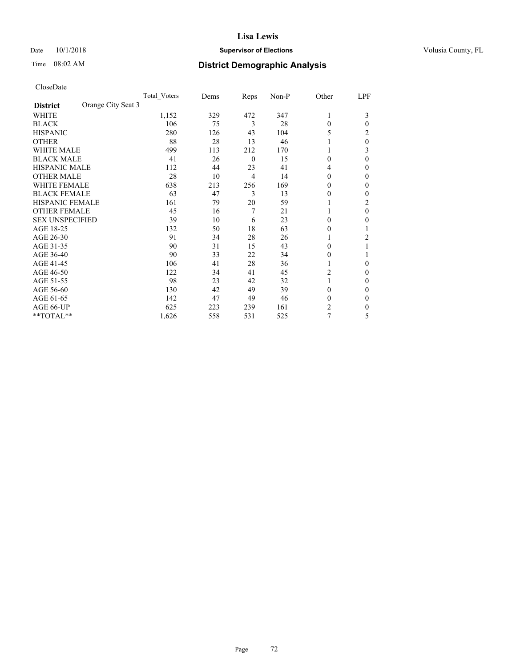### Date  $10/1/2018$  **Supervisor of Elections** Volusia County, FL

## Time 08:02 AM **District Demographic Analysis**

|                                       | Total Voters | Dems | Reps             | Non-P | Other          | LPF |
|---------------------------------------|--------------|------|------------------|-------|----------------|-----|
| Orange City Seat 3<br><b>District</b> |              |      |                  |       |                |     |
| WHITE                                 | 1,152        | 329  | 472              | 347   | 1              | 3   |
| <b>BLACK</b>                          | 106          | 75   | 3                | 28    | $\Omega$       | 0   |
| <b>HISPANIC</b>                       | 280          | 126  | 43               | 104   | 5              | 2   |
| <b>OTHER</b>                          | 88           | 28   | 13               | 46    |                | 0   |
| <b>WHITE MALE</b>                     | 499          | 113  | 212              | 170   |                | 3   |
| <b>BLACK MALE</b>                     | 41           | 26   | $\boldsymbol{0}$ | 15    | $\theta$       | 0   |
| <b>HISPANIC MALE</b>                  | 112          | 44   | 23               | 41    | 4              | 0   |
| <b>OTHER MALE</b>                     | 28           | 10   | 4                | 14    | 0              | 0   |
| <b>WHITE FEMALE</b>                   | 638          | 213  | 256              | 169   | 0              | 0   |
| <b>BLACK FEMALE</b>                   | 63           | 47   | 3                | 13    | $\Omega$       | 0   |
| <b>HISPANIC FEMALE</b>                | 161          | 79   | 20               | 59    |                | 2   |
| <b>OTHER FEMALE</b>                   | 45           | 16   | 7                | 21    |                | 0   |
| <b>SEX UNSPECIFIED</b>                | 39           | 10   | 6                | 23    | $\Omega$       | 0   |
| AGE 18-25                             | 132          | 50   | 18               | 63    | $\Omega$       |     |
| AGE 26-30                             | 91           | 34   | 28               | 26    |                | 2   |
| AGE 31-35                             | 90           | 31   | 15               | 43    | 0              |     |
| AGE 36-40                             | 90           | 33   | 22               | 34    | $\overline{0}$ |     |
| AGE 41-45                             | 106          | 41   | 28               | 36    |                | 0   |
| AGE 46-50                             | 122          | 34   | 41               | 45    | 2              | 0   |
| AGE 51-55                             | 98           | 23   | 42               | 32    |                | 0   |
| AGE 56-60                             | 130          | 42   | 49               | 39    | $\Omega$       | 0   |
| AGE 61-65                             | 142          | 47   | 49               | 46    | $\theta$       | 0   |
| AGE 66-UP                             | 625          | 223  | 239              | 161   | 2              | 0   |
| **TOTAL**                             | 1,626        | 558  | 531              | 525   | 7              | 5   |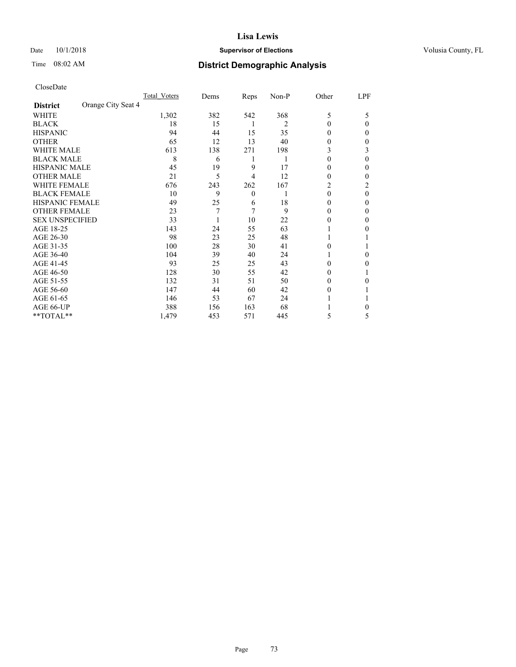# Date  $10/1/2018$  **Supervisor of Elections** Volusia County, FL

# Time 08:02 AM **District Demographic Analysis**

|                                       | Total Voters | Dems | Reps     | Non-P | Other    | LPF          |
|---------------------------------------|--------------|------|----------|-------|----------|--------------|
| Orange City Seat 4<br><b>District</b> |              |      |          |       |          |              |
| WHITE                                 | 1,302        | 382  | 542      | 368   | 5        | 5            |
| <b>BLACK</b>                          | 18           | 15   | 1        | 2     | $\Omega$ | $\Omega$     |
| <b>HISPANIC</b>                       | 94           | 44   | 15       | 35    | $\Omega$ | $\Omega$     |
| <b>OTHER</b>                          | 65           | 12   | 13       | 40    | 0        | 0            |
| <b>WHITE MALE</b>                     | 613          | 138  | 271      | 198   | 3        | 3            |
| <b>BLACK MALE</b>                     | 8            | 6    | 1        | 1     | $\Omega$ | 0            |
| <b>HISPANIC MALE</b>                  | 45           | 19   | 9        | 17    | 0        | 0            |
| <b>OTHER MALE</b>                     | 21           | 5    | 4        | 12    | 0        | 0            |
| <b>WHITE FEMALE</b>                   | 676          | 243  | 262      | 167   | 2        | 2            |
| <b>BLACK FEMALE</b>                   | 10           | 9    | $\theta$ |       | $\theta$ | $\theta$     |
| <b>HISPANIC FEMALE</b>                | 49           | 25   | 6        | 18    | 0        | 0            |
| <b>OTHER FEMALE</b>                   | 23           | 7    | 7        | 9     | 0        | $\Omega$     |
| <b>SEX UNSPECIFIED</b>                | 33           |      | 10       | 22    | 0        | $\mathbf{0}$ |
| AGE 18-25                             | 143          | 24   | 55       | 63    |          | 0            |
| AGE 26-30                             | 98           | 23   | 25       | 48    |          |              |
| AGE 31-35                             | 100          | 28   | 30       | 41    | 0        |              |
| AGE 36-40                             | 104          | 39   | 40       | 24    |          | 0            |
| AGE 41-45                             | 93           | 25   | 25       | 43    | 0        | 0            |
| AGE 46-50                             | 128          | 30   | 55       | 42    | 0        |              |
| AGE 51-55                             | 132          | 31   | 51       | 50    | $\theta$ | 0            |
| AGE 56-60                             | 147          | 44   | 60       | 42    | 0        |              |
| AGE 61-65                             | 146          | 53   | 67       | 24    |          |              |
| AGE 66-UP                             | 388          | 156  | 163      | 68    |          | 0            |
| **TOTAL**                             | 1,479        | 453  | 571      | 445   | 5        | 5            |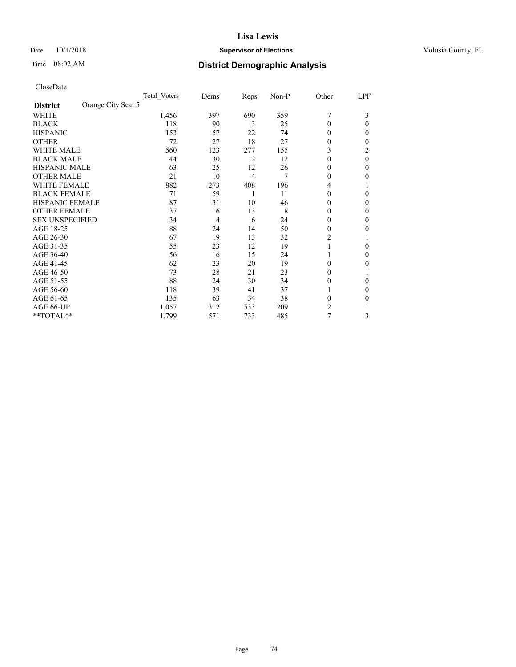# Date  $10/1/2018$  **Supervisor of Elections** Volusia County, FL

# Time 08:02 AM **District Demographic Analysis**

|                                       | Total Voters | Dems | Reps | Non-P | Other    | LPF          |
|---------------------------------------|--------------|------|------|-------|----------|--------------|
| Orange City Seat 5<br><b>District</b> |              |      |      |       |          |              |
| WHITE                                 | 1,456        | 397  | 690  | 359   | 7        | 3            |
| <b>BLACK</b>                          | 118          | 90   | 3    | 25    | $\theta$ | $\Omega$     |
| <b>HISPANIC</b>                       | 153          | 57   | 22   | 74    | 0        | 0            |
| <b>OTHER</b>                          | 72           | 27   | 18   | 27    | 0        | 0            |
| <b>WHITE MALE</b>                     | 560          | 123  | 277  | 155   | 3        | 2            |
| <b>BLACK MALE</b>                     | 44           | 30   | 2    | 12    | 0        | $\theta$     |
| <b>HISPANIC MALE</b>                  | 63           | 25   | 12   | 26    | 0        | 0            |
| <b>OTHER MALE</b>                     | 21           | 10   | 4    | 7     | 0        | 0            |
| <b>WHITE FEMALE</b>                   | 882          | 273  | 408  | 196   | 4        |              |
| <b>BLACK FEMALE</b>                   | 71           | 59   | 1    | 11    | 0        | 0            |
| <b>HISPANIC FEMALE</b>                | 87           | 31   | 10   | 46    | 0        | 0            |
| <b>OTHER FEMALE</b>                   | 37           | 16   | 13   | 8     | 0        | $\mathbf{0}$ |
| <b>SEX UNSPECIFIED</b>                | 34           | 4    | 6    | 24    | 0        | $\mathbf{0}$ |
| AGE 18-25                             | 88           | 24   | 14   | 50    | 0        | 0            |
| AGE 26-30                             | 67           | 19   | 13   | 32    | 2        |              |
| AGE 31-35                             | 55           | 23   | 12   | 19    |          | 0            |
| AGE 36-40                             | 56           | 16   | 15   | 24    |          | 0            |
| AGE 41-45                             | 62           | 23   | 20   | 19    | 0        | 0            |
| AGE 46-50                             | 73           | 28   | 21   | 23    | 0        |              |
| AGE 51-55                             | 88           | 24   | 30   | 34    | 0        | $\Omega$     |
| AGE 56-60                             | 118          | 39   | 41   | 37    |          | 0            |
| AGE 61-65                             | 135          | 63   | 34   | 38    | 0        | 0            |
| AGE 66-UP                             | 1,057        | 312  | 533  | 209   | 2        |              |
| **TOTAL**                             | 1,799        | 571  | 733  | 485   | 7        | 3            |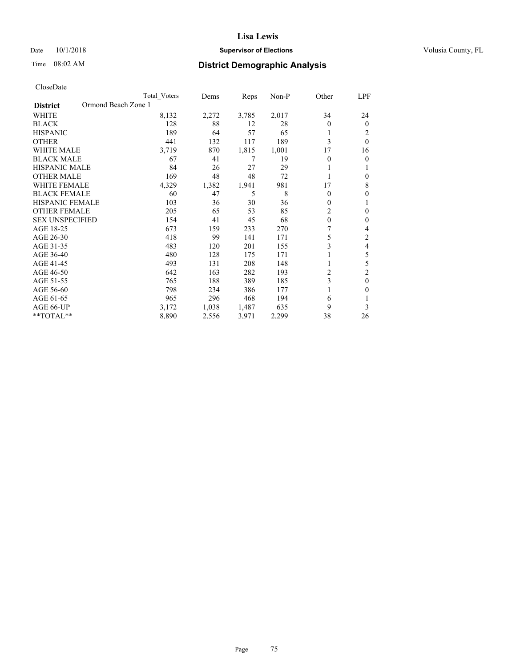# Date  $10/1/2018$  **Supervisor of Elections** Volusia County, FL

# Time 08:02 AM **District Demographic Analysis**

|                                        | Total Voters | Dems  | Reps  | Non-P | Other          | LPF            |
|----------------------------------------|--------------|-------|-------|-------|----------------|----------------|
| Ormond Beach Zone 1<br><b>District</b> |              |       |       |       |                |                |
| WHITE                                  | 8,132        | 2,272 | 3,785 | 2,017 | 34             | 24             |
| <b>BLACK</b>                           | 128          | 88    | 12    | 28    | $\Omega$       | $\theta$       |
| <b>HISPANIC</b>                        | 189          | 64    | 57    | 65    | 1              | 2              |
| <b>OTHER</b>                           | 441          | 132   | 117   | 189   | 3              | $\theta$       |
| WHITE MALE                             | 3,719        | 870   | 1,815 | 1,001 | 17             | 16             |
| <b>BLACK MALE</b>                      | 67           | 41    | 7     | 19    | $\Omega$       | 0              |
| <b>HISPANIC MALE</b>                   | 84           | 26    | 27    | 29    |                |                |
| <b>OTHER MALE</b>                      | 169          | 48    | 48    | 72    |                | 0              |
| WHITE FEMALE                           | 4,329        | 1,382 | 1,941 | 981   | 17             | 8              |
| <b>BLACK FEMALE</b>                    | 60           | 47    | 5     | 8     | $\theta$       | 0              |
| <b>HISPANIC FEMALE</b>                 | 103          | 36    | 30    | 36    | $\mathbf{0}$   |                |
| <b>OTHER FEMALE</b>                    | 205          | 65    | 53    | 85    | 2              | $\mathbf{0}$   |
| <b>SEX UNSPECIFIED</b>                 | 154          | 41    | 45    | 68    | $\theta$       | 0              |
| AGE 18-25                              | 673          | 159   | 233   | 270   |                | 4              |
| AGE 26-30                              | 418          | 99    | 141   | 171   | 5              | 2              |
| AGE 31-35                              | 483          | 120   | 201   | 155   | 3              | 4              |
| AGE 36-40                              | 480          | 128   | 175   | 171   | 1              | 5              |
| AGE 41-45                              | 493          | 131   | 208   | 148   | 1              | 5              |
| AGE 46-50                              | 642          | 163   | 282   | 193   | $\overline{c}$ | $\overline{c}$ |
| AGE 51-55                              | 765          | 188   | 389   | 185   | 3              | $\theta$       |
| AGE 56-60                              | 798          | 234   | 386   | 177   | 1              | 0              |
| AGE 61-65                              | 965          | 296   | 468   | 194   | 6              |                |
| AGE 66-UP                              | 3,172        | 1,038 | 1,487 | 635   | 9              | 3              |
| **TOTAL**                              | 8,890        | 2,556 | 3,971 | 2,299 | 38             | 26             |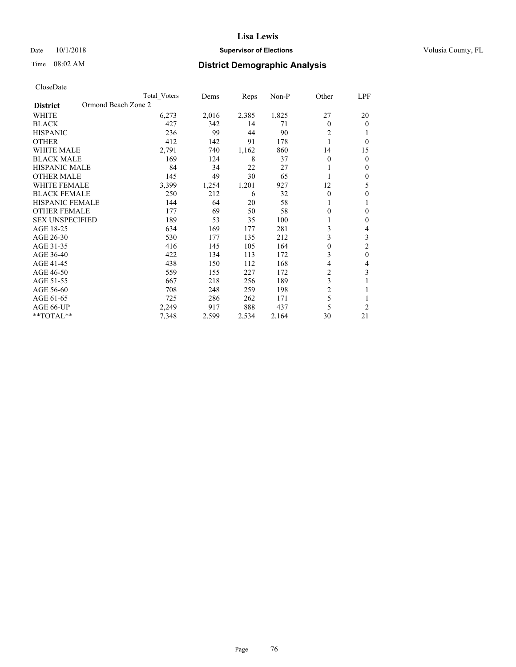# Date  $10/1/2018$  **Supervisor of Elections** Volusia County, FL

# Time 08:02 AM **District Demographic Analysis**

|                                        | Total Voters | Dems  | Reps  | Non-P | Other          | LPF            |
|----------------------------------------|--------------|-------|-------|-------|----------------|----------------|
| Ormond Beach Zone 2<br><b>District</b> |              |       |       |       |                |                |
| WHITE                                  | 6,273        | 2,016 | 2,385 | 1,825 | 27             | 20             |
| <b>BLACK</b>                           | 427          | 342   | 14    | 71    | $\theta$       | $\theta$       |
| <b>HISPANIC</b>                        | 236          | 99    | 44    | 90    | 2              | 1              |
| <b>OTHER</b>                           | 412          | 142   | 91    | 178   |                | $\theta$       |
| <b>WHITE MALE</b>                      | 2,791        | 740   | 1,162 | 860   | 14             | 15             |
| <b>BLACK MALE</b>                      | 169          | 124   | 8     | 37    | $\theta$       | $\theta$       |
| <b>HISPANIC MALE</b>                   | 84           | 34    | 22    | 27    |                | $\mathbf{0}$   |
| <b>OTHER MALE</b>                      | 145          | 49    | 30    | 65    |                | $\mathbf{0}$   |
| <b>WHITE FEMALE</b>                    | 3,399        | 1,254 | 1,201 | 927   | 12             | 5              |
| <b>BLACK FEMALE</b>                    | 250          | 212   | 6     | 32    | $\theta$       | $\theta$       |
| <b>HISPANIC FEMALE</b>                 | 144          | 64    | 20    | 58    |                | 1              |
| <b>OTHER FEMALE</b>                    | 177          | 69    | 50    | 58    | 0              | $\theta$       |
| <b>SEX UNSPECIFIED</b>                 | 189          | 53    | 35    | 100   |                | $\theta$       |
| AGE 18-25                              | 634          | 169   | 177   | 281   | 3              | 4              |
| AGE 26-30                              | 530          | 177   | 135   | 212   | 3              | 3              |
| AGE 31-35                              | 416          | 145   | 105   | 164   | 0              | $\overline{c}$ |
| AGE 36-40                              | 422          | 134   | 113   | 172   | 3              | $\mathbf{0}$   |
| AGE 41-45                              | 438          | 150   | 112   | 168   | 4              | 4              |
| AGE 46-50                              | 559          | 155   | 227   | 172   | $\overline{2}$ | 3              |
| AGE 51-55                              | 667          | 218   | 256   | 189   | 3              | 1              |
| AGE 56-60                              | 708          | 248   | 259   | 198   | $\overline{2}$ |                |
| AGE 61-65                              | 725          | 286   | 262   | 171   | 5              | 1              |
| AGE 66-UP                              | 2,249        | 917   | 888   | 437   | 5              | $\overline{2}$ |
| **TOTAL**                              | 7,348        | 2,599 | 2,534 | 2,164 | 30             | 21             |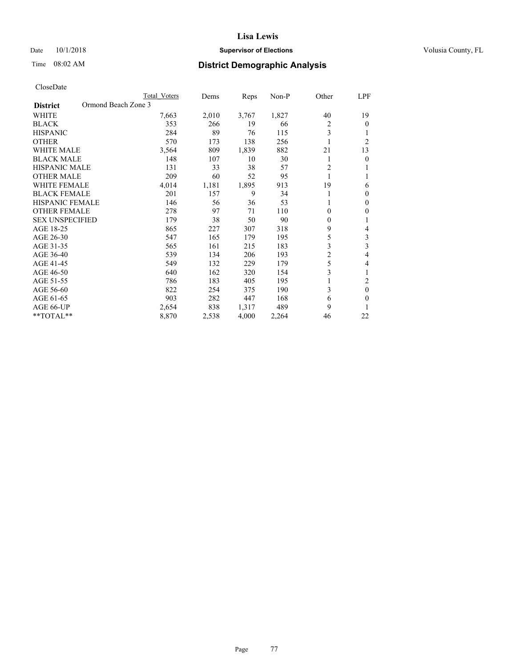# Date  $10/1/2018$  **Supervisor of Elections** Volusia County, FL

# Time 08:02 AM **District Demographic Analysis**

|                                        | Total Voters | Dems  | Reps  | $Non-P$ | Other          | LPF            |
|----------------------------------------|--------------|-------|-------|---------|----------------|----------------|
| Ormond Beach Zone 3<br><b>District</b> |              |       |       |         |                |                |
| WHITE                                  | 7,663        | 2,010 | 3,767 | 1,827   | 40             | 19             |
| <b>BLACK</b>                           | 353          | 266   | 19    | 66      | 2              | $\theta$       |
| <b>HISPANIC</b>                        | 284          | 89    | 76    | 115     | 3              |                |
| <b>OTHER</b>                           | 570          | 173   | 138   | 256     |                | $\overline{2}$ |
| <b>WHITE MALE</b>                      | 3,564        | 809   | 1,839 | 882     | 21             | 13             |
| <b>BLACK MALE</b>                      | 148          | 107   | 10    | 30      | 1              | $\theta$       |
| <b>HISPANIC MALE</b>                   | 131          | 33    | 38    | 57      | 2              |                |
| <b>OTHER MALE</b>                      | 209          | 60    | 52    | 95      | 1              | 1              |
| <b>WHITE FEMALE</b>                    | 4,014        | 1,181 | 1,895 | 913     | 19             | 6              |
| <b>BLACK FEMALE</b>                    | 201          | 157   | 9     | 34      |                | $\theta$       |
| <b>HISPANIC FEMALE</b>                 | 146          | 56    | 36    | 53      | 1              | $\mathbf{0}$   |
| <b>OTHER FEMALE</b>                    | 278          | 97    | 71    | 110     | 0              | $\mathbf{0}$   |
| <b>SEX UNSPECIFIED</b>                 | 179          | 38    | 50    | 90      | $\theta$       | 1              |
| AGE 18-25                              | 865          | 227   | 307   | 318     | 9              | 4              |
| AGE 26-30                              | 547          | 165   | 179   | 195     | 5              | 3              |
| AGE 31-35                              | 565          | 161   | 215   | 183     | 3              | 3              |
| AGE 36-40                              | 539          | 134   | 206   | 193     | $\overline{c}$ | 4              |
| AGE 41-45                              | 549          | 132   | 229   | 179     | 5              | 4              |
| AGE 46-50                              | 640          | 162   | 320   | 154     | 3              |                |
| AGE 51-55                              | 786          | 183   | 405   | 195     |                | 2              |
| AGE 56-60                              | 822          | 254   | 375   | 190     | 3              | $\theta$       |
| AGE 61-65                              | 903          | 282   | 447   | 168     | 6              | $\theta$       |
| AGE 66-UP                              | 2,654        | 838   | 1,317 | 489     | 9              | 1              |
| $*$ TOTAL $*$                          | 8,870        | 2,538 | 4,000 | 2,264   | 46             | 22             |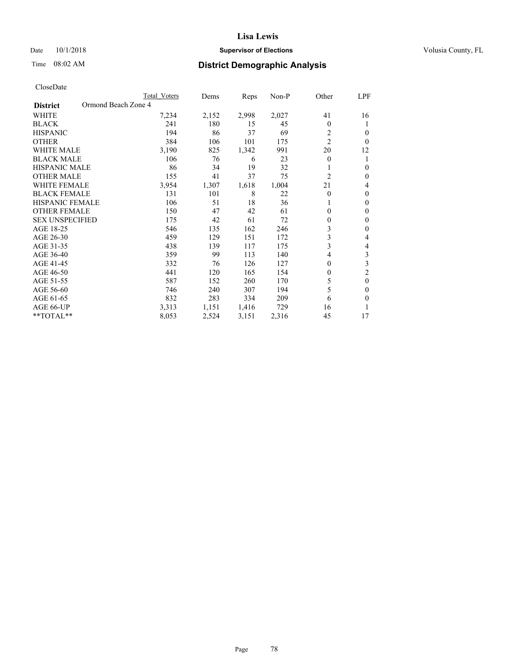# Date  $10/1/2018$  **Supervisor of Elections Supervisor of Elections** Volusia County, FL

# Time 08:02 AM **District Demographic Analysis**

|                        | Total Voters        | Dems  | Reps  | Non-P | Other          | LPF            |
|------------------------|---------------------|-------|-------|-------|----------------|----------------|
| <b>District</b>        | Ormond Beach Zone 4 |       |       |       |                |                |
| WHITE                  | 7,234               | 2,152 | 2,998 | 2,027 | 41             | 16             |
| <b>BLACK</b>           | 241                 | 180   | 15    | 45    | 0              | 1              |
| <b>HISPANIC</b>        | 194                 | 86    | 37    | 69    | 2              | $\Omega$       |
| <b>OTHER</b>           | 384                 | 106   | 101   | 175   | $\overline{2}$ | $\Omega$       |
| <b>WHITE MALE</b>      | 3,190               | 825   | 1,342 | 991   | 20             | 12             |
| <b>BLACK MALE</b>      | 106                 | 76    | 6     | 23    | 0              | 1              |
| <b>HISPANIC MALE</b>   | 86                  | 34    | 19    | 32    |                | $\theta$       |
| <b>OTHER MALE</b>      | 155                 | 41    | 37    | 75    | 2              | $\mathbf{0}$   |
| <b>WHITE FEMALE</b>    | 3,954               | 1,307 | 1,618 | 1,004 | 21             | 4              |
| <b>BLACK FEMALE</b>    | 131                 | 101   | 8     | 22    | 0              | $\mathbf{0}$   |
| <b>HISPANIC FEMALE</b> | 106                 | 51    | 18    | 36    |                | $\Omega$       |
| <b>OTHER FEMALE</b>    | 150                 | 47    | 42    | 61    | 0              | $\theta$       |
| <b>SEX UNSPECIFIED</b> | 175                 | 42    | 61    | 72    | 0              | $\theta$       |
| AGE 18-25              | 546                 | 135   | 162   | 246   | 3              | $\theta$       |
| AGE 26-30              | 459                 | 129   | 151   | 172   | 3              | 4              |
| AGE 31-35              | 438                 | 139   | 117   | 175   | 3              | 4              |
| AGE 36-40              | 359                 | 99    | 113   | 140   | 4              | 3              |
| AGE 41-45              | 332                 | 76    | 126   | 127   | 0              | 3              |
| AGE 46-50              | 441                 | 120   | 165   | 154   | 0              | $\overline{c}$ |
| AGE 51-55              | 587                 | 152   | 260   | 170   | 5              | $\theta$       |
| AGE 56-60              | 746                 | 240   | 307   | 194   | 5              | $\theta$       |
| AGE 61-65              | 832                 | 283   | 334   | 209   | 6              | $\theta$       |
| AGE 66-UP              | 3,313               | 1,151 | 1,416 | 729   | 16             |                |
| **TOTAL**              | 8,053               | 2,524 | 3,151 | 2,316 | 45             | 17             |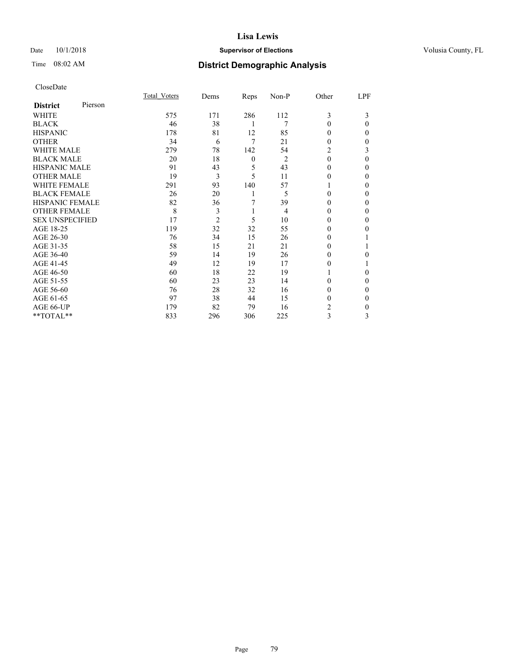# Date  $10/1/2018$  **Supervisor of Elections Supervisor of Elections** Volusia County, FL

# Time 08:02 AM **District Demographic Analysis**

|                        |         | Total Voters | Dems           | Reps     | Non-P          | Other    | LPF      |
|------------------------|---------|--------------|----------------|----------|----------------|----------|----------|
| <b>District</b>        | Pierson |              |                |          |                |          |          |
| WHITE                  |         | 575          | 171            | 286      | 112            | 3        | 3        |
| <b>BLACK</b>           |         | 46           | 38             | 1        | 7              | 0        | 0        |
| <b>HISPANIC</b>        |         | 178          | 81             | 12       | 85             | 0        | 0        |
| <b>OTHER</b>           |         | 34           | 6              | 7        | 21             | 0        | 0        |
| WHITE MALE             |         | 279          | 78             | 142      | 54             | 2        | 3        |
| <b>BLACK MALE</b>      |         | 20           | 18             | $\theta$ | $\overline{2}$ | $\theta$ | 0        |
| <b>HISPANIC MALE</b>   |         | 91           | 43             | 5        | 43             | 0        | 0        |
| <b>OTHER MALE</b>      |         | 19           | 3              | 5        | 11             | 0        | 0        |
| <b>WHITE FEMALE</b>    |         | 291          | 93             | 140      | 57             |          | 0        |
| <b>BLACK FEMALE</b>    |         | 26           | 20             | 1        | 5              | 0        | 0        |
| <b>HISPANIC FEMALE</b> |         | 82           | 36             | 7        | 39             | 0        | 0        |
| <b>OTHER FEMALE</b>    |         | 8            | 3              | 1        | 4              | 0        | 0        |
| <b>SEX UNSPECIFIED</b> |         | 17           | $\overline{2}$ | 5        | 10             | 0        | 0        |
| AGE 18-25              |         | 119          | 32             | 32       | 55             | 0        | 0        |
| AGE 26-30              |         | 76           | 34             | 15       | 26             | 0        |          |
| AGE 31-35              |         | 58           | 15             | 21       | 21             | 0        |          |
| AGE 36-40              |         | 59           | 14             | 19       | 26             | 0        | 0        |
| AGE 41-45              |         | 49           | 12             | 19       | 17             | 0        |          |
| AGE 46-50              |         | 60           | 18             | 22       | 19             |          | $\Omega$ |
| AGE 51-55              |         | 60           | 23             | 23       | 14             | 0        | 0        |
| AGE 56-60              |         | 76           | 28             | 32       | 16             | 0        | 0        |
| AGE 61-65              |         | 97           | 38             | 44       | 15             | 0        | 0        |
| AGE 66-UP              |         | 179          | 82             | 79       | 16             | 2        | 0        |
| **TOTAL**              |         | 833          | 296            | 306      | 225            | 3        | 3        |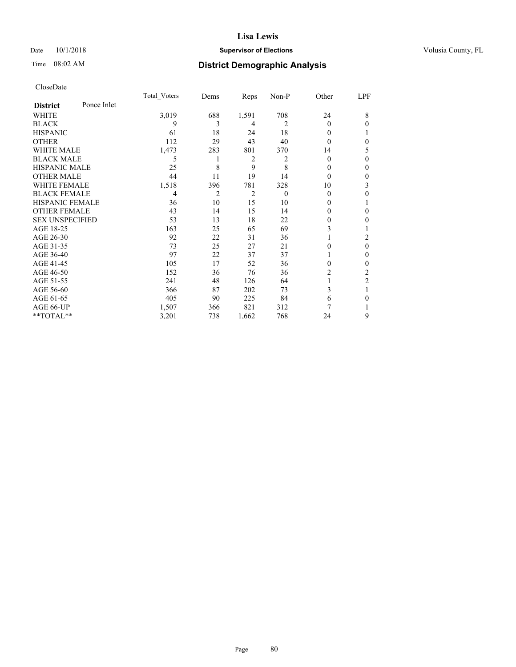# Date  $10/1/2018$  **Supervisor of Elections Supervisor of Elections** Volusia County, FL

# Time 08:02 AM **District Demographic Analysis**

|                        |             | Total Voters | Dems | Reps           | Non-P    | Other    | LPF            |
|------------------------|-------------|--------------|------|----------------|----------|----------|----------------|
| <b>District</b>        | Ponce Inlet |              |      |                |          |          |                |
| WHITE                  |             | 3,019        | 688  | 1,591          | 708      | 24       | 8              |
| <b>BLACK</b>           |             | 9            | 3    | 4              | 2        | $\Omega$ | $\theta$       |
| <b>HISPANIC</b>        |             | 61           | 18   | 24             | 18       | 0        |                |
| <b>OTHER</b>           |             | 112          | 29   | 43             | 40       | 0        | $\theta$       |
| WHITE MALE             |             | 1,473        | 283  | 801            | 370      | 14       | 5              |
| <b>BLACK MALE</b>      |             | 5            |      | $\overline{c}$ | 2        | 0        | $\theta$       |
| <b>HISPANIC MALE</b>   |             | 25           | 8    | 9              | 8        | 0        | $\theta$       |
| <b>OTHER MALE</b>      |             | 44           | 11   | 19             | 14       | $\Omega$ | $\mathbf{0}$   |
| <b>WHITE FEMALE</b>    |             | 1,518        | 396  | 781            | 328      | 10       | 3              |
| <b>BLACK FEMALE</b>    |             | 4            | 2    | 2              | $\theta$ | 0        | $\theta$       |
| <b>HISPANIC FEMALE</b> |             | 36           | 10   | 15             | 10       | 0        |                |
| <b>OTHER FEMALE</b>    |             | 43           | 14   | 15             | 14       | 0        | $\theta$       |
| <b>SEX UNSPECIFIED</b> |             | 53           | 13   | 18             | 22       | 0        | $\theta$       |
| AGE 18-25              |             | 163          | 25   | 65             | 69       | 3        |                |
| AGE 26-30              |             | 92           | 22   | 31             | 36       |          | 2              |
| AGE 31-35              |             | 73           | 25   | 27             | 21       | 0        | $\mathbf{0}$   |
| AGE 36-40              |             | 97           | 22   | 37             | 37       |          | $\mathbf{0}$   |
| AGE 41-45              |             | 105          | 17   | 52             | 36       | 0        | $\theta$       |
| AGE 46-50              |             | 152          | 36   | 76             | 36       | 2        | 2              |
| AGE 51-55              |             | 241          | 48   | 126            | 64       |          | $\overline{2}$ |
| AGE 56-60              |             | 366          | 87   | 202            | 73       | 3        | 1              |
| AGE 61-65              |             | 405          | 90   | 225            | 84       | 6        | $\theta$       |
| AGE 66-UP              |             | 1,507        | 366  | 821            | 312      | 7        |                |
| **TOTAL**              |             | 3,201        | 738  | 1,662          | 768      | 24       | 9              |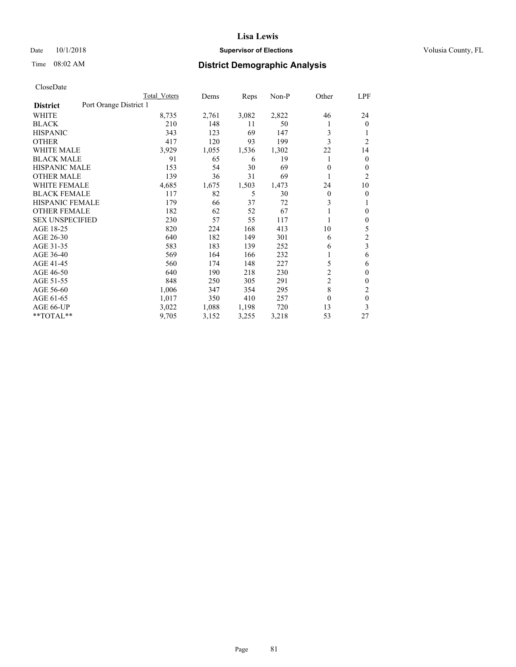# Date  $10/1/2018$  **Supervisor of Elections Supervisor of Elections** Volusia County, FL

# Time 08:02 AM **District Demographic Analysis**

|                        |                        | Total Voters | Dems  | Reps  | Non-P | Other          | LPF            |
|------------------------|------------------------|--------------|-------|-------|-------|----------------|----------------|
| <b>District</b>        | Port Orange District 1 |              |       |       |       |                |                |
| WHITE                  |                        | 8,735        | 2,761 | 3,082 | 2,822 | 46             | 24             |
| <b>BLACK</b>           |                        | 210          | 148   | 11    | 50    |                | $\mathbf{0}$   |
| <b>HISPANIC</b>        |                        | 343          | 123   | 69    | 147   | 3              | 1              |
| <b>OTHER</b>           |                        | 417          | 120   | 93    | 199   | 3              | $\overline{2}$ |
| <b>WHITE MALE</b>      |                        | 3,929        | 1,055 | 1,536 | 1,302 | 22             | 14             |
| <b>BLACK MALE</b>      |                        | 91           | 65    | 6     | 19    |                | $\mathbf{0}$   |
| <b>HISPANIC MALE</b>   |                        | 153          | 54    | 30    | 69    | 0              | $\mathbf{0}$   |
| <b>OTHER MALE</b>      |                        | 139          | 36    | 31    | 69    | 1              | 2              |
| WHITE FEMALE           |                        | 4,685        | 1,675 | 1,503 | 1,473 | 24             | 10             |
| <b>BLACK FEMALE</b>    |                        | 117          | 82    | 5     | 30    | 0              | 0              |
| <b>HISPANIC FEMALE</b> |                        | 179          | 66    | 37    | 72    | 3              | 1              |
| <b>OTHER FEMALE</b>    |                        | 182          | 62    | 52    | 67    |                | 0              |
| <b>SEX UNSPECIFIED</b> |                        | 230          | 57    | 55    | 117   |                | $\theta$       |
| AGE 18-25              |                        | 820          | 224   | 168   | 413   | 10             | 5              |
| AGE 26-30              |                        | 640          | 182   | 149   | 301   | 6              | $\mathfrak{2}$ |
| AGE 31-35              |                        | 583          | 183   | 139   | 252   | 6              | 3              |
| AGE 36-40              |                        | 569          | 164   | 166   | 232   |                | 6              |
| AGE 41-45              |                        | 560          | 174   | 148   | 227   | 5              | 6              |
| AGE 46-50              |                        | 640          | 190   | 218   | 230   | 2              | $\theta$       |
| AGE 51-55              |                        | 848          | 250   | 305   | 291   | $\overline{2}$ | $\Omega$       |
| AGE 56-60              |                        | 1,006        | 347   | 354   | 295   | 8              | 2              |
| AGE 61-65              |                        | 1,017        | 350   | 410   | 257   | 0              | $\theta$       |
| AGE 66-UP              |                        | 3,022        | 1,088 | 1,198 | 720   | 13             | 3              |
| **TOTAL**              |                        | 9,705        | 3,152 | 3,255 | 3,218 | 53             | 27             |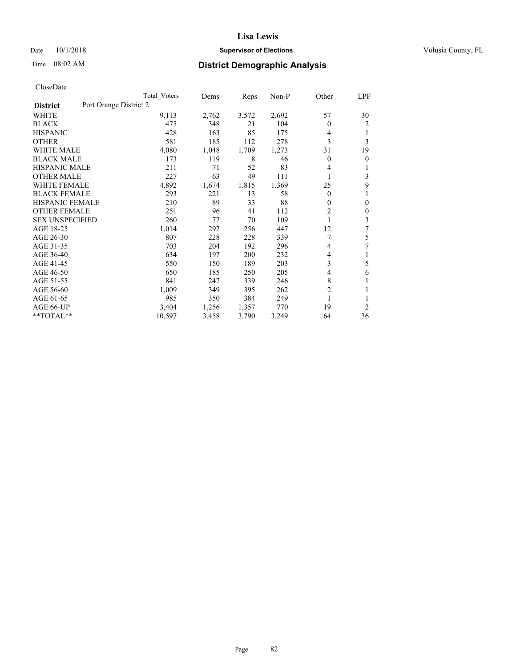# Date  $10/1/2018$  **Supervisor of Elections Supervisor of Elections** Volusia County, FL

# Time 08:02 AM **District Demographic Analysis**

|                        | Total Voters           | Dems  | Reps  | Non-P | Other          | LPF            |
|------------------------|------------------------|-------|-------|-------|----------------|----------------|
| <b>District</b>        | Port Orange District 2 |       |       |       |                |                |
| WHITE                  | 9,113                  | 2,762 | 3,572 | 2,692 | 57             | 30             |
| <b>BLACK</b>           | 475                    | 348   | 21    | 104   | 0              | 2              |
| <b>HISPANIC</b>        | 428                    | 163   | 85    | 175   | 4              | 1              |
| <b>OTHER</b>           | 581                    | 185   | 112   | 278   | 3              | 3              |
| <b>WHITE MALE</b>      | 4,080                  | 1,048 | 1,709 | 1,273 | 31             | 19             |
| <b>BLACK MALE</b>      | 173                    | 119   | 8     | 46    | 0              | 0              |
| <b>HISPANIC MALE</b>   | 211                    | 71    | 52    | 83    | 4              | 1              |
| <b>OTHER MALE</b>      | 227                    | 63    | 49    | 111   | 1              | 3              |
| <b>WHITE FEMALE</b>    | 4,892                  | 1,674 | 1,815 | 1,369 | 25             | 9              |
| <b>BLACK FEMALE</b>    | 293                    | 221   | 13    | 58    | 0              |                |
| <b>HISPANIC FEMALE</b> | 210                    | 89    | 33    | 88    | 0              | 0              |
| <b>OTHER FEMALE</b>    | 251                    | 96    | 41    | 112   | $\overline{c}$ | $\Omega$       |
| <b>SEX UNSPECIFIED</b> | 260                    | 77    | 70    | 109   |                | 3              |
| AGE 18-25              | 1,014                  | 292   | 256   | 447   | 12             | 7              |
| AGE 26-30              | 807                    | 228   | 228   | 339   | 7              | 5              |
| AGE 31-35              | 703                    | 204   | 192   | 296   | 4              | 7              |
| AGE 36-40              | 634                    | 197   | 200   | 232   | 4              |                |
| AGE 41-45              | 550                    | 150   | 189   | 203   | 3              | 5              |
| AGE 46-50              | 650                    | 185   | 250   | 205   | 4              | 6              |
| AGE 51-55              | 841                    | 247   | 339   | 246   | 8              | 1              |
| AGE 56-60              | 1,009                  | 349   | 395   | 262   | $\overline{2}$ |                |
| AGE 61-65              | 985                    | 350   | 384   | 249   | 1              | 1              |
| AGE 66-UP              | 3,404                  | 1,256 | 1,357 | 770   | 19             | $\overline{2}$ |
| $*$ TOTAL $*$          | 10,597                 | 3,458 | 3,790 | 3,249 | 64             | 36             |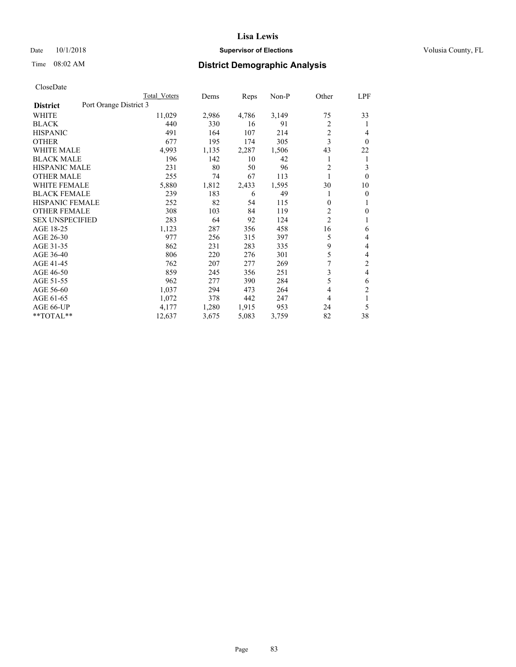# Date  $10/1/2018$  **Supervisor of Elections** Volusia County, FL

# Time 08:02 AM **District Demographic Analysis**

|                                           | Total Voters | Dems  | Reps  | $Non-P$ | Other          | LPF            |
|-------------------------------------------|--------------|-------|-------|---------|----------------|----------------|
| Port Orange District 3<br><b>District</b> |              |       |       |         |                |                |
| WHITE                                     | 11,029       | 2,986 | 4,786 | 3,149   | 75             | 33             |
| <b>BLACK</b>                              | 440          | 330   | 16    | 91      | $\overline{c}$ | 1              |
| <b>HISPANIC</b>                           | 491          | 164   | 107   | 214     | $\overline{2}$ | 4              |
| <b>OTHER</b>                              | 677          | 195   | 174   | 305     | 3              | $\theta$       |
| <b>WHITE MALE</b>                         | 4,993        | 1,135 | 2,287 | 1,506   | 43             | 22             |
| <b>BLACK MALE</b>                         | 196          | 142   | 10    | 42      |                | 1              |
| <b>HISPANIC MALE</b>                      | 231          | 80    | 50    | 96      | 2              | 3              |
| <b>OTHER MALE</b>                         | 255          | 74    | 67    | 113     | 1              | $\theta$       |
| <b>WHITE FEMALE</b>                       | 5,880        | 1,812 | 2,433 | 1,595   | 30             | 10             |
| <b>BLACK FEMALE</b>                       | 239          | 183   | 6     | 49      |                | $\theta$       |
| <b>HISPANIC FEMALE</b>                    | 252          | 82    | 54    | 115     | $\mathbf{0}$   | 1              |
| <b>OTHER FEMALE</b>                       | 308          | 103   | 84    | 119     | 2              | 0              |
| <b>SEX UNSPECIFIED</b>                    | 283          | 64    | 92    | 124     | $\overline{c}$ |                |
| AGE 18-25                                 | 1,123        | 287   | 356   | 458     | 16             | 6              |
| AGE 26-30                                 | 977          | 256   | 315   | 397     | 5              | 4              |
| AGE 31-35                                 | 862          | 231   | 283   | 335     | 9              | 4              |
| AGE 36-40                                 | 806          | 220   | 276   | 301     | 5              | 4              |
| AGE 41-45                                 | 762          | 207   | 277   | 269     | 7              | $\overline{2}$ |
| AGE 46-50                                 | 859          | 245   | 356   | 251     | 3              | 4              |
| AGE 51-55                                 | 962          | 277   | 390   | 284     | 5              | 6              |
| AGE 56-60                                 | 1,037        | 294   | 473   | 264     | 4              | $\overline{c}$ |
| AGE 61-65                                 | 1,072        | 378   | 442   | 247     | 4              | 1              |
| AGE 66-UP                                 | 4,177        | 1,280 | 1,915 | 953     | 24             | 5              |
| **TOTAL**                                 | 12,637       | 3,675 | 5,083 | 3,759   | 82             | 38             |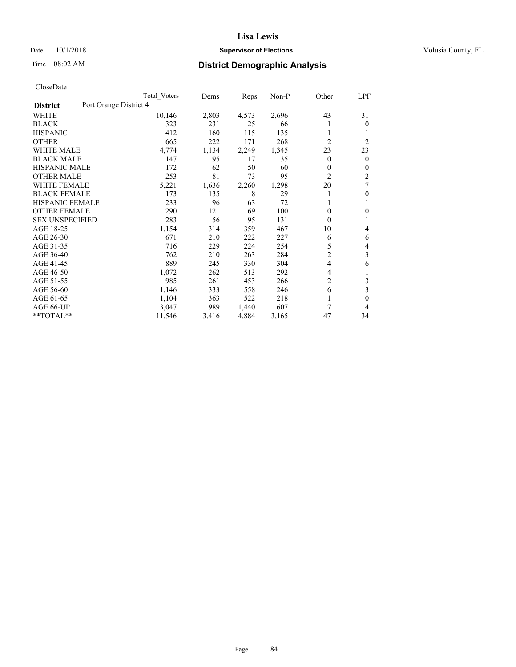# Date  $10/1/2018$  **Supervisor of Elections** Volusia County, FL

# Time 08:02 AM **District Demographic Analysis**

|                                           | Total Voters | Dems  | Reps  | Non-P | Other          | LPF            |
|-------------------------------------------|--------------|-------|-------|-------|----------------|----------------|
| Port Orange District 4<br><b>District</b> |              |       |       |       |                |                |
| WHITE                                     | 10,146       | 2,803 | 4,573 | 2,696 | 43             | 31             |
| <b>BLACK</b>                              | 323          | 231   | 25    | 66    |                | $\theta$       |
| <b>HISPANIC</b>                           | 412          | 160   | 115   | 135   | 1              | 1              |
| <b>OTHER</b>                              | 665          | 222   | 171   | 268   | $\overline{2}$ | $\overline{2}$ |
| <b>WHITE MALE</b>                         | 4,774        | 1,134 | 2,249 | 1,345 | 23             | 23             |
| <b>BLACK MALE</b>                         | 147          | 95    | 17    | 35    | 0              | $\mathbf{0}$   |
| <b>HISPANIC MALE</b>                      | 172          | 62    | 50    | 60    | 0              | $\mathbf{0}$   |
| <b>OTHER MALE</b>                         | 253          | 81    | 73    | 95    | $\overline{2}$ | $\overline{2}$ |
| <b>WHITE FEMALE</b>                       | 5,221        | 1,636 | 2,260 | 1,298 | 20             | 7              |
| <b>BLACK FEMALE</b>                       | 173          | 135   | 8     | 29    |                | $\mathbf{0}$   |
| HISPANIC FEMALE                           | 233          | 96    | 63    | 72    |                | 1              |
| <b>OTHER FEMALE</b>                       | 290          | 121   | 69    | 100   | 0              | $\theta$       |
| <b>SEX UNSPECIFIED</b>                    | 283          | 56    | 95    | 131   | 0              | 1              |
| AGE 18-25                                 | 1,154        | 314   | 359   | 467   | 10             | 4              |
| AGE 26-30                                 | 671          | 210   | 222   | 227   | 6              | 6              |
| AGE 31-35                                 | 716          | 229   | 224   | 254   | 5              | 4              |
| AGE 36-40                                 | 762          | 210   | 263   | 284   | $\overline{2}$ | 3              |
| AGE 41-45                                 | 889          | 245   | 330   | 304   | 4              | 6              |
| AGE 46-50                                 | 1,072        | 262   | 513   | 292   | 4              | 1              |
| AGE 51-55                                 | 985          | 261   | 453   | 266   | $\overline{2}$ | 3              |
| AGE 56-60                                 | 1,146        | 333   | 558   | 246   | 6              | 3              |
| AGE 61-65                                 | 1,104        | 363   | 522   | 218   | 1              | $\theta$       |
| AGE 66-UP                                 | 3,047        | 989   | 1,440 | 607   | 7              | 4              |
| **TOTAL**                                 | 11,546       | 3,416 | 4,884 | 3,165 | 47             | 34             |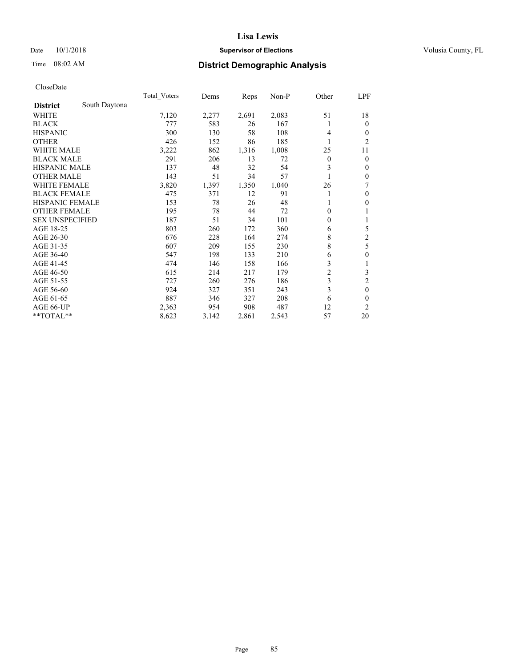# Date  $10/1/2018$  **Supervisor of Elections Supervisor of Elections** Volusia County, FL

# Time 08:02 AM **District Demographic Analysis**

|                        |               | Total Voters | Dems  | Reps  | Non-P | Other          | LPF            |
|------------------------|---------------|--------------|-------|-------|-------|----------------|----------------|
| <b>District</b>        | South Daytona |              |       |       |       |                |                |
| WHITE                  |               | 7,120        | 2,277 | 2,691 | 2,083 | 51             | 18             |
| <b>BLACK</b>           |               | 777          | 583   | 26    | 167   | 1              | $\mathbf{0}$   |
| <b>HISPANIC</b>        |               | 300          | 130   | 58    | 108   | 4              | $\theta$       |
| <b>OTHER</b>           |               | 426          | 152   | 86    | 185   | 1              | 2              |
| WHITE MALE             |               | 3,222        | 862   | 1,316 | 1,008 | 25             | 11             |
| <b>BLACK MALE</b>      |               | 291          | 206   | 13    | 72    | $\overline{0}$ | $\theta$       |
| <b>HISPANIC MALE</b>   |               | 137          | 48    | 32    | 54    | 3              | $\mathbf{0}$   |
| <b>OTHER MALE</b>      |               | 143          | 51    | 34    | 57    | 1              | $\mathbf{0}$   |
| <b>WHITE FEMALE</b>    |               | 3,820        | 1,397 | 1,350 | 1,040 | 26             | 7              |
| <b>BLACK FEMALE</b>    |               | 475          | 371   | 12    | 91    | 1              | $\mathbf{0}$   |
| HISPANIC FEMALE        |               | 153          | 78    | 26    | 48    |                | $\theta$       |
| <b>OTHER FEMALE</b>    |               | 195          | 78    | 44    | 72    | 0              | 1              |
| <b>SEX UNSPECIFIED</b> |               | 187          | 51    | 34    | 101   | 0              | 1              |
| AGE 18-25              |               | 803          | 260   | 172   | 360   | 6              | 5              |
| AGE 26-30              |               | 676          | 228   | 164   | 274   | 8              | $\overline{c}$ |
| AGE 31-35              |               | 607          | 209   | 155   | 230   | 8              | 5              |
| AGE 36-40              |               | 547          | 198   | 133   | 210   | 6              | $\mathbf{0}$   |
| AGE 41-45              |               | 474          | 146   | 158   | 166   | 3              | 1              |
| AGE 46-50              |               | 615          | 214   | 217   | 179   | $\overline{2}$ | 3              |
| AGE 51-55              |               | 727          | 260   | 276   | 186   | 3              | $\overline{c}$ |
| AGE 56-60              |               | 924          | 327   | 351   | 243   | 3              | $\mathbf{0}$   |
| AGE 61-65              |               | 887          | 346   | 327   | 208   | 6              | $\theta$       |
| AGE 66-UP              |               | 2,363        | 954   | 908   | 487   | 12             | $\overline{2}$ |
| **TOTAL**              |               | 8,623        | 3,142 | 2,861 | 2,543 | 57             | 20             |